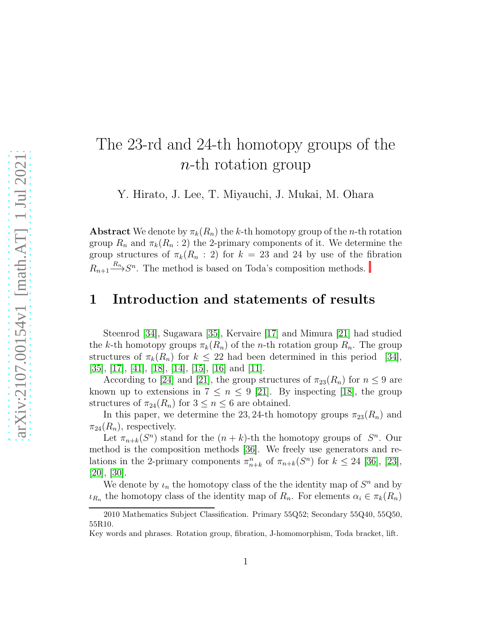# The 23-rd and 24-th homotopy groups of the n-th rotation group

Y. Hirato, J. Lee, T. Miyauchi, J. Mukai, M. Ohara

**Abstract** We denote by  $\pi_k(R_n)$  the k-th homotopy group of the n-th rotation group  $R_n$  and  $\pi_k(R_n:2)$  the 2-primary components of it. We determine the group structures of  $\pi_k(R_n : 2)$  for  $k = 23$  and 24 by use of the fibration  $R_{n+1} \stackrel{R_n}{\longrightarrow} S^n$ . The method is based on Toda's composition methods.

#### 1 Introduction and statements of results

Steenrod [\[34\]](#page-54-0), Sugawara [\[35\]](#page-54-1), Kervaire [\[17\]](#page-52-0) and Mimura [\[21\]](#page-53-0) had studied the k-th homotopy groups  $\pi_k(R_n)$  of the n-th rotation group  $R_n$ . The group structures of  $\pi_k(R_n)$  for  $k \leq 22$  had been determined in this period [\[34\]](#page-54-0), [\[35\]](#page-54-1), [\[17\]](#page-52-0), [\[41\]](#page-54-2), [\[18\]](#page-52-1), [\[14\]](#page-52-2), [\[15\]](#page-52-3), [\[16\]](#page-52-4) and [\[11\]](#page-52-5).

According to [\[24\]](#page-53-1) and [\[21\]](#page-53-0), the group structures of  $\pi_{23}(R_n)$  for  $n \leq 9$  are known up to extensions in  $7 \leq n \leq 9$  [\[21\]](#page-53-0). By inspecting [\[18\]](#page-52-1), the group structures of  $\pi_{24}(R_n)$  for  $3 \leq n \leq 6$  are obtained.

In this paper, we determine the 23, 24-th homotopy groups  $\pi_{23}(R_n)$  and  $\pi_{24}(R_n)$ , respectively.

Let  $\pi_{n+k}(S^n)$  stand for the  $(n+k)$ -th the homotopy groups of  $S^n$ . Our method is the composition methods [\[36\]](#page-54-3). We freely use generators and relations in the 2-primary components  $\pi_{n+k}^n$  of  $\pi_{n+k}(S^n)$  for  $k \leq 24$  [\[36\]](#page-54-3), [\[23\]](#page-53-2), [\[20\]](#page-53-3), [\[30\]](#page-53-4).

We denote by  $\iota_n$  the homotopy class of the the identity map of  $S^n$  and by  $\iota_{R_n}$  the homotopy class of the identity map of  $R_n$ . For elements  $\alpha_i \in \pi_k(R_n)$ 

<sup>2010</sup> Mathematics Subject Classification. Primary 55Q52; Secondary 55Q40, 55Q50, 55R10.

Key words and phrases. Rotation group, fibration, J-homomorphism, Toda bracket, lift.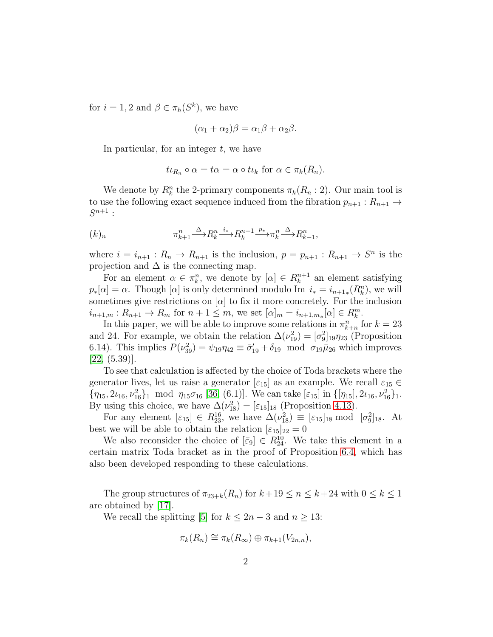for  $i = 1, 2$  and  $\beta \in \pi_h(S^k)$ , we have

$$
(\alpha_1 + \alpha_2)\beta = \alpha_1\beta + \alpha_2\beta.
$$

In particular, for an integer  $t$ , we have

$$
t\iota_{R_n} \circ \alpha = t\alpha = \alpha \circ t\iota_k \text{ for } \alpha \in \pi_k(R_n).
$$

We denote by  $R_k^n$  the 2-primary components  $\pi_k(R_n:2)$ . Our main tool is to use the following exact sequence induced from the fibration  $p_{n+1}: R_{n+1} \to$  $S^{n+1}$ :

<span id="page-1-0"></span>
$$
(k)_n \qquad \qquad \pi_{k+1}^n \xrightarrow{\Delta} R_k^n \xrightarrow{i_*} R_k^{n+1} \xrightarrow{p_*} \pi_k^n \xrightarrow{\Delta} R_{k-1}^n,
$$

where  $i = i_{n+1} : R_n \to R_{n+1}$  is the inclusion,  $p = p_{n+1} : R_{n+1} \to S^n$  is the projection and  $\Delta$  is the connecting map.

For an element  $\alpha \in \pi_k^n$ , we denote by  $[\alpha] \in R_k^{n+1}$  $k^{n+1}$  an element satisfying  $p_*[\alpha] = \alpha$ . Though  $[\alpha]$  is only determined modulo Im  $i_* = i_{n+1*}(R_k^n)$ , we will sometimes give restrictions on  $[\alpha]$  to fix it more concretely. For the inclusion  $i_{n+1,m}: R_{n+1} \to R_m$  for  $n+1 \leq m$ , we set  $[\alpha]_m = i_{n+1,m_*}[\alpha] \in R_k^m$ .

In this paper, we will be able to improve some relations in  $\pi_{k+n}^n$  for  $k=23$ and 24. For example, we obtain the relation  $\Delta(\nu_{19}^2) = [\sigma_9^2]_{19}\eta_{23}$  (Proposition 6.14). This implies  $P(\nu_{39}^2) = \psi_{19}\eta_{42} \equiv \bar{\sigma}_{19}^{\prime} + \delta_{19}$  mod  $\sigma_{19}\bar{\mu}_{26}$  which improves [\[22,](#page-53-5) (5.39)].

To see that calculation is affected by the choice of Toda brackets where the generator lives, let us raise a generator  $[\epsilon_{15}]$  as an example. We recall  $\varepsilon_{15} \in$  $\{\eta_{15}, 2\iota_{16}, \nu_{16}^2\}$  mod  $\eta_{15}\sigma_{16}$  [\[36,](#page-54-3) (6.1)]. We can take  $[\varepsilon_{15}]$  in  $\{[\eta_{15}], 2\iota_{16}, \nu_{16}^2\}$ . By using this choice, we have  $\Delta(\nu_{18}^2) = [\varepsilon_{15}]_{18}$  (Proposition [4.13\)](#page-33-0).

For any element  $[\varepsilon_{15}] \in R_{23}^{16}$ , we have  $\Delta(\nu_{18}^2) \equiv [\varepsilon_{15}]_{18} \text{ mod } [\sigma_9^2]_{18}$ . At best we will be able to obtain the relation  $[\varepsilon_{15}]_{22} = 0$ 

We also reconsider the choice of  $[\bar{\varepsilon}_9] \in R_{24}^{10}$ . We take this element in a certain matrix Toda bracket as in the proof of Proposition [6.4,](#page-41-0) which has also been developed responding to these calculations.

The group structures of  $\pi_{23+k}(R_n)$  for  $k+19 \leq n \leq k+24$  with  $0 \leq k \leq 1$ are obtained by [\[17\]](#page-52-0).

We recall the splitting [\[5\]](#page-51-0) for  $k \leq 2n-3$  and  $n \geq 13$ :

$$
\pi_k(R_n) \cong \pi_k(R_\infty) \oplus \pi_{k+1}(V_{2n,n}),
$$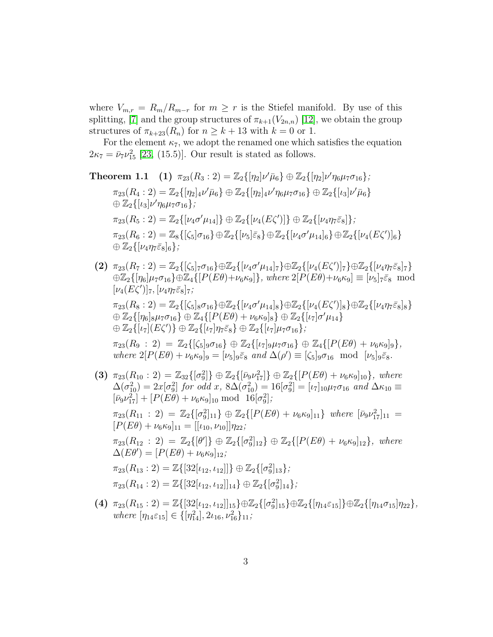where  $V_{m,r} = R_m/R_{m-r}$  for  $m \geq r$  is the Stiefel manifold. By use of this splitting, [\[7\]](#page-52-6) and the group structures of  $\pi_{k+1}(V_{2n,n})$  [\[12\]](#page-52-7), we obtain the group structures of  $\pi_{k+23}(R_n)$  for  $n \geq k+13$  with  $k=0$  or 1.

For the element  $\kappa_7$ , we adopt the renamed one which satisfies the equation  $2\kappa_7 = \bar{\nu}_7 \nu_{15}^2$  [\[23,](#page-53-2) (15.5)]. Our result is stated as follows.

**Theorem 1.1** (1) 
$$
\pi_{23}(R_3:2) = \mathbb{Z}_2\{[\eta_2]\nu'\bar{\mu}_6\} \oplus \mathbb{Z}_2\{[\eta_2]\nu'\eta_6\mu_7\sigma_{16}\};
$$
  
\n $\pi_{23}(R_4:2) = \mathbb{Z}_2\{[\eta_2]_4\nu'\bar{\mu}_6\} \oplus \mathbb{Z}_2\{[\eta_2]_4\nu'\eta_6\mu_7\sigma_{16}\} \oplus \mathbb{Z}_2\{[\iota_3]\nu'\bar{\mu}_6\}$   
\n $\oplus \mathbb{Z}_2\{[\iota_3]\nu'\eta_6\mu_7\sigma_{16}\};$   
\n $\pi_{23}(R_5:2) = \mathbb{Z}_2\{[\nu_4\sigma'\mu_{14}]\} \oplus \mathbb{Z}_2\{[\nu_4(E\zeta')]\} \oplus \mathbb{Z}_2\{[\nu_4\eta_7\bar{\varepsilon}_8]\};$   
\n $\pi_{23}(R_6:2) = \mathbb{Z}_8\{[\zeta_5]\sigma_{16}\} \oplus \mathbb{Z}_2\{[\nu_5]\bar{\varepsilon}_8\} \oplus \mathbb{Z}_2\{[\nu_4\sigma'\mu_{14}]_6\} \oplus \mathbb{Z}_2\{[\nu_4(E\zeta')]_6\} \oplus \mathbb{Z}_2\{[\nu_4\eta_7\bar{\varepsilon}_8]_6\};$ 

(2)  $\pi_{23}(R_7:2) = \mathbb{Z}_2\{[\zeta_5]_7 \sigma_{16}\} \oplus \mathbb{Z}_2\{[\nu_4 \sigma' \mu_{14}]_7\} \oplus \mathbb{Z}_2\{[\nu_4(E\zeta')]_7\} \oplus \mathbb{Z}_2\{[\nu_4 \eta_7 \bar{\varepsilon}_8]_7\}$  $\oplus \mathbb{Z}_2\{[\eta_6]\mu_7\sigma_{16}\}\oplus \mathbb{Z}_4\{[P(E\theta)+\nu_6\kappa_9]\}, where \ 2[P(E\theta)+\nu_6\kappa_9]\equiv [\nu_5]_7\bar{\varepsilon}_8\mod 2$  $[\nu_4(E\zeta')]_7, [\nu_4\eta_7\bar{\varepsilon}_8]_7;$ 

 $\pi_{23}(R_8:2) = \mathbb{Z}_2\{[\zeta_5]_8 \sigma_{16}\} \oplus \mathbb{Z}_2\{[\nu_4 \sigma' \mu_{14}]_8\} \oplus \mathbb{Z}_2\{[\nu_4(E\zeta')]_8\} \oplus \mathbb{Z}_2\{[\nu_4 \eta_7 \bar{\varepsilon}_8]_8\}$  $\oplus \mathbb{Z}_2\{[\eta_6]_8\mu_7\sigma_{16}\}\oplus \mathbb{Z}_4\{[P(E\theta)+\nu_6\kappa_9]_8\}\oplus \mathbb{Z}_2\{[\iota_7]\sigma'\mu_{14}\}$  $\oplus \mathbb{Z}_2\{\lbrack \iota_7\lbrack (E\zeta')\} \oplus \mathbb{Z}_2\{\lbrack \iota_7\lbrack \eta_7\bar{\varepsilon}_8\}\oplus \mathbb{Z}_2\{\lbrack \iota_7\lbrack \mu_7\sigma_{16}\},$ 

 $\pi_{23}(R_9:2) = \mathbb{Z}_2\{[\zeta_5]_9\sigma_{16}\} \oplus \mathbb{Z}_2\{[\iota_7]_9\mu_7\sigma_{16}\} \oplus \mathbb{Z}_4\{[P(E\theta)+\nu_6\kappa_9]_9\},\$ *where*  $2[P(E\theta) + \nu_6\kappa_9]_9 = [\nu_5]_9\bar{\varepsilon}_8$  *and*  $\Delta(\rho') \equiv [\zeta_5]_9\sigma_{16}$  mod  $[\nu_5]_9\bar{\varepsilon}_8$ *.* 

- (3)  $\pi_{23}(R_{10}:2) = \mathbb{Z}_{32}\{[\sigma_9^2]\} \oplus \mathbb{Z}_2\{[\bar{\nu}_9 \nu_{17}^2]\} \oplus \mathbb{Z}_2\{[P(E\theta) + \nu_6 \kappa_9]_{10}\}, where$  $\Delta(\sigma_{10}^2) = 2x[\sigma_9^2]$  for odd x,  $8\Delta(\sigma_{10}^2) = 16[\sigma_9^2] = [\iota_7]_{10}\mu_7\sigma_{16}$  and  $\Delta\kappa_{10} \equiv$  $[\bar{\nu}_9 \nu_{17}^2] + [P(E\theta) + \nu_6 \kappa_9]_{10} \text{ mod } 16[\sigma_9^2];$  $\pi_{23}(R_{11} : 2) = \mathbb{Z}_2\{[\sigma_9^2]_{11}\} \oplus \mathbb{Z}_2\{[P(E\theta) + \nu_6\kappa_9]_{11}\}\$  where  $[\bar{\nu}_9\nu_{17}^2]_{11} =$  $[P(E\theta) + \nu_6\kappa_9]_{11} = [[\iota_{10}, \nu_{10}]]\eta_{22};$  $\pi_{23}(R_{12}:2) = \mathbb{Z}_2\{[\theta']\} \oplus \mathbb{Z}_2\{[\sigma_9^2]_{12}\} \oplus \mathbb{Z}_2\{[P(E\theta) + \nu_6\kappa_9]_{12}\},$  where  $\Delta(E\theta') = [P(E\theta) + \nu_6\kappa_9]_{12}$ ;  $\pi_{23}(R_{13}:2) = \mathbb{Z}\{[32[\iota_{12}, \iota_{12}]]\} \oplus \mathbb{Z}_2\{[\sigma_9^2]_{13}\};$  $\pi_{23}(R_{14}:2) = \mathbb{Z}\{[32[\iota_{12}, \iota_{12}]]_{14}\} \oplus \mathbb{Z}_2\{[\sigma_9^2]_{14}\};$
- (4)  $\pi_{23}(R_{15}:2) = \mathbb{Z}\{[32[\iota_{12}, \iota_{12}]]_{15}\}\oplus \mathbb{Z}_2\{[\sigma_9^2]_{15}\}\oplus \mathbb{Z}_2\{[\eta_{14}\varepsilon_{15}]\}\oplus \mathbb{Z}_2\{[\eta_{14}\sigma_{15}]\eta_{22}\},\$  $where \left[\eta_{14}\varepsilon_{15}\right] \in \left\{\left[\eta_{14}^2\right], 2\iota_{16}, \nu_{16}^2\right\}_{11};$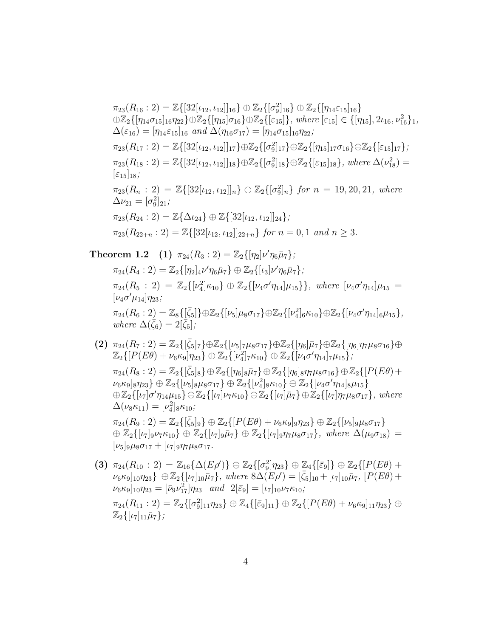$$
\pi_{23}(R_{16}:2) = \mathbb{Z}\{[32[\iota_{12},\iota_{12}]]_{16}\} \oplus \mathbb{Z}_2\{[\sigma_9^2]_{16}\} \oplus \mathbb{Z}_2\{[\eta_{14}\varepsilon_{15}]_{16}\}\oplus \mathbb{Z}_2\{[\eta_{14}\sigma_{15}]_{16}\eta_{22}\} \oplus \mathbb{Z}_2\{[\eta_{15}]\sigma_{16}\} \oplus \mathbb{Z}_2\{[\varepsilon_{15}]\}, where [\varepsilon_{15}] \in \{[\eta_{15}], 2\iota_{16}, \nu_{16}^2\}_1, \n\Delta(\varepsilon_{16}) = [\eta_{14}\varepsilon_{15}]_{16} and \Delta(\eta_{16}\sigma_{17}) = [\eta_{14}\sigma_{15}]_{16}\eta_{22};\n\pi_{23}(R_{17}:2) = \mathbb{Z}\{[32[\iota_{12},\iota_{12}]]_{17}\} \oplus \mathbb{Z}_2\{[\sigma_9^2]_{17}\} \oplus \mathbb{Z}_2\{[\eta_{15}]_{17}\sigma_{16}\} \oplus \mathbb{Z}_2\{[\varepsilon_{15}]_{17}\};\n\pi_{23}(R_{18}:2) = \mathbb{Z}\{[32[\iota_{12},\iota_{12}]]_{18}\} \oplus \mathbb{Z}_2\{[\sigma_9^2]_{18}\} \oplus \mathbb{Z}_2\{[\varepsilon_{15}]_{18}\}, where \Delta(\nu_{18}^2) =\n[\varepsilon_{15}]_{18};\n\pi_{23}(R_n:2) = \mathbb{Z}\{[32[\iota_{12},\iota_{12}]]_n\} \oplus \mathbb{Z}_2\{[\sigma_9^2]_n\} for n = 19, 20, 21, where\n\Delta\nu_{21} = [\sigma_9^2]_{21};\n\pi_{23}(R_{24}:2) = \mathbb{Z}\{\Delta\iota_{24}\} \oplus \mathbb{Z}\{[32[\iota_{12},\iota_{12}]]_{24}\};\n\pi_{23}(R_{22+n}:2) = \mathbb{Z}\{[32[\iota_{12},\iota_{12}]]_{22+n}\} for
$$

**Theorem 1.2** (1)  $\pi_{24}(R_3:2) = \mathbb{Z}_2\{[\eta_2]\nu'\eta_6\bar{\mu}_7\};$  $\pi_{24}(R_4:2) = \mathbb{Z}_2\{[\eta_2]_4\nu'\eta_6\bar{\mu}_7\} \oplus \mathbb{Z}_2\{[\iota_3]\nu'\eta_6\bar{\mu}_7\};$  $\pi_{24}(R_5:2) = \mathbb{Z}_2\{[\nu_4^2]\kappa_{10}\}\oplus \mathbb{Z}_2\{[\nu_4\sigma'\eta_{14}]\mu_{15}\}\},\ where \ [\nu_4\sigma'\eta_{14}]\mu_{15} =$  $[\nu_4 \sigma' \mu_{14}] \eta_{23}$ ;  $\pi_{24}(R_6:2) = \mathbb{Z}_8\{[\bar{\zeta}_5]\} \oplus \mathbb{Z}_2\{[\nu_5]\mu_8\sigma_{17}\} \oplus \mathbb{Z}_2\{[\nu_4^2]_6\kappa_{10}\} \oplus \mathbb{Z}_2\{[\nu_4\sigma'\eta_{14}]_6\mu_{15}\},$ *where*  $\Delta(\bar{\zeta}_6) = 2[\bar{\zeta}_5]$ ;

- $(2)$   $\pi_{24}(R_7:2) = \mathbb{Z}_2\{[\bar{\zeta}_5]_7\} \oplus \mathbb{Z}_2\{[\nu_5]_7\mu_8\sigma_{17}\} \oplus \mathbb{Z}_2\{[\eta_6]\bar{\mu}_7\} \oplus \mathbb{Z}_2\{[\eta_6]\eta_7\mu_8\sigma_{16}\} \oplus$  $\mathbb{Z}_2\{[P(E\theta)+\nu_6\kappa_9]\eta_{23}\}\oplus\mathbb{Z}_2\{[\nu_4^2]_7\kappa_{10}\}\oplus\mathbb{Z}_2\{[\nu_4\sigma'\eta_{14}]_7\mu_{15}\};$  $\pi_{24}(R_8:2) = \mathbb{Z}_2\{[\bar{\zeta}_5]_8\} \oplus \mathbb{Z}_2\{[\eta_6]_8\bar{\mu}_7\} \oplus \mathbb{Z}_2\{[\eta_6]_8\eta_7\mu_8\sigma_{16}\} \oplus \mathbb{Z}_2\{[P(E\theta)+P(E(\theta))\bar{P}(E(\theta))]=0\}$  $\{\nu_6\kappa_9]_8\eta_{23}\}\oplus\mathbb{Z}_2\{[\nu_5]_8\mu_8\sigma_{17}\}\oplus\mathbb{Z}_2\{[\nu_4^2]_8\kappa_{10}\}\oplus\mathbb{Z}_2\{[\nu_4\sigma'\eta_{14}]_8\mu_{15}\}$  $\oplus \mathbb{Z}_2\{[\iota_7]\sigma'\eta_{14}\mu_{15}\}\oplus \mathbb{Z}_2\{[\iota_7]\nu_7\kappa_{10}\}\oplus \mathbb{Z}_2\{[\iota_7]\bar{\mu}_7\}\oplus \mathbb{Z}_2\{[\iota_7]\eta_7\mu_8\sigma_{17}\}\,$ , where  $\Delta(\nu_8 \kappa_{11}) = [\nu_4^2]_8 \kappa_{10};$  $\pi_{24}(R_9:2) = \mathbb{Z}_2\{[\bar{\zeta}_5]_9\} \oplus \mathbb{Z}_2\{[P(E\theta) + \nu_6\kappa_9]_9\eta_{23}\} \oplus \mathbb{Z}_2\{[\nu_5]_9\mu_8\sigma_{17}\}\$  $\oplus \mathbb{Z}_2\{[\iota_7]_9\nu_7\kappa_{10}\}\oplus \mathbb{Z}_2\{[\iota_7]_9\overline{n}_7\} \oplus \mathbb{Z}_2\{[\iota_7]_9\eta_7\mu_8\sigma_{17}\}, where \Delta(\mu_9\sigma_{18})=$  $[\nu_5]_9\mu_8\sigma_{17} + [\nu_7]_9\eta_7\mu_8\sigma_{17}.$
- (3)  $\pi_{24}(R_{10}:2) = \mathbb{Z}_{16} {\{\Delta(E\rho')\}} \oplus \mathbb{Z}_2 {\{\sigma_9^2\}\eta_{23}} \oplus \mathbb{Z}_4 {\{\bar{\epsilon}_9\}} \oplus \mathbb{Z}_2 {\{\pmb{P}(E\theta) + \sigma_9^2\}}$  $[\nu_6 \kappa_9]_{10}\eta_{23} \}$   $\oplus \mathbb{Z}_2\{[\iota_7]_{10}\bar{\mu}_7\}$ *, where*  $8\Delta(E\rho') = [\bar{\zeta}_5]_{10} + [\iota_7]_{10}\bar{\mu}_7$ *,*  $[P(E\theta) +$  $\nu_6 \kappa_9]_{10} \eta_{23} = [\bar{\nu}_9 \nu_{17}^2] \eta_{23} \quad and \quad 2[\bar{\varepsilon}_9] = [\nu_7]_{10} \nu_7 \kappa_{10};$  $\pi_{24}(R_{11}:2) = \mathbb{Z}_2\{[\sigma_9^2]_{11}\eta_{23}\} \oplus \mathbb{Z}_4\{[\bar{\varepsilon}_9]_{11}\} \oplus \mathbb{Z}_2\{[P(E\theta)+\nu_6\kappa_9]_{11}\eta_{23}\} \oplus$  $\mathbb{Z}_2\{[\iota_7]_{11}\bar{\mu}_7\};$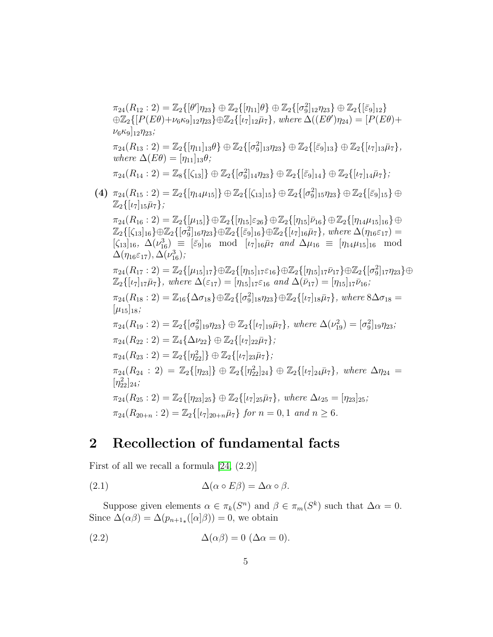$$
\pi_{24}(R_{12}:2) = \mathbb{Z}_2\{[\theta']_{723}\} \oplus \mathbb{Z}_2\{[\eta_{11}]\theta\} \oplus \mathbb{Z}_2\{[\sigma_{9}^2]_{12}\eta_{23}\} \oplus \mathbb{Z}_2\{[\bar{\epsilon}_9]_{12}\}
$$
  
\n
$$
\oplus \mathbb{Z}_2\{[P(E\theta)+\nu_6\kappa_9]_{12}\eta_{23}\} \oplus \mathbb{Z}_2\{[\nu_7]_{12}\bar{\mu}_7\}, where \Delta((E\theta')\eta_{24}) = [P(E\theta)+\nu_6\kappa_9]_{12}\eta_{23};
$$
  
\n
$$
\pi_{24}(R_{13}:2) = \mathbb{Z}_2\{[\eta_{11}]_{13}\theta\} \oplus \mathbb{Z}_2\{[\sigma_{9}^2]_{13}\eta_{23}\} \oplus \mathbb{Z}_2\{[\bar{\epsilon}_9]_{13}\} \oplus \mathbb{Z}_2\{[\nu_7]_{13}\bar{\mu}_7\}, where \Delta(E\theta) = [\eta_{11}]_{13}\theta;
$$
  
\n
$$
\pi_{24}(R_{14}:2) = \mathbb{Z}_8\{[\zeta_{13}]\} \oplus \mathbb{Z}_2\{[\sigma_{9}^2]_{14}\eta_{23}\} \oplus \mathbb{Z}_2\{[\bar{\epsilon}_9]_{13}\} \oplus \mathbb{Z}_2\{[\bar{\epsilon}_9]_{15}\bar{\eta}_7\};
$$
  
\n
$$
(4) \pi_{24}(R_{16}:2) = \mathbb{Z}_2\{[\mu_{14}\mu_{15}]\} \oplus \mathbb{Z}_2\{[\zeta_{13}]_{15}\} \oplus \mathbb{Z}_2\{[\sigma_{9}^2]_{15}\eta_{23}\} \oplus \mathbb{Z}_2\{[\bar{\epsilon}_9]_{15}\eta_{23}\} \oplus \mathbb{Z}_2\{[\bar{\epsilon}_9]_{15}\eta_{23}\} \oplus \mathbb{Z}_2\{[\bar{\epsilon}_9]_{15}\eta_{23}\} \oplus \mathbb{Z}_2\{[\bar{\epsilon}_9]_{15}\eta_{23}\} \oplus \mathbb{Z}_2\{[\bar{\epsilon}_9]_{15}\eta_{23}\} \oplus \mathbb{Z}_2\{
$$

#### 2 Recollection of fundamental facts

First of all we recall a formula  $[24, (2.2)]$ 

<span id="page-4-0"></span>(2.1) 
$$
\Delta(\alpha \circ E\beta) = \Delta\alpha \circ \beta.
$$

Suppose given elements  $\alpha \in \pi_k(S^n)$  and  $\beta \in \pi_m(S^k)$  such that  $\Delta \alpha = 0$ . Since  $\Delta(\alpha\beta) = \Delta(p_{n+1,*}([\alpha]\beta)) = 0$ , we obtain

<span id="page-4-1"></span>(2.2) 
$$
\Delta(\alpha \beta) = 0 \ (\Delta \alpha = 0).
$$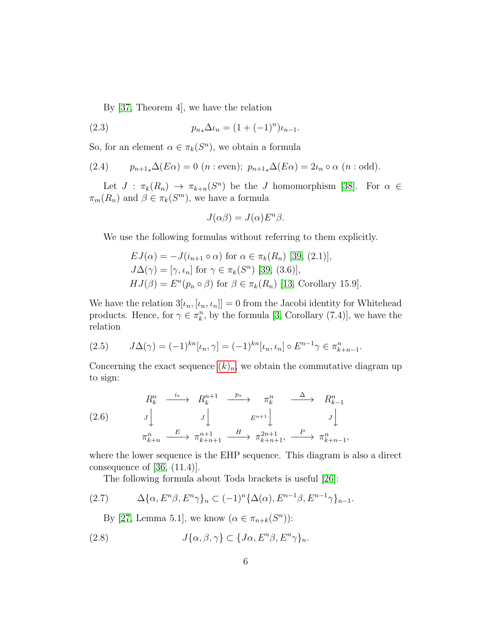<span id="page-5-3"></span>By [\[37,](#page-54-4) Theorem 4], we have the relation

(2.3) 
$$
p_{n*}\Delta \iota_n = (1 + (-1)^n)\iota_{n-1}.
$$

So, for an element  $\alpha \in \pi_k(S^n)$ , we obtain a formula

<span id="page-5-1"></span>(2.4) 
$$
p_{n+1*}\Delta(E\alpha) = 0 \ (n : \text{even}); \ p_{n+1*}\Delta(E\alpha) = 2\iota_n \circ \alpha \ (n : \text{odd}).
$$

Let  $J : \pi_k(R_n) \to \pi_{k+n}(S^n)$  be the J homomorphism [\[38\]](#page-54-5). For  $\alpha \in$  $\pi_m(R_n)$  and  $\beta \in \pi_k(S^m)$ , we have a formula

$$
J(\alpha \beta) = J(\alpha) E^n \beta.
$$

We use the following formulas without referring to them explicitly.

$$
EJ(\alpha) = -J(i_{n+1} \circ \alpha) \text{ for } \alpha \in \pi_k(R_n) \text{ [39, (2.1)],}
$$
  
\n
$$
J\Delta(\gamma) = [\gamma, \iota_n] \text{ for } \gamma \in \pi_k(S^n) \text{ [39, (3.6)],}
$$
  
\n
$$
HJ(\beta) = E^n(p_n \circ \beta) \text{ for } \beta \in \pi_k(R_n) \text{ [13, Corollary 15.9].}
$$

We have the relation  $3[\iota_n, [\iota_n, \iota_n]] = 0$  from the Jacobi identity for Whitehead products. Hence, for  $\gamma \in \pi_k^n$ , by the formula [\[3,](#page-51-1) Corollary (7.4)], we have the relation

<span id="page-5-2"></span>
$$
(2.5) \t J\Delta(\gamma) = (-1)^{kn} [\iota_n, \gamma] = (-1)^{kn} [\iota_n, \iota_n] \circ E^{n-1} \gamma \in \pi_{k+n-1}^n.
$$

Concerning the exact sequence  $(k)_n$ , we obtain the commutative diagram up to sign:

$$
(2.6) \quad\n\begin{array}{ccc}\nR_k^n & \xrightarrow{i_*} & R_k^{n+1} & \xrightarrow{p_*} & \pi_k^n & \xrightarrow{\Delta} & R_{k-1}^n \\
J \downarrow & & J \downarrow & & E^{n+1} \downarrow & & J \downarrow \\
\pi_{k+n}^n & \xrightarrow{E} & \pi_{k+n+1}^{n+1} & \xrightarrow{H} & \pi_{k+n+1}^{2n+1}, & \xrightarrow{P} & \pi_{k+n-1}^n,\n\end{array}
$$

where the lower sequence is the EHP sequence. This diagram is also a direct consequence of  $[36, (11.4)].$ 

<span id="page-5-0"></span>The following formula about Toda brackets is useful [\[26\]](#page-53-6):

$$
(2.7) \qquad \Delta\{\alpha, E^n\beta, E^n\gamma\}_n \subset (-1)^n \{\Delta(\alpha), E^{n-1}\beta, E^{n-1}\gamma\}_{n-1}.
$$

By [\[27,](#page-53-7) Lemma 5.1], we know  $(\alpha \in \pi_{n+k}(S^n))$ :

(2.8) 
$$
J\{\alpha,\beta,\gamma\} \subset \{J\alpha,E^n\beta,E^n\gamma\}_n.
$$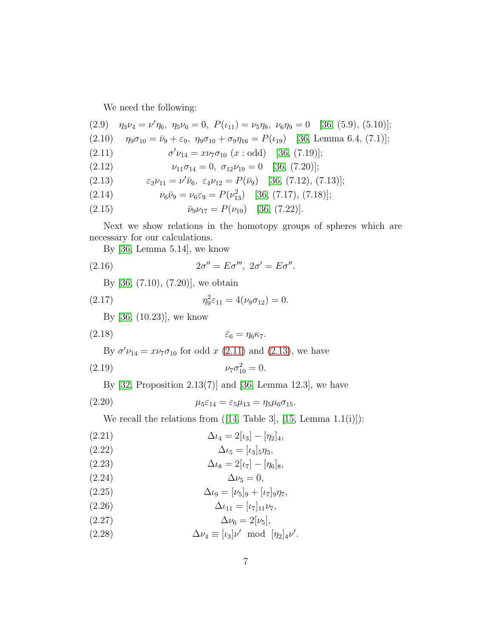We need the following:

 $\mathbf{r}$ 

<span id="page-6-15"></span><span id="page-6-10"></span>(2.9) 
$$
\eta_3 \nu_4 = \nu' \eta_6
$$
,  $\eta_5 \nu_6 = 0$ ,  $P(\iota_{11}) = \nu_5 \eta_8$ ,  $\nu_6 \eta_9 = 0$  [36, (5.9), (5.10)];  
(2.10)  $\eta_9 \sigma_{10} = \bar{\nu}_9 + \varepsilon_9$ ,  $\eta_9 \sigma_{10} + \sigma_9 \eta_{16} = P(\iota_{19})$  [36, Lemma 6.4, (7.1)];

<span id="page-6-0"></span>(2.11) 
$$
\sigma' \nu_{14} = x \nu_7 \sigma_{10} \ (x : \text{odd}) \quad [36, (7.19)];
$$

<span id="page-6-5"></span>(2.12) 
$$
\nu_{11}\sigma_{14}=0, \ \sigma_{12}\nu_{19}=0 \quad [36, (7.20)];
$$

<span id="page-6-1"></span>(2.13) 
$$
\varepsilon_3 \nu_{11} = \nu' \bar{\nu}_6, \ \varepsilon_4 \nu_{12} = P(\bar{\nu}_9) \quad [36, (7.12), (7.13)];
$$

<span id="page-6-3"></span>(2.14) 
$$
\nu_6 \bar{\nu}_9 = \nu_6 \varepsilon_9 = P(\nu_{13}^2) \quad [36, (7.17), (7.18)];
$$

<span id="page-6-16"></span>(2.15) 
$$
\bar{\nu}_9 \nu_{17} = P(\nu_{19}) \quad [36, (7.22)].
$$

Next we show relations in the homotopy groups of spheres which are necessary for our calculations.

<span id="page-6-14"></span>By [\[36,](#page-54-3) Lemma 5.14], we know

(2.16) 
$$
2\sigma'' = E\sigma''' , 2\sigma' = E\sigma'''.
$$

By [\[36,](#page-54-3) (7.10), (7.20)], we obtain

(2.17) 
$$
\eta_9^2 \varepsilon_{11} = 4(\nu_9 \sigma_{12}) = 0.
$$

<span id="page-6-12"></span><span id="page-6-2"></span>By [\[36,](#page-54-3) (10.23)], we know

$$
\bar{\varepsilon}_6 = \eta_6 \kappa_7.
$$

By  $\sigma' \nu_{14} = x \nu_7 \sigma_{10}$  for odd  $x$  [\(2.11\)](#page-6-0) and [\(2.13\)](#page-6-1), we have

$$
(2.19) \t\t\t\nu_7 \sigma_{10}^2 = 0.
$$

<span id="page-6-18"></span>By  $[32,$  Proposition  $2.13(7)$ ] and  $[36,$  Lemma 12.3], we have

(2.20) 
$$
\mu_5 \varepsilon_{14} = \varepsilon_5 \mu_{13} = \eta_5 \mu_6 \sigma_{15}.
$$

<span id="page-6-11"></span>We recall the relations from  $([14, \text{ Table 3}], [15, \text{ Lemma 1.1(i)}])$  $([14, \text{ Table 3}], [15, \text{ Lemma 1.1(i)}])$  $([14, \text{ Table 3}], [15, \text{ Lemma 1.1(i)}])$  $([14, \text{ Table 3}], [15, \text{ Lemma 1.1(i)}])$  $([14, \text{ Table 3}], [15, \text{ Lemma 1.1(i)}])$ :

<span id="page-6-7"></span>(2.21) 
$$
\Delta \iota_4 = 2[\iota_3] - [\eta_2]_4,
$$

$$
\Delta \iota_5 = [\iota_3]_5 \eta_3,
$$

<span id="page-6-13"></span>(2.23) 
$$
\Delta \iota_8 = 2[\iota_7] - [\eta_6]_8,
$$

<span id="page-6-9"></span>
$$
\Delta \nu_5 = 0,
$$

<span id="page-6-6"></span>
$$
\Delta \iota_9 = [\nu_5]_9 + [\iota_7]_9 \eta_7,
$$

<span id="page-6-17"></span>
$$
(2.26) \t\t \t\t \Delta \iota_{11} = [\iota_7]_{11} \nu_7,
$$

<span id="page-6-4"></span>
$$
\Delta \nu_6 = 2[\nu_5],
$$

<span id="page-6-8"></span>(2.28)  $\Delta \nu_4 \equiv [\iota_3] \nu' \mod [\eta_2]_4 \nu'.$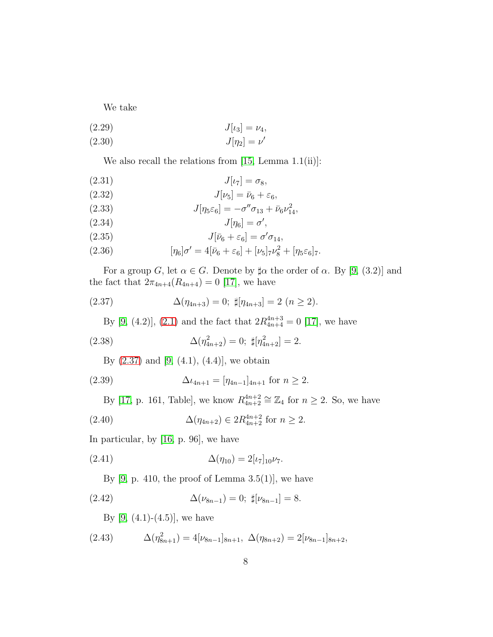We take

$$
(2.29) \t\t J[\iota_3] = \nu_4,
$$

$$
(2.30) \t\t J[\eta_2] = \nu'
$$

We also recall the relations from  $[15, \text{Lemma } 1.1(ii)]$ :

<span id="page-7-3"></span>
$$
J[\iota_7] = \sigma_8,
$$

<span id="page-7-6"></span>
$$
J[\nu_5] = \bar{\nu}_6 + \varepsilon_6,
$$

(2.33) 
$$
J[\eta_5 \varepsilon_6] = -\sigma'' \sigma_{13} + \bar{\nu}_6 \nu_{14}^2,
$$

$$
J[\eta_6] = \sigma',
$$

<span id="page-7-4"></span>(2.35) 
$$
J[\bar{\nu}_6 + \varepsilon_6] = \sigma' \sigma_{14},
$$

(2.36) 
$$
[\eta_6]\sigma' = 4[\bar{\nu}_6 + \varepsilon_6] + [\nu_5]_7\nu_8^2 + [\eta_5\varepsilon_6]_7.
$$

For a group G, let  $\alpha \in G$ . Denote by  $\sharp \alpha$  the order of  $\alpha$ . By [\[9,](#page-52-9) (3.2)] and the fact that  $2\pi_{4n+4}(R_{4n+4}) = 0$  [\[17\]](#page-52-0), we have

(2.37) 
$$
\Delta(\eta_{4n+3}) = 0; \sharp[\eta_{4n+3}] = 2 \ (n \geq 2).
$$

<span id="page-7-1"></span><span id="page-7-0"></span>By [\[9,](#page-52-9) (4.2)], [\(2.1\)](#page-4-0) and the fact that  $2R_{4n+4}^{4n+3} = 0$  [\[17\]](#page-52-0), we have

(2.38) 
$$
\Delta(\eta_{4n+2}^2) = 0; \ \sharp[\eta_{4n+2}^2] = 2.
$$

<span id="page-7-5"></span>By  $(2.37)$  and  $[9, (4.1), (4.4)]$ , we obtain

(2.39) 
$$
\Delta \iota_{4n+1} = [\eta_{4n-1}]_{4n+1} \text{ for } n \geq 2.
$$

<span id="page-7-2"></span>By [\[17,](#page-52-0) p. 161, Table], we know  $R_{4n+2}^{4n+2} \cong \mathbb{Z}_4$  for  $n \geq 2$ . So, we have

(2.40) 
$$
\Delta(\eta_{4n+2}) \in 2R_{4n+2}^{4n+2} \text{ for } n \ge 2.
$$

In particular, by [\[16,](#page-52-4) p. 96], we have

(2.41) 
$$
\Delta(\eta_{10}) = 2[\iota_7]_{10}\nu_7.
$$

<span id="page-7-7"></span>By  $[9, p. 410,$  the proof of Lemma 3.5(1)], we have

(2.42) 
$$
\Delta(\nu_{8n-1}) = 0; \ \sharp[\nu_{8n-1}] = 8.
$$

By  $[9, (4.1)-(4.5)]$ , we have

(2.43) 
$$
\Delta(\eta_{8n+1}^2) = 4[\nu_{8n-1}]_{8n+1}, \ \Delta(\eta_{8n+2}) = 2[\nu_{8n-1}]_{8n+2},
$$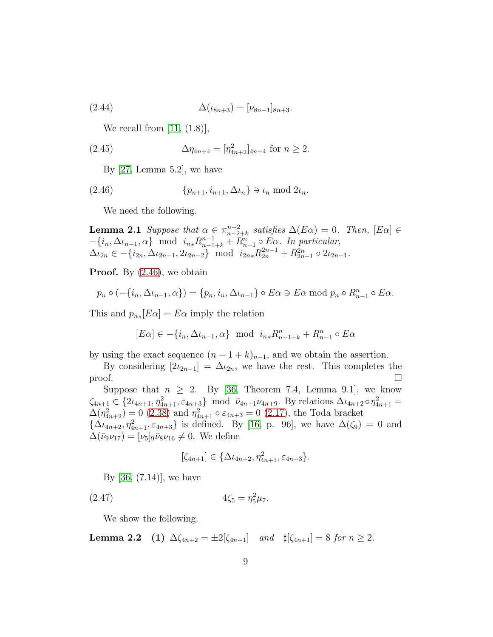(2.44) 
$$
\Delta(\iota_{8n+3}) = [\nu_{8n-1}]_{8n+3}.
$$

<span id="page-8-3"></span>We recall from  $[11, (1.8)],$ 

(2.45) 
$$
\Delta \eta_{4n+4} = [\eta_{4n+2}^2]_{4n+4} \text{ for } n \ge 2.
$$

<span id="page-8-0"></span>By [\[27,](#page-53-7) Lemma 5.2], we have

$$
(2.46) \qquad \{p_{n+1}, i_{n+1}, \Delta \iota_n\} \ni \iota_n \bmod 2\iota_n.
$$

<span id="page-8-2"></span>We need the following.

**Lemma 2.1** *Suppose that*  $\alpha \in \pi_{n-2}^{n-2}$  $n^{-2}_{n-2+k}$  satisfies  $\Delta(E\alpha) = 0$ . Then,  $[E\alpha] \in$  $-\{i_n, \Delta\iota_{n-1}, \alpha\}$  mod  $i_{n*}R_{n-1+k}^{n-1} + R_{n-1}^n \circ E\alpha$ . In particular,  $\Delta \iota_{2n} \in -\{i_{2n}, \Delta \iota_{2n-1}, 2\iota_{2n-2}\}$  mod  $i_{2n*}R_{2n}^{2n-1} + R_{2n-1}^{2n} \circ 2\iota_{2n-1}$ .

**Proof.** By  $(2.46)$ , we obtain

$$
p_n \circ (-\{i_n, \Delta t_{n-1}, \alpha\}) = \{p_n, i_n, \Delta t_{n-1}\} \circ E \alpha \ni E \alpha \bmod p_n \circ R_{n-1}^n \circ E \alpha.
$$

This and  $p_{n*}[E\alpha] = E\alpha$  imply the relation

$$
[E\alpha]\in -\{i_n,\Delta\iota_{n-1},\alpha\}\ \ \text{mod}\ \ i_{n*}R^n_{n-1+k}+R^n_{n-1}\circ E\alpha
$$

by using the exact sequence  $(n - 1 + k)_{n-1}$ , and we obtain the assertion.

By considering  $[2i_{2n-1}] = \Delta_{i_{2n}}$ , we have the rest. This completes the  $\Box$ 

Suppose that  $n \geq 2$ . By [\[36,](#page-54-3) Theorem 7.4, Lemma 9.1], we know  $\zeta_{4n+1} \in \{2\iota_{4n+1}, \eta_{4n+1}^2, \varepsilon_{4n+3}\} \mod \bar{\nu}_{4n+1}\nu_{4n+9}$ . By relations  $\Delta \iota_{4n+2} \circ \eta_{4n+1}^2 =$  $\Delta(\eta_{4n+2}^2) = 0$  [\(2.38\)](#page-7-1) and  $\eta_{4n+1}^2 \circ \varepsilon_{4n+3} = 0$  [\(2.17\)](#page-6-2), the Toda bracket

 $\{\Delta_{l_4n+2}, \eta_{4n+1}^2, \varepsilon_{4n+3}\}\$  is defined. By [\[16,](#page-52-4) p. 96], we have  $\Delta(\zeta_9) = 0$  and  $\Delta(\bar{\nu}_9 \nu_{17}) = [\nu_5]_9 \bar{\nu}_8 \nu_{16} \neq 0$ . We define

<span id="page-8-4"></span><span id="page-8-1"></span>
$$
[\zeta_{4n+1}] \in \{\Delta \iota_{4n+2}, \eta_{4n+1}^2, \varepsilon_{4n+3}\}.
$$

By [\[36,](#page-54-3) (7.14)], we have

(2.47) 
$$
4\zeta_5 = \eta_5^2 \mu_7.
$$

We show the following.

Lemma 2.2 (1)  $\Delta \zeta_{4n+2} = \pm 2[\zeta_{4n+1}]$  *and*  $\sharp [\zeta_{4n+1}] = 8$  *for*  $n \geq 2$ *.*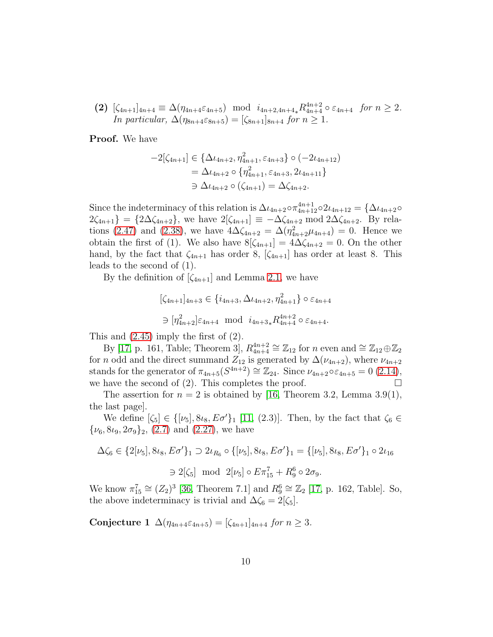(2)  $[\zeta_{4n+1}]_{4n+4} \equiv \Delta(\eta_{4n+4}\varepsilon_{4n+5}) \mod i_{4n+2,4n+4} R_{4n+4}^{4n+2} \circ \varepsilon_{4n+4}$  *for*  $n \geq 2$ *. In particular,*  $\Delta(\eta_{8n+4}\varepsilon_{8n+5}) = [\zeta_{8n+1}]_{8n+4}$  *for*  $n \ge 1$ *.* 

Proof. We have

$$
-2[\zeta_{4n+1}] \in \{\Delta \iota_{4n+2}, \eta_{4n+1}^2, \varepsilon_{4n+3}\} \circ (-2\iota_{4n+12})
$$
  
=  $\Delta \iota_{4n+2} \circ \{\eta_{4n+1}^2, \varepsilon_{4n+3}, 2\iota_{4n+11}\}$   
 $\supset \Delta \iota_{4n+2} \circ (\zeta_{4n+1}) = \Delta \zeta_{4n+2}.$ 

Since the indeterminacy of this relation is  $\Delta \iota_{4n+2} \circ \pi_{4n+12}^{4n+1} \circ 2\iota_{4n+12} = {\Delta \iota_{4n+2} \circ \pi_{4n+12}^{4n+1}}$  $2\zeta_{4n+1}$ } = {2 $\Delta\zeta_{4n+2}$ }, we have  $2[\zeta_{4n+1}] \equiv -\Delta\zeta_{4n+2} \mod 2\Delta\zeta_{4n+2}$ . By rela-tions [\(2.47\)](#page-8-1) and [\(2.38\)](#page-7-1), we have  $4\Delta\zeta_{4n+2} = \Delta(\eta_{4n+2}^2\mu_{4n+4}) = 0$ . Hence we obtain the first of (1). We also have  $8[\zeta_{4n+1}] = 4\Delta \zeta_{4n+2} = 0$ . On the other hand, by the fact that  $\zeta_{4n+1}$  has order 8,  $[\zeta_{4n+1}]$  has order at least 8. This leads to the second of (1).

By the definition of  $[\zeta_{4n+1}]$  and Lemma [2.1,](#page-8-2) we have

$$
[\zeta_{4n+1}]_{4n+3} \in \{i_{4n+3}, \Delta \iota_{4n+2}, \eta_{4n+1}^2\} \circ \varepsilon_{4n+4}
$$

$$
\supset [\eta_{4n+2}^2] \varepsilon_{4n+4} \mod i_{4n+3*} R_{4n+4}^{4n+2} \circ \varepsilon_{4n+4}.
$$

This and [\(2.45\)](#page-8-3) imply the first of (2).

By [\[17,](#page-52-0) p. 161, Table; Theorem 3],  $R_{4n+4}^{4n+2} \cong \mathbb{Z}_{12}$  for n even and  $\cong \mathbb{Z}_{12} \oplus \mathbb{Z}_2$ for *n* odd and the direct summand  $Z_{12}$  is generated by  $\Delta(\nu_{4n+2})$ , where  $\nu_{4n+2}$ stands for the generator of  $\pi_{4n+5}(S^{4n+2}) \cong \mathbb{Z}_{24}$ . Since  $\nu_{4n+2} \circ \varepsilon_{4n+5} = 0$  [\(2.14\)](#page-6-3), we have the second of (2). This completes the proof.  $\Box$ 

The assertion for  $n = 2$  is obtained by [\[16,](#page-52-4) Theorem 3.2, Lemma 3.9(1), the last page].

We define  $[\zeta_5] \in {\psi_5}, 8\iota_8, E\sigma'$ <sub>1</sub> [\[11,](#page-52-5) (2.3)]. Then, by the fact that  $\zeta_6 \in$  $\{\nu_6, 8\iota_9, 2\sigma_9\}_2$ , [\(2.7\)](#page-5-0) and [\(2.27\)](#page-6-4), we have

$$
\Delta \zeta_6 \in \{2[\nu_5], 8\iota_8, E\sigma'\}_1 \supset 2\iota_{R_6} \circ \{[\nu_5], 8\iota_8, E\sigma'\}_1 = \{[\nu_5], 8\iota_8, E\sigma'\}_1 \circ 2\iota_{16}
$$
  

$$
\supset 2[\zeta_5] \mod 2[\nu_5] \circ E\pi_{15}^7 + R_9^6 \circ 2\sigma_9.
$$

We know  $\pi_{15}^7 \cong (Z_2)^3$  [\[36,](#page-54-3) Theorem 7.1] and  $R_9^6 \cong \mathbb{Z}_2$  [\[17,](#page-52-0) p. 162, Table]. So, the above indeterminacy is trivial and  $\Delta \zeta_6 = 2[\zeta_5]$ .

Conjecture 1  $\Delta(\eta_{4n+4}\epsilon_{4n+5}) = [\zeta_{4n+1}]_{4n+4}$  *for*  $n \geq 3$ *.*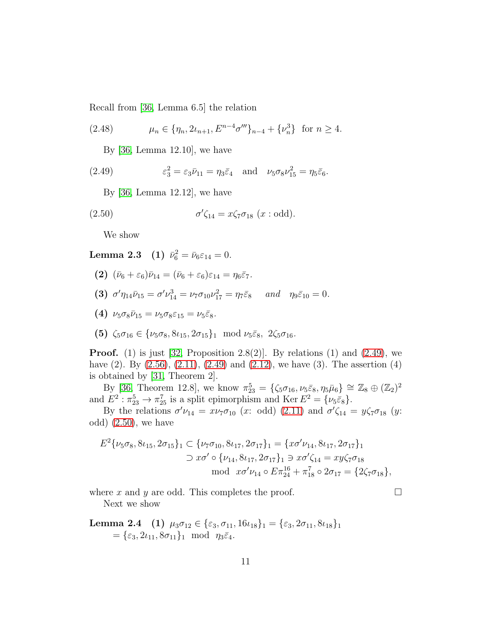Recall from [\[36,](#page-54-3) Lemma 6.5] the relation

(2.48) 
$$
\mu_n \in \{\eta_n, 2\iota_{n+1}, E^{n-4}\sigma''' \}_{n-4} + \{\nu_n^3\} \text{ for } n \ge 4.
$$

<span id="page-10-3"></span><span id="page-10-0"></span>By [\[36,](#page-54-3) Lemma 12.10], we have

(2.49) 
$$
\varepsilon_3^2 = \varepsilon_3 \bar{\nu}_{11} = \eta_3 \bar{\varepsilon}_4 \quad \text{and} \quad \nu_5 \sigma_8 \nu_{15}^2 = \eta_5 \bar{\varepsilon}_6.
$$

<span id="page-10-1"></span>By [\[36,](#page-54-3) Lemma 12.12], we have

(2.50) 
$$
\sigma'\zeta_{14} = x\zeta_7\sigma_{18} \ (\text{$x : \text{odd})}.
$$

<span id="page-10-2"></span>We show

Lemma 2.3 (1)  $\bar{\nu}_6^2 = \bar{\nu}_6 \varepsilon_{14} = 0$ .

- (2)  $(\bar{\nu}_6 + \varepsilon_6)\bar{\nu}_{14} = (\bar{\nu}_6 + \varepsilon_6)\varepsilon_{14} = \eta_6\bar{\varepsilon}_7.$
- (3)  $\sigma' \eta_{14} \bar{\nu}_{15} = \sigma' \nu_{14}^3 = \nu_7 \sigma_{10} \nu_{17}^2 = \eta_7 \bar{\varepsilon}_8$  *and*  $\eta_9 \bar{\varepsilon}_{10} = 0$ .
- (4)  $\nu_5 \sigma_8 \bar{\nu}_{15} = \nu_5 \sigma_8 \epsilon_{15} = \nu_5 \bar{\epsilon}_8$ .
- (5)  $\zeta_5 \sigma_{16} \in {\{\nu_5 \sigma_8, 8 \nu_{15}, 2 \sigma_{15}\}}_1 \mod \nu_5 \bar{\varepsilon}_8$ ,  $2 \zeta_5 \sigma_{16}$ *.*

**Proof.** (1) is just [\[32,](#page-53-8) Proposition 2.8(2)]. By relations (1) and [\(2.49\)](#page-10-0), we have  $(2)$ . By  $(2.56)$ ,  $(2.11)$ ,  $(2.49)$  and  $(2.12)$ , we have  $(3)$ . The assertion  $(4)$ is obtained by [\[31,](#page-53-9) Theorem 2].

By [\[36,](#page-54-3) Theorem 12.8], we know  $\pi_{23}^5 = {\zeta_5 \sigma_{16}, \nu_5 \bar{\varepsilon}_8, \eta_5 \bar{\mu}_6} \cong \mathbb{Z}_8 \oplus (\mathbb{Z}_2)^2$ and  $E^2$ :  $\pi_{23}^5 \rightarrow \pi_{25}^7$  is a split epimorphism and Ker  $E^2 = {\nu_5 \bar{\varepsilon}_8}.$ 

By the relations  $\sigma'\nu_{14} = x\nu_7\sigma_{10}$  (x: odd) [\(2.11\)](#page-6-0) and  $\sigma'\zeta_{14} = y\zeta_7\sigma_{18}$  (y: odd) [\(2.50\)](#page-10-1), we have

$$
E^2\{\nu_5\sigma_8, 8\nu_{15}, 2\sigma_{15}\}_1 \subset \{\nu_7\sigma_{10}, 8\nu_{17}, 2\sigma_{17}\}_1 = \{x\sigma'\nu_{14}, 8\nu_{17}, 2\sigma_{17}\}_1
$$
  
\n
$$
\supset x\sigma' \circ \{\nu_{14}, 8\nu_{17}, 2\sigma_{17}\}_1 \supset x\sigma'\zeta_{14} = xy\zeta_7\sigma_{18}
$$
  
\nmod  $x\sigma'\nu_{14} \circ E\pi_{24}^{16} + \pi_{18}^7 \circ 2\sigma_{17} = \{2\zeta_7\sigma_{18}\},$ 

where x and y are odd. This completes the proof.  $\Box$ 

<span id="page-10-4"></span>Next we show

**Lemma 2.4** (1) 
$$
\mu_3 \sigma_{12} \in \{\varepsilon_3, \sigma_{11}, 16 \mu_{18}\}_1 = \{\varepsilon_3, 2 \sigma_{11}, 8 \mu_{18}\}_1
$$
  
=  $\{\varepsilon_3, 2 \mu_{11}, 8 \sigma_{11}\}_1 \mod \eta_3 \overline{\varepsilon}_4.$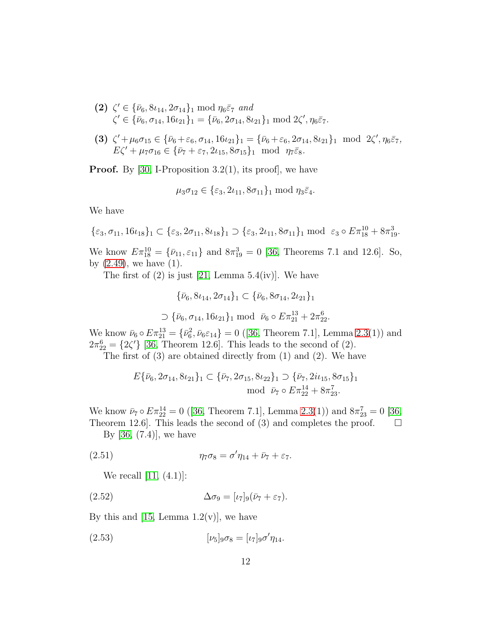- (2)  $\zeta' \in {\bar{\nu}_6, 8\nu_{14}, 2\sigma_{14}}_1 \mod \eta_6 \bar{\varepsilon}_7$  *and*  $\zeta' \in {\bar{\nu}_6, \sigma_{14}, 16\iota_{21}}_1 = {\bar{\nu}_6, 2\sigma_{14}, 8\iota_{21}}_1 \bmod 2\zeta', \eta_6\bar{\varepsilon}_7.$
- (3)  $\zeta' + \mu_6 \sigma_{15} \in {\bar{\nu}_6 + \varepsilon_6, \sigma_{14}, 16\nu_{21}}_1 = {\bar{\nu}_6 + \varepsilon_6, 2\sigma_{14}, 8\nu_{21}}_1 \mod 2\zeta', \eta_6 \bar{\varepsilon}_7,$  $E\zeta' + \mu_7\sigma_{16} \in {\bar{\nu}_7 + \varepsilon_7, 2\iota_{15}, 8\sigma_{15}}_1 \mod \eta_7\bar{\varepsilon}_8.$

**Proof.** By [\[30,](#page-53-4) I-Proposition 3.2(1), its proof], we have

$$
\mu_3 \sigma_{12} \in \{\varepsilon_3, 2\iota_{11}, 8\sigma_{11}\} \mod \eta_3 \bar{\varepsilon}_4.
$$

We have

$$
\{\varepsilon_3, \sigma_{11}, 16\iota_{18}\}_1 \subset \{\varepsilon_3, 2\sigma_{11}, 8\iota_{18}\}_1 \supset \{\varepsilon_3, 2\iota_{11}, 8\sigma_{11}\}_1 \bmod \ \varepsilon_3 \circ E\pi_{18}^{10} + 8\pi_{19}^3.
$$

We know  $E \pi_{18}^{10} = {\bar{\nu}_{11}, \epsilon_{11}}$  and  $8\pi_{19}^{3} = 0$  [\[36,](#page-54-3) Theorems 7.1 and 12.6]. So, by  $(2.49)$ , we have  $(1)$ .

The first of  $(2)$  is just  $[21, \text{Lemma } 5.4(iy)]$ . We have

$$
\{\bar{\nu}_6, 8\iota_{14}, 2\sigma_{14}\}_1 \subset \{\bar{\nu}_6, 8\sigma_{14}, 2\iota_{21}\}_1
$$
  

$$
\supset \{\bar{\nu}_6, \sigma_{14}, 16\iota_{21}\}_1 \text{ mod } \bar{\nu}_6 \circ E\pi_{21}^{13} + 2\pi_{22}^6.
$$

We know  $\bar{\nu}_6 \circ E \pi_{21}^{13} = {\bar{\nu}_6}^2$ ,  $\bar{\nu}_6 \varepsilon_{14}$  = 0 ([\[36,](#page-54-3) Theorem 7.1], Lemma [2.3\(](#page-10-2)1)) and  $2\pi_{22}^6 = \{2\zeta'\}\;[36, \text{ Theorem 12.6}].$  $2\pi_{22}^6 = \{2\zeta'\}\;[36, \text{ Theorem 12.6}].$  $2\pi_{22}^6 = \{2\zeta'\}\;[36, \text{ Theorem 12.6}].$  This leads to the second of (2).

The first of (3) are obtained directly from (1) and (2). We have

$$
E\{\bar{\nu}_6, 2\sigma_{14}, 8\iota_{21}\}_1 \subset \{\bar{\nu}_7, 2\sigma_{15}, 8\iota_{22}\}_1 \supset \{\bar{\nu}_7, 2i\iota_{15}, 8\sigma_{15}\}_1
$$
  
mod  $\bar{\nu}_7 \circ E\pi_{22}^{14} + 8\pi_{23}^7$ .

We know  $\bar{\nu}_7 \circ E \pi_{22}^{14} = 0$  ([\[36,](#page-54-3) Theorem 7.1], Lemma [2.3\(](#page-10-2)1)) and  $8\pi_{23}^7 = 0$  [\[36,](#page-54-3) Theorem 12.6. This leads the second of (3) and completes the proof.  $\Box$ 

By [\[36,](#page-54-3) (7.4)], we have

$$
(2.51) \qquad \qquad \eta_7 \sigma_8 = \sigma' \eta_{14} + \bar{\nu}_7 + \varepsilon_7.
$$

<span id="page-11-1"></span><span id="page-11-0"></span>We recall  $[11, (4.1)]$ :

$$
\Delta \sigma_9 = [\iota_7]_9(\bar{\nu}_7 + \varepsilon_7).
$$

By this and [\[15,](#page-52-3) Lemma  $1.2(v)$ ], we have

<span id="page-11-2"></span>(2.53) 
$$
[\nu_5]_9 \sigma_8 = [\nu_7]_9 \sigma' \eta_{14}.
$$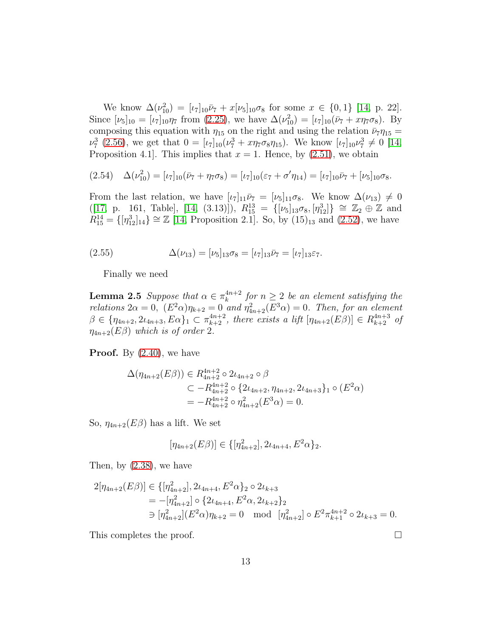We know  $\Delta(\nu_{10}^2) = [\iota_7]_{10}\bar{\nu}_7 + x[\nu_5]_{10}\sigma_8$  for some  $x \in \{0, 1\}$  [\[14,](#page-52-2) p. 22]. Since  $[\nu_5]_{10} = [\nu_7]_{10}\eta_7$  from [\(2.25\)](#page-6-6), we have  $\Delta(\nu_{10}^2) = [\nu_7]_{10}(\bar{\nu}_7 + x\eta_7\sigma_8)$ . By composing this equation with  $\eta_{15}$  on the right and using the relation  $\bar{\nu}_7 \eta_{15} =$  $\nu_7^3$  [\(2.56\)](#page-13-0), we get that  $0 = [\iota_7]_{10}(\nu_7^3 + \iota_7 \tau_8 \eta_{15})$ . We know  $[\iota_7]_{10} \nu_7^3 \neq 0$  [\[14,](#page-52-2) Proposition 4.1. This implies that  $x = 1$ . Hence, by  $(2.51)$ , we obtain

<span id="page-12-1"></span>
$$
(2.54) \quad \Delta(\nu_{10}^2) = [\iota_7]_{10}(\bar{\nu}_7 + \eta_7 \sigma_8) = [\iota_7]_{10}(\varepsilon_7 + \sigma'\eta_{14}) = [\iota_7]_{10}\bar{\nu}_7 + [\nu_5]_{10}\sigma_8.
$$

From the last relation, we have  $[\iota_7]_{11}\bar{\nu}_7 = [\nu_5]_{11}\sigma_8$ . We know  $\Delta(\nu_{13}) \neq 0$  $([17, p. 161, Table], [14, (3.13)], R_{15}^{13} = \{[\nu_5]_{13}\sigma_8, [\eta_{12}^3]\} \cong \mathbb{Z}_2 \oplus \mathbb{Z}$  $([17, p. 161, Table], [14, (3.13)], R_{15}^{13} = \{[\nu_5]_{13}\sigma_8, [\eta_{12}^3]\} \cong \mathbb{Z}_2 \oplus \mathbb{Z}$  $([17, p. 161, Table], [14, (3.13)], R_{15}^{13} = \{[\nu_5]_{13}\sigma_8, [\eta_{12}^3]\} \cong \mathbb{Z}_2 \oplus \mathbb{Z}$  $([17, p. 161, Table], [14, (3.13)], R_{15}^{13} = \{[\nu_5]_{13}\sigma_8, [\eta_{12}^3]\} \cong \mathbb{Z}_2 \oplus \mathbb{Z}$  $([17, p. 161, Table], [14, (3.13)], R_{15}^{13} = \{[\nu_5]_{13}\sigma_8, [\eta_{12}^3]\} \cong \mathbb{Z}_2 \oplus \mathbb{Z}$  and  $R_{15}^{14} = \{ [\eta_{12}^3]_{14} \} \cong \mathbb{Z}$  [\[14,](#page-52-2) Proposition 2.1]. So, by (15)<sub>13</sub> and [\(2.52\)](#page-11-1), we have

(2.55) 
$$
\Delta(\nu_{13}) = [\nu_5]_{13}\sigma_8 = [\nu_7]_{13}\bar{\nu}_7 = [\nu_7]_{13}\varepsilon_7.
$$

<span id="page-12-2"></span><span id="page-12-0"></span>Finally we need

**Lemma 2.5** *Suppose that*  $\alpha \in \pi_k^{4n+2}$  $h_k^{4n+2}$  for  $n \geq 2$  be an element satisfying the *relations*  $2\alpha = 0$ ,  $(E^2 \alpha)\eta_{k+2} = 0$  *and*  $\eta_{4n+2}^2(E^3 \alpha) = 0$ *. Then, for an element*  $\beta \in \{\eta_{4n+2}, 2\iota_{4n+3}, E\alpha\}_1 \subset \pi_{k+2}^{4n+2}$ , there exists a lift  $[\eta_{4n+2}(E\beta)] \in R_{k+2}^{4n+3}$  of  $\eta_{4n+2}(E\beta)$  *which is of order* 2*.* 

**Proof.** By  $(2.40)$ , we have

$$
\Delta(\eta_{4n+2}(E\beta)) \in R_{4n+2}^{4n+2} \circ 2\iota_{4n+2} \circ \beta
$$
  
\n
$$
\subset -R_{4n+2}^{4n+2} \circ \{2\iota_{4n+2}, \eta_{4n+2}, 2\iota_{4n+3}\}_1 \circ (E^2\alpha)
$$
  
\n
$$
= -R_{4n+2}^{4n+2} \circ \eta_{4n+2}^2(E^3\alpha) = 0.
$$

So,  $\eta_{4n+2}(E\beta)$  has a lift. We set

$$
[\eta_{4n+2}(E\beta)] \in \{[\eta_{4n+2}^2], 2\iota_{4n+4}, E^2\alpha\}_2.
$$

Then, by [\(2.38\)](#page-7-1), we have

$$
2[\eta_{4n+2}(E\beta)] \in \{[\eta_{4n+2}^2], 2\iota_{4n+4}, E^2\alpha\}_2 \circ 2\iota_{k+3}
$$
  
=  $[-[\eta_{4n+2}^2] \circ \{2\iota_{4n+4}, E^2\alpha, 2\iota_{k+2}\}_2$   
 $\Rightarrow [\eta_{4n+2}^2](E^2\alpha)\eta_{k+2} = 0 \mod [\eta_{4n+2}^2] \circ E^2\pi_{k+1}^{4n+2} \circ 2\iota_{k+3} = 0.$ 

This completes the proof.

13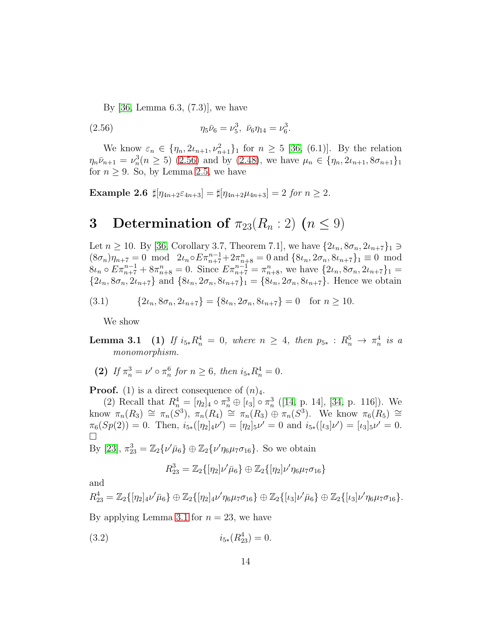<span id="page-13-0"></span>By [\[36,](#page-54-3) Lemma 6.3, (7.3)], we have

(2.56) 
$$
\eta_5 \bar{\nu}_6 = \nu_5^3, \ \bar{\nu}_6 \eta_{14} = \nu_6^3.
$$

We know  $\varepsilon_n \in \{\eta_n, 2\iota_{n+1}, \nu_{n+1}^2\}$  for  $n \geq 5$  [\[36,](#page-54-3) (6.1)]. By the relation  $\eta_n \bar{\nu}_{n+1} = \nu_n^3$  $n_n^3(n \geq 5)$  [\(2.56\)](#page-13-0) and by [\(2.48\)](#page-10-3), we have  $\mu_n \in \{\eta_n, 2\iota_{n+1}, 8\sigma_{n+1}\}\$ for  $n \geq 9$ . So, by Lemma [2.5,](#page-12-0) we have

<span id="page-13-4"></span>**Example 2.6**  $\sharp[\eta_{4n+2}\varepsilon_{4n+3}] = \sharp[\eta_{4n+2}\mu_{4n+3}] = 2$  *for*  $n \geq 2$ *.* 

### 3 Determination of  $\pi_{23}(R_n:2)$   $(n \leq 9)$

Let  $n \geq 10$ . By [\[36,](#page-54-3) Corollary 3.7, Theorem 7.1], we have  $\{2\iota_n, 8\sigma_n, 2\iota_{n+7}\}\_1 \ni$  $(8\sigma_n)\overline{\eta_{n+7}} = 0 \mod 2\iota_n \circ E\pi_{n+7}^{n-1} + 2\pi_{n+8}^n = 0 \text{ and } \{8\iota_n, 2\sigma_n, 8\iota_{n+7}\}_1 \equiv 0 \mod 8$  $8\iota_n \circ E \pi_{n+7}^{n-1} + 8\pi_{n+8}^n = 0.$  Since  $E \pi_{n+7}^{n-1} = \pi_{n+8}^n$ , we have  $\{2\iota_n, 8\sigma_n, 2\iota_{n+7}\}_1 =$  $\{2\iota_n, 8\sigma_n, 2\iota_{n+7}\}\$  and  $\{8\iota_n, 2\sigma_n, 8\iota_{n+7}\}\$  =  $\{8\iota_n, 2\sigma_n, 8\iota_{n+7}\}\$ . Hence we obtain

$$
(3.1) \qquad \{2\iota_n, 8\sigma_n, 2\iota_{n+7}\} = \{8\iota_n, 2\sigma_n, 8\iota_{n+7}\} = 0 \quad \text{for } n \ge 10.
$$

<span id="page-13-2"></span><span id="page-13-1"></span>We show

- **Lemma 3.1** (1) If  $i_{5*}R_n^4 = 0$ , where  $n \geq 4$ , then  $p_{5*}: R_n^5 \to \pi_n^4$  $\frac{4}{n}$  *is a monomorphism.*
- (2) If  $\pi_n^3 = \nu' \circ \pi_n^6$  $\frac{6}{n}$  *for*  $n \ge 6$ *, then*  $i_{5*}R_n^4 = 0$ *.*

**Proof.** (1) is a direct consequence of  $(n)_4$ .

(2) Recall that  $R_n^4 = [\eta_2]_4 \circ \pi_n^3 \oplus [\iota_3] \circ \pi_n^3$  $\frac{3}{n}$  ([\[14,](#page-52-2) p. 14], [\[34,](#page-54-0) p. 116]). We know  $\pi_n(R_3) \cong \pi_n(S^3)$ ,  $\pi_n(R_4) \cong \pi_n(R_3) \oplus \pi_n(S^3)$ . We know  $\pi_6(R_5) \cong$  $\pi_6(Sp(2)) = 0$ . Then,  $i_{5*}([\eta_2]_4 \nu') = [\eta_2]_5 \nu' = 0$  and  $i_{5*}([\iota_3] \nu') = [\iota_3]_5 \nu' = 0$ .  $\Box$ 

By [\[23\]](#page-53-2),  $\pi_{23}^3 = \mathbb{Z}_2\{\nu'\bar{\mu}_6\} \oplus \mathbb{Z}_2\{\nu'\eta_6\mu_7\sigma_{16}\}$ . So we obtain

<span id="page-13-3"></span>
$$
R_{23}^3 = \mathbb{Z}_2\{[\eta_2]\nu'\bar{\mu}_6\} \oplus \mathbb{Z}_2\{[\eta_2]\nu'\eta_6\mu_7\sigma_{16}\}\
$$

and

$$
R_{23}^4 = \mathbb{Z}_2\{[\eta_2]_4 \nu' \bar{\mu}_6\} \oplus \mathbb{Z}_2\{[\eta_2]_4 \nu' \eta_6 \mu_7 \sigma_{16}\} \oplus \mathbb{Z}_2\{[\iota_3] \nu' \bar{\mu}_6\} \oplus \mathbb{Z}_2\{[\iota_3] \nu' \eta_6 \mu_7 \sigma_{16}\}.
$$

By applying Lemma [3.1](#page-13-1) for  $n = 23$ , we have

$$
(3.2) \t\t\t i_{5*}(R_{23}^4) = 0.
$$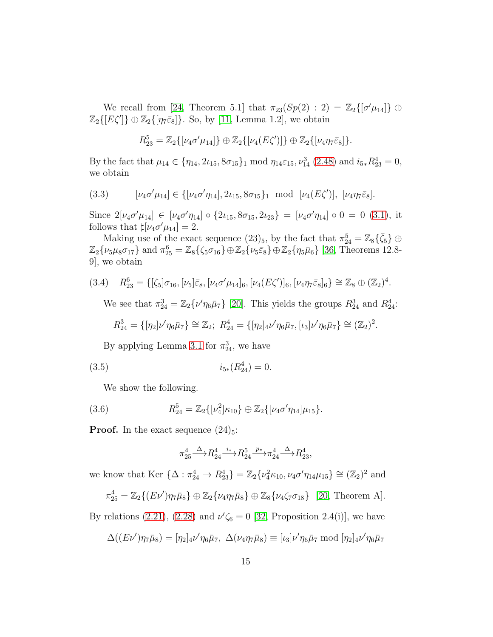We recall from [\[24,](#page-53-1) Theorem 5.1] that  $\pi_{23}(Sp(2) : 2) = \mathbb{Z}_2\{[\sigma'\mu_{14}]\}\oplus$  $\mathbb{Z}_2\{[E\zeta']\}\oplus\mathbb{Z}_2\{[\eta_7\bar{\varepsilon}_8]\}\.$  So, by [\[11,](#page-52-5) Lemma 1.2], we obtain

$$
R_{23}^5 = \mathbb{Z}_2\{[\nu_4\sigma'\mu_{14}]\} \oplus \mathbb{Z}_2\{[\nu_4(E\zeta')] \} \oplus \mathbb{Z}_2\{[\nu_4\eta_7\bar{\varepsilon}_8]\}.
$$

By the fact that  $\mu_{14} \in {\eta_{14}, 2\iota_{15}, 8\sigma_{15}}_1 \mod \eta_{14}\varepsilon_{15}, \nu_{14}^3$  [\(2.48\)](#page-10-3) and  $i_{5*}R_{23}^4 = 0$ , we obtain

<span id="page-14-2"></span>(3.3) 
$$
[\nu_4 \sigma' \mu_{14}] \in \{ [\nu_4 \sigma' \eta_{14}], 2 \nu_{15}, 8 \sigma_{15} \}_1 \text{ mod } [\nu_4 (E \zeta')], [\nu_4 \eta_7 \bar{\varepsilon}_8].
$$

Since  $2[\nu_4\sigma'\mu_{14}] \in [\nu_4\sigma'\eta_{14}] \circ \{2\iota_{15}, 8\sigma_{15}, 2\iota_{23}\} = [\nu_4\sigma'\eta_{14}] \circ 0 = 0$  [\(3.1\)](#page-13-2), it follows that  $\sharp[\nu_4 \sigma' \mu_{14}] = 2$ .

Making use of the exact sequence  $(23)_5$ , by the fact that  $\pi_{24}^5 = \mathbb{Z}_8\{\bar{\zeta}_5\} \oplus$  $\mathbb{Z}_2\{\nu_5\mu_8\sigma_{17}\}\$  and  $\pi_{25}^6 = \mathbb{Z}_8\{\zeta_5\sigma_{16}\}\oplus \mathbb{Z}_2\{\nu_5\bar{\varepsilon}_8\}\oplus \mathbb{Z}_2\{\eta_5\bar{\mu}_6\}$  [\[36,](#page-54-3) Theorems 12.8-9], we obtain

$$
(3.4) \quad R_{23}^6 = \{ [\zeta_5] \sigma_{16}, [\nu_5] \bar{\varepsilon}_8, [\nu_4 \sigma' \mu_{14}]_6, [\nu_4 (E\zeta')]_6, [\nu_4 \eta_7 \bar{\varepsilon}_8]_6 \} \cong \mathbb{Z}_8 \oplus (\mathbb{Z}_2)^4.
$$

<span id="page-14-1"></span>We see that  $\pi_{24}^3 = \mathbb{Z}_2 \{\nu' \eta_6 \bar{\mu}_7\}$  [\[20\]](#page-53-3). This yields the groups  $R_{24}^3$  and  $R_{24}^4$ :

$$
R_{24}^3 = \{ [\eta_2] \nu' \eta_6 \bar{\mu}_7 \} \cong \mathbb{Z}_2; \ R_{24}^4 = \{ [\eta_2]_4 \nu' \eta_6 \bar{\mu}_7, [\iota_3] \nu' \eta_6 \bar{\mu}_7 \} \cong (\mathbb{Z}_2)^2.
$$

By applying Lemma [3.1](#page-13-1) for  $\pi_{24}^3$ , we have

$$
(3.5) \t\t\t i_{5*}(R_{24}^4) = 0.
$$

We show the following.

(3.6) 
$$
R_{24}^5 = \mathbb{Z}_2\{[\nu_4^2] \kappa_{10}\} \oplus \mathbb{Z}_2\{[\nu_4 \sigma' \eta_{14}] \mu_{15}\}.
$$

**Proof.** In the exact sequence  $(24)_5$ :

<span id="page-14-3"></span><span id="page-14-0"></span>
$$
\pi_{25}^4 \stackrel{\Delta}{\longrightarrow} R_{24}^4 \stackrel{i_*}{\longrightarrow} R_{24}^5 \stackrel{p_*}{\longrightarrow} \pi_{24}^4 \stackrel{\Delta}{\longrightarrow} R_{23}^4,
$$

we know that Ker  $\{\Delta : \pi_{24}^4 \to R_{23}^4\} = \mathbb{Z}_2\{\nu_4^2 \kappa_{10}, \nu_4 \sigma' \eta_{14} \mu_{15}\} \cong (\mathbb{Z}_2)^2$  and

$$
\pi_{25}^4 = \mathbb{Z}_2\{(E\nu')\eta_7\bar{\mu}_8\} \oplus \mathbb{Z}_2\{\nu_4\eta_7\bar{\mu}_8\} \oplus \mathbb{Z}_8\{\nu_4\zeta_7\sigma_{18}\} \quad [20, \text{ Theorem A}].
$$

By relations [\(2.21\)](#page-6-7), [\(2.28\)](#page-6-8) and  $\nu' \zeta_6 = 0$  [\[32,](#page-53-8) Proposition 2.4(i)], we have

$$
\Delta((E\nu')\eta_7\bar{\mu}_8) = [\eta_2]_4\nu'\eta_6\bar{\mu}_7, \ \Delta(\nu_4\eta_7\bar{\mu}_8) \equiv [\iota_3]\nu'\eta_6\bar{\mu}_7 \bmod [\eta_2]_4\nu'\eta_6\bar{\mu}_7
$$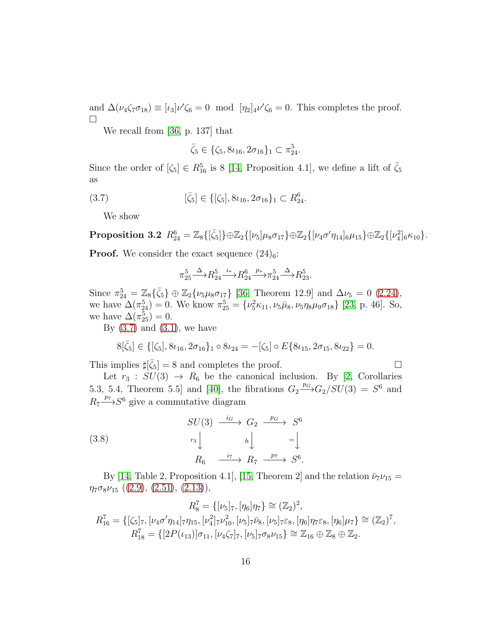and  $\Delta(\nu_4\zeta_7\sigma_{18}) \equiv [\iota_3]\nu'\zeta_6 = 0 \mod [\eta_2]_4\nu'\zeta_6 = 0$ . This completes the proof.  $\Box$ 

We recall from [\[36,](#page-54-3) p. 137] that

<span id="page-15-0"></span>
$$
\bar{\zeta}_5 \in \{\zeta_5, 8\iota_{16}, 2\sigma_{16}\}_1 \subset \pi_{24}^5.
$$

Since the order of  $[\zeta_5] \in R_{16}^5$  is 8 [\[14,](#page-52-2) Proposition 4.1], we define a lift of  $\bar{\zeta}_5$ as

(3.7) 
$$
[\bar{\zeta}_5] \in \{[\zeta_5], 8\iota_{16}, 2\sigma_{16}\}_1 \subset R_{24}^6.
$$

<span id="page-15-2"></span>We show

 $\textbf{Proposition 3.2} \ \ R_{24}^6 = \mathbb{Z}_8\{[\bar{\zeta}_5]\} \oplus \mathbb{Z}_2\{[\nu_5]\mu_8\sigma_{17}\} \oplus \mathbb{Z}_2\{[\nu_4\sigma'\eta_{14}]_6\mu_{15}\} \oplus \mathbb{Z}_2\{[\nu_4^2]_6\kappa_{10}\}.$ 

**Proof.** We consider the exact sequence  $(24)_6$ :

$$
\pi_{25}^5 \xrightarrow{\Delta} R_{24}^5 \xrightarrow{i_*} R_{24}^6 \xrightarrow{p_*} \pi_{24}^5 \xrightarrow{\Delta} R_{23}^5.
$$

Since  $\pi_{24}^5 = \mathbb{Z}_8\{\bar{\zeta}_5\} \oplus \mathbb{Z}_2\{\nu_5\mu_8\sigma_{17}\}\$  [\[36,](#page-54-3) Theorem 12.9] and  $\Delta \nu_5 = 0$  [\(2.24\)](#page-6-9), we have  $\Delta(\pi_{24}^5) = 0$ . We know  $\pi_{25}^5 = {\nu_5^2 \kappa_{11}, \nu_5 \bar{\mu}_8, \nu_5 \eta_8 \mu_9 \sigma_{18}}$  [\[23,](#page-53-2) p. 46]. So, we have  $\Delta(\pi_{25}^5)=0$ .

By  $(3.7)$  and  $(3.1)$ , we have

$$
8[\bar{\zeta}_5] \in \{[\zeta_5], 8\iota_{16}, 2\sigma_{16}\}_1 \circ 8\iota_{24} = -[\zeta_5] \circ E\{8\iota_{15}, 2\sigma_{15}, 8\iota_{22}\} = 0.
$$

This implies  $\sharp[\bar{\zeta}_5] = 8$  and completes the proof.

Let  $r_3 : SU(3) \rightarrow R_6$  be the canonical inclusion. By [\[2,](#page-51-2) Corollaries 5.3, 5.4, Theorem 5.5 and [\[40\]](#page-54-7), the fibrations  $G_2 \xrightarrow{p_G} G_2/SU(3) = S^6$  and  $R_7 \longrightarrow S^6$  give a commutative diagram

<span id="page-15-1"></span>(3.8)  
\n
$$
SU(3) \xrightarrow{i_G} G_2 \xrightarrow{p_G} S^6
$$
\n
$$
r_3 \downarrow \qquad h \downarrow \qquad = \downarrow
$$
\n
$$
R_6 \xrightarrow{i_7} R_7 \xrightarrow{p_7} S^6.
$$

By [\[14,](#page-52-2) Table 2, Proposition 4.1], [\[15,](#page-52-3) Theorem 2] and the relation  $\bar{\nu}_7 \nu_{15} =$  $\eta_7\sigma_8\nu_{15}$  ([\(2.9\)](#page-6-10), [\(2.51\)](#page-11-0), [\(2.13\)](#page-6-1)),

$$
R_8^7 = \{ [\nu_5]_7, [\eta_6] \eta_7 \} \cong (\mathbb{Z}_2)^2,
$$
  
\n
$$
R_{16}^7 = \{ [\zeta_5]_7, [\nu_4 \sigma' \eta_{14}]_7 \eta_{15}, [\nu_4^2]_7 \nu_{10}^2, [\nu_5]_7 \bar{\nu}_8, [\nu_5]_7 \bar{\nu}_8, [\eta_6] \eta_7 \bar{\varepsilon}_8, [\eta_6] \mu_7 \} \cong (\mathbb{Z}_2)^7,
$$
  
\n
$$
R_{18}^7 = \{ [2P(\nu_{13})] \sigma_{11}, [\nu_4 \zeta_7]_7, [\nu_5]_7 \sigma_8 \nu_{15} \} \cong \mathbb{Z}_{16} \oplus \mathbb{Z}_8 \oplus \mathbb{Z}_2.
$$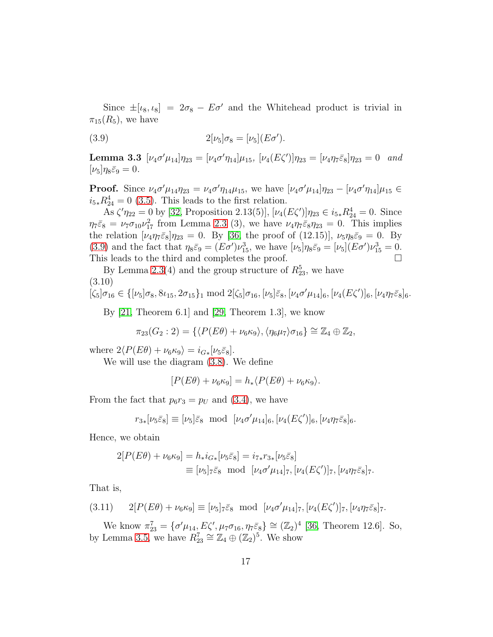Since  $\pm[\iota_8, \iota_8] = 2\sigma_8 - E\sigma'$  and the Whitehead product is trivial in  $\pi_{15}(R_5)$ , we have

<span id="page-16-2"></span><span id="page-16-0"></span>(3.9) 
$$
2[\nu_5]\sigma_8 = [\nu_5](E\sigma').
$$

**Lemma 3.3**  $[\nu_4 \sigma' \mu_{14}] \eta_{23} = [\nu_4 \sigma' \eta_{14}] \mu_{15}$ ,  $[\nu_4 (E \zeta')] \eta_{23} = [\nu_4 \eta_7 \bar{\varepsilon}_8] \eta_{23} = 0$  and  $[\nu_5]\eta_8\bar{\varepsilon}_9=0.$ 

**Proof.** Since  $\nu_4 \sigma' \mu_{14} \eta_{23} = \nu_4 \sigma' \eta_{14} \mu_{15}$ , we have  $[\nu_4 \sigma' \mu_{14}] \eta_{23} - [\nu_4 \sigma' \eta_{14}] \mu_{15} \in$  $i_{5*}R_{24}^4 = 0$  [\(3.5\)](#page-14-0). This leads to the first relation.

As  $\zeta' \eta_{22} = 0$  by [\[32,](#page-53-8) Proposition 2.13(5)],  $[\nu_4(E\zeta')] \eta_{23} \in i_{5*} R_{24}^4 = 0$ . Since  $\eta_7\bar{\varepsilon}_8 = \nu_7\sigma_{10}\nu_{17}^2$  from Lemma [2.3](#page-10-2) (3), we have  $\nu_4\eta_7\bar{\varepsilon}_8\eta_{23} = 0$ . This implies the relation  $[\nu_4 \eta_7 \bar{\varepsilon}_8] \eta_{23} = 0$ . By [\[36,](#page-54-3) the proof of (12.15)],  $\nu_5 \eta_8 \bar{\varepsilon}_9 = 0$ . By [\(3.9\)](#page-16-0) and the fact that  $\eta_8\bar{\varepsilon}_9 = (E\sigma')\nu_{15}^3$ , we have  $[\nu_5]\eta_8\bar{\varepsilon}_9 = [\nu_5](E\sigma')\nu_{15}^3 = 0$ . This leads to the third and completes the proof.  $\Box$ 

By Lemma [2.3\(](#page-10-2)4) and the group structure of  $R_{23}^5$ , we have (3.10)

<span id="page-16-4"></span>
$$
[\zeta_5]\sigma_{16} \in \{[\nu_5]\sigma_8, 8\iota_{15}, 2\sigma_{15}\}_1 \text{ mod } 2[\zeta_5]\sigma_{16}, [\nu_5]\bar{\varepsilon}_8, [\nu_4\sigma'\mu_{14}]_6, [\nu_4(E\zeta')]_6, [\nu_4\eta_7\bar{\varepsilon}_8]_6.
$$

By  $[21,$  Theorem 6.1 and  $[29,$  Theorem 1.3, we know

$$
\pi_{23}(G_2:2) = \{ \langle P(E\theta) + \nu_6 \kappa_9 \rangle, \langle \eta_6 \mu_7 \rangle \sigma_{16} \} \cong \mathbb{Z}_4 \oplus \mathbb{Z}_2,
$$

where  $2\langle P(E\theta) + \nu_6 \kappa_9 \rangle = i_{G*}[\nu_5 \bar{\varepsilon}_8].$ 

We will use the diagram [\(3.8\)](#page-15-1). We define

$$
[P(E\theta) + \nu_6 \kappa_9] = h_* \langle P(E\theta) + \nu_6 \kappa_9 \rangle.
$$

From the fact that  $p_6r_3 = p_U$  and [\(3.4\)](#page-14-1), we have

$$
r_{3*}[\nu_5\bar{\varepsilon}_8] \equiv [\nu_5]\bar{\varepsilon}_8 \mod [\nu_4\sigma'\mu_{14}]_6, [\nu_4(E\zeta')]_6, [\nu_4\eta_7\bar{\varepsilon}_8]_6.
$$

Hence, we obtain

<span id="page-16-3"></span>
$$
2[P(E\theta) + \nu_6 \kappa_9] = h_* i_{G*}[\nu_5 \bar{\varepsilon}_8] = i_{7*} r_{3*}[\nu_5 \bar{\varepsilon}_8]
$$
  
\n
$$
\equiv [\nu_5]_7 \bar{\varepsilon}_8 \mod [\nu_4 \sigma' \mu_{14}]_7, [\nu_4 (E\zeta')]_7, [\nu_4 \eta_7 \bar{\varepsilon}_8]_7.
$$

That is,

<span id="page-16-1"></span>
$$
(3.11) \qquad 2[P(E\theta) + \nu_6\kappa_9] \equiv [\nu_5]_7\bar{\varepsilon}_8 \mod [\nu_4\sigma'\mu_{14}]_7, [\nu_4(E\zeta')]_7, [\nu_4\eta_7\bar{\varepsilon}_8]_7.
$$

We know  $\pi_{23}^7 = {\sigma'\mu_{14}, E\zeta', \mu_7\sigma_{16}, \eta_7\bar{\varepsilon}_8} \cong (\mathbb{Z}_2)^4$  [\[36,](#page-54-3) Theorem 12.6]. So, by Lemma [3.5,](#page-17-0) we have  $R_{23}^7 \cong \mathbb{Z}_4 \oplus (\mathbb{Z}_2)^5$ . We show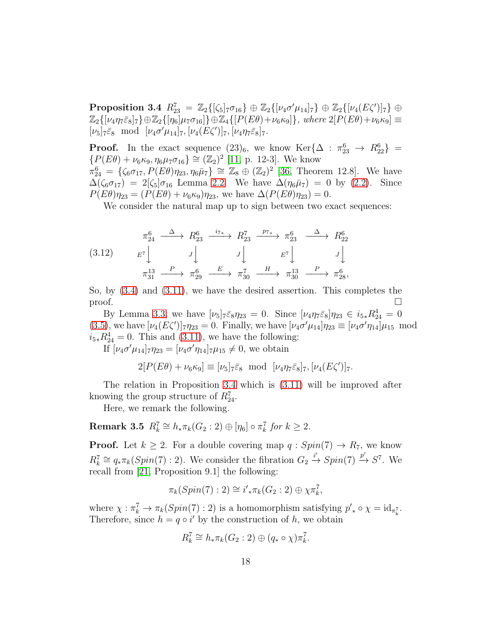$\textbf{Proposition 3.4} \ \ R_{23}^7 \ = \ \mathbb{Z}_2\{[\zeta_5]_7 \sigma_{16} \} \oplus \mathbb{Z}_2\{[\nu_4 \sigma' \mu_{14}]_7 \} \oplus \mathbb{Z}_2\{[\nu_4 (E\zeta')]_7 \} \ \oplus \ \ \mathbb{Z}_3\{[\nu_4 (E\zeta')]_7 \}$  $\mathbb{Z}_2\{[\nu_4\eta_7\bar{\varepsilon}_8]_7\}\oplus\mathbb{Z}_2\{[\eta_6]\mu_7\sigma_{16}]\}\oplus\mathbb{Z}_4\{[P(E\theta)+\nu_6\kappa_9]\},$  where  $2[P(E\theta)+\nu_6\kappa_9]\equiv$  $[\nu_5]_7\bar{\varepsilon}_8 \mod [\nu_4\sigma'\mu_{14}]_7, [\nu_4(E\zeta')]_7, [\nu_4\eta_7\bar{\varepsilon}_8]_7.$ 

**Proof.** In the exact sequence  $(23)_6$ , we know Ker $\{\Delta : \pi_{23}^6 \to R_{22}^6\}$  =  $\{P(E\theta) + \nu_6\kappa_9, \eta_6\mu_7\sigma_{16}\} \cong (\mathbb{Z}_2)^2$  [\[11,](#page-52-5) p. 12-3]. We know  $\pi_{24}^6 = {\zeta_6 \sigma_{17}, P(E\theta)\eta_{23}, \eta_6\bar{\mu}_7} \cong \mathbb{Z}_8 \oplus (\mathbb{Z}_2)^2$  [\[36,](#page-54-3) Theorem 12.8]. We have  $\overline{\Delta}(\zeta_6 \sigma_{17}) = 2[\zeta_5] \sigma_{16}$  Lemma [2.2.](#page-8-4) We have  $\Delta(\eta_6 \bar{\mu}_7) = 0$  by [\(2.2\)](#page-4-1). Since  $P(E\theta)\eta_{23} = (P(E\theta) + \nu_6\kappa_9)\eta_{23}$ , we have  $\Delta(P(E\theta)\eta_{23}) = 0$ .

We consider the natural map up to sign between two exact sequences:

(3.12) π 6 24 ∆ −−−→ R<sup>6</sup> 23 <sup>i</sup>7<sup>∗</sup> −−−→ R<sup>7</sup> 23 <sup>p</sup>7<sup>∗</sup> −−−→ π 6 23 ∆ −−−→ R<sup>6</sup> 22 E<sup>7</sup> y J y J y E<sup>7</sup> y J y π 13 31 P −−−→ π 6 29 E −−−→ π 7 30 H −−−→ π 13 30 P −−−→ π 6 28,

So, by  $(3.4)$  and  $(3.11)$ , we have the desired assertion. This completes the  $\Box$ 

By Lemma [3.3,](#page-16-2) we have  $[\nu_5]_7 \bar{\varepsilon}_8 \eta_{23} = 0$ . Since  $[\nu_4 \eta_7 \bar{\varepsilon}_8] \eta_{23} \in i_{5*} R_{24}^4 = 0$ [\(3.5\)](#page-14-0), we have  $[\nu_4(E\zeta')]_7 \eta_{23} = 0$ . Finally, we have  $[\nu_4 \sigma' \mu_{14}] \eta_{23} \equiv [\nu_4 \sigma' \eta_{14}] \mu_{15} \mod 1$  $i_{5*}R_{24}^4 = 0$ . This and [\(3.11\)](#page-16-1), we have the following:

If  $[\nu_4 \sigma' \mu_{14}]_7 \eta_{23} = [\nu_4 \sigma' \eta_{14}]_7 \mu_{15} \neq 0$ , we obtain

$$
2[P(E\theta) + \nu_6 \kappa_9] \equiv [\nu_5]_7 \bar{\varepsilon}_8 \text{ mod } [\nu_4 \eta_7 \bar{\varepsilon}_8]_7, [\nu_4(E\zeta')]_7.
$$

The relation in Proposition [3.4](#page-16-3) which is [\(3.11\)](#page-16-1) will be improved after knowing the group structure of  $R_{24}^7$ .

<span id="page-17-0"></span>Here, we remark the following.

 $\textbf{Remark 3.5} \ \ R_k^7 \cong h_*\pi_k(G_2:2) \oplus [\eta_6] \circ \pi_k^7$  $\int_{k}^{7}$  *for*  $k \geq 2$ *.* 

**Proof.** Let  $k \geq 2$ . For a double covering map  $q : Spin(7) \rightarrow R_7$ , we know  $R_k^7 \cong q_* \pi_k(Spin(7):2)$ . We consider the fibration  $G_2 \stackrel{i'}{\rightarrow} Spin(7) \stackrel{p'}{\rightarrow} S^7$ . We recall from [\[21,](#page-53-0) Proposition 9.1] the following:

$$
\pi_k(Spin(7):2) \cong i'_{*}\pi_k(G_2:2) \oplus \chi \pi_k^7,
$$

where  $\chi : \pi_k^7 \to \pi_k(Spin(7) : 2)$  is a homomorphism satisfying  $p'_* \circ \chi = id_{\pi_k^7}$ . Therefore, since  $h = q \circ i'$  by the construction of h, we obtain

$$
R_k^7 \cong h_* \pi_k(G_2:2) \oplus (q_* \circ \chi) \pi_k^7.
$$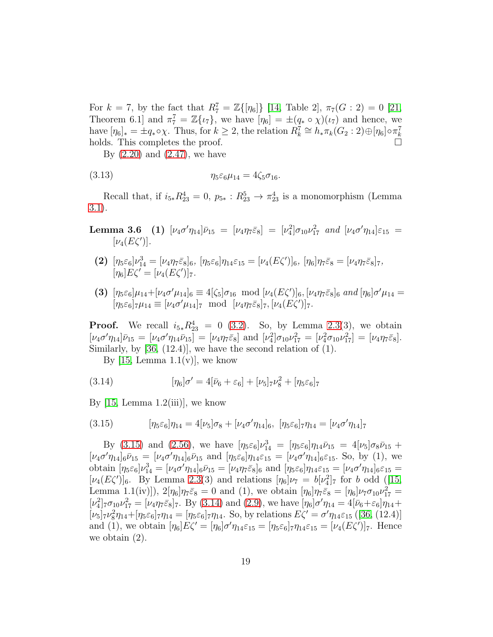For  $k = 7$ , by the fact that  $R_7^7 = \mathbb{Z}\{[\eta_6]\}\$  [\[14,](#page-52-2) Table 2],  $\pi_7(G: 2) = 0$  [\[21,](#page-53-0) Theorem 6.1] and  $\pi_7^7 = \mathbb{Z}\{\iota_7\}$ , we have  $[\eta_6] = \pm (q_* \circ \chi)(\iota_7)$  and hence, we have  $[\eta_6]_* = \pm q_* \circ \chi$ . Thus, for  $k \geq 2$ , the relation  $R_k^7 \cong h_* \pi_k(G_2 : 2) \oplus [\eta_6] \circ \pi_k^7$ k holds. This completes the proof.

<span id="page-18-2"></span>By [\(2.20\)](#page-6-11) and [\(2.47\)](#page-8-1), we have

(3.13) 
$$
\eta_5 \varepsilon_6 \mu_{14} = 4 \zeta_5 \sigma_{16}.
$$

<span id="page-18-3"></span>Recall that, if  $i_{5*}R_{23}^4 = 0$ ,  $p_{5*}: R_{23}^5 \rightarrow \pi_{23}^4$  is a monomorphism (Lemma [3.1\)](#page-13-1).

Lemma 3.6 (1)  $[\nu_4 \sigma' \eta_{14}] \bar{\nu}_{15} = [\nu_4 \eta_7 \bar{\varepsilon}_8] = [\nu_4^2] \sigma_{10} \nu_{17}^2$  and  $[\nu_4 \sigma' \eta_{14}] \varepsilon_{15} =$  $[\nu_4(E\zeta')]$ .

- (2)  $[\eta_5 \varepsilon_6] \nu_{14}^3 = [\nu_4 \eta_7 \bar{\varepsilon}_8]_6$ ,  $[\eta_5 \varepsilon_6] \eta_{14} \varepsilon_{15} = [\nu_4 (E \zeta')]_6$ ,  $[\eta_6] \eta_7 \bar{\varepsilon}_8 = [\nu_4 \eta_7 \bar{\varepsilon}_8]_7$ ,  $[\eta_6]E\zeta' = [\nu_4(E\zeta')]_7.$
- (3)  $[\eta_5 \varepsilon_6] \mu_{14} + [\nu_4 \sigma' \mu_{14}]_6 \equiv 4[\zeta_5] \sigma_{16} \mod [\nu_4(E\zeta')]_6, [\nu_4 \eta_7 \bar{\varepsilon}_8]_6 \ and [\eta_6] \sigma' \mu_{14} =$  $[\eta_5\varepsilon_6]_7\mu_{14} \equiv [\nu_4\sigma'\mu_{14}]_7 \mod [\nu_4\eta_7\bar{\varepsilon}_8]_7, [\nu_4(E\zeta')]_7.$

**Proof.** We recall  $i_{5*}R_{23}^4 = 0$  [\(3.2\)](#page-13-3). So, by Lemma [2.3\(](#page-10-2)3), we obtain  $[\nu_4\sigma'\eta_{14}]\bar{\nu}_{15} = [\nu_4\sigma'\eta_{14}\bar{\nu}_{15}] = [\nu_4\eta_7\bar{\varepsilon}_8] \text{ and } [\nu_4^2]\sigma_{10}\nu_{17}^2 = [\nu_4^2\sigma_{10}\nu_{17}^2] = [\nu_4\eta_7\bar{\varepsilon}_8].$ Similarly, by  $[36, (12.4)]$ , we have the second relation of  $(1)$ .

<span id="page-18-1"></span>By  $[15, \text{Lemma } 1.1(v)]$ , we know

(3.14) 
$$
[\eta_6]\sigma' = 4[\bar{\nu}_6 + \varepsilon_6] + [\nu_5]_7\nu_8^2 + [\eta_5\varepsilon_6]_7
$$

By  $[15, \text{Lemma } 1.2(iii)]$ , we know

<span id="page-18-0"></span>(3.15) 
$$
[\eta_5 \varepsilon_6]\eta_{14} = 4[\nu_5]\sigma_8 + [\nu_4 \sigma' \eta_{14}]_6, [\eta_5 \varepsilon_6]\tau \eta_{14} = [\nu_4 \sigma' \eta_{14}]_7
$$

By [\(3.15\)](#page-18-0) and [\(2.56\)](#page-13-0), we have  $[\eta_5 \varepsilon_6] \nu_{14}^3 = [\eta_5 \varepsilon_6] \eta_{14} \bar{\nu}_{15} = 4[\nu_5] \sigma_8 \bar{\nu}_{15}$  +  $[\nu_4\sigma'\eta_{14}]_6\bar{\nu}_{15} = [\nu_4\sigma'\eta_{14}]_6\bar{\nu}_{15}$  and  $[\eta_5\varepsilon_6]\eta_{14}\varepsilon_{15} = [\nu_4\sigma'\eta_{14}]_6\varepsilon_{15}$ . So, by (1), we obtain  $[\eta_5 \varepsilon_6] \nu_{14}^3 = [\nu_4 \sigma' \eta_{14}]_6 \bar{\nu}_{15} = [\nu_4 \eta_7 \bar{\varepsilon}_8]_6$  and  $[\eta_5 \varepsilon_6] \eta_{14} \varepsilon_{15} = [\nu_4 \sigma' \eta_{14}]_6 \varepsilon_{15} =$  $[\nu_4(E\zeta')]_6$ . By Lemma [2.3\(](#page-10-2)3) and relations  $[\eta_6]\nu_7 = b[\nu_4^2]_7$  for b odd ([\[15,](#page-52-3) Lemma 1.1(iv)]),  $2[\eta_6]\eta_7\bar{\varepsilon}_8 = 0$  and (1), we obtain  $[\eta_6]\eta_7\bar{\varepsilon}_8 = [\eta_6]\nu_7\sigma_{10}\nu_{17}^2 =$  $[\nu_4^2]_7 \sigma_{10} \nu_{17}^2 = [\nu_4 \eta_7 \bar{\varepsilon}_8]_7$ . By [\(3.14\)](#page-18-1) and [\(2.9\)](#page-6-10), we have  $[\eta_6] \sigma' \eta_{14} = 4[\bar{\nu}_6 + \varepsilon_6] \eta_{14} +$  $[\nu_5]_7 \nu_8^2 \eta_{14} + [\eta_5 \varepsilon_6]_7 \eta_{14} = [\eta_5 \varepsilon_6]_7 \eta_{14}$ . So, by relations  $E\zeta' = \sigma' \eta_{14} \varepsilon_{15}$  ([\[36,](#page-54-3) (12.4)] and (1), we obtain  $[\eta_6]E\zeta' = [\eta_6]\sigma'\eta_{14}\varepsilon_{15} = [\eta_5\varepsilon_6]\tau\eta_{14}\varepsilon_{15} = [\nu_4(E\zeta')] \tau$ . Hence we obtain (2).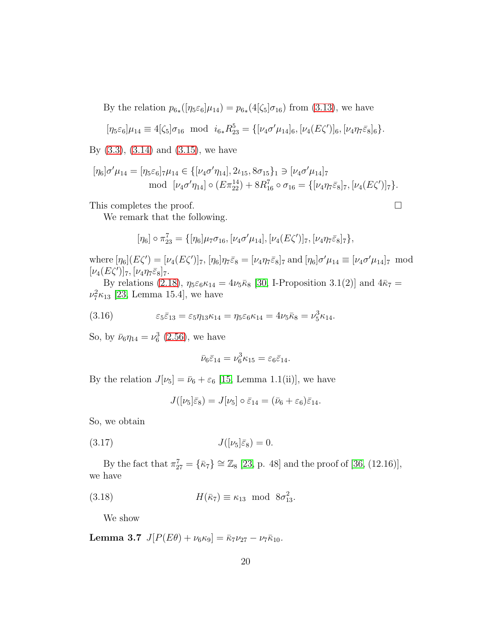By the relation  $p_{6*}(\eta_5\varepsilon_6|\mu_{14}) = p_{6*}(4[\zeta_5]\sigma_{16})$  from [\(3.13\)](#page-18-2), we have

$$
[\eta_5 \varepsilon_6]\mu_{14} \equiv 4[\zeta_5]\sigma_{16} \ \ \text{mod} \ \ i_{6*}R_{23}^5 = \{[\nu_4\sigma'\mu_{14}]_6,[\nu_4(E\zeta')]_6,[\nu_4\eta_7\bar{\varepsilon}_8]_6\}.
$$

By  $(3.3)$ ,  $(3.14)$  and  $(3.15)$ , we have

$$
[\eta_6]\sigma'\mu_{14} = [\eta_5\varepsilon_6]_7\mu_{14} \in \{[\nu_4\sigma'\eta_{14}], 2\nu_{15}, 8\sigma_{15}\}_1 \ni [\nu_4\sigma'\mu_{14}]_7
$$
  
mod  $[\nu_4\sigma'\eta_{14}] \circ (E\pi_{22}^{14}) + 8R_{16}^7 \circ \sigma_{16} = \{[\nu_4\eta_7\bar{\varepsilon}_8]_7, [\nu_4(E\zeta')]_7\}.$ 

This completes the proof.

We remark that the following.

$$
[\eta_6]\circ\pi_{23}^7 = \{[\eta_6]\mu_7\sigma_{16},[\nu_4\sigma'\mu_{14}], [\nu_4(E\zeta')]_7,[\nu_4\eta_7\bar{\varepsilon}_8]_7\},\,
$$

where  $[\eta_6](E\zeta') = [\nu_4(E\zeta')]_7$ ,  $[\eta_6]\eta_7\bar{\varepsilon}_8 = [\nu_4\eta_7\bar{\varepsilon}_8]_7$  and  $[\eta_6]\sigma'\mu_{14} \equiv [\nu_4\sigma'\mu_{14}]_7$  mod  $[\nu_4(E\zeta')]_7, [\nu_4\eta_7\bar{\varepsilon}_8]_7.$ 

By relations [\(2.18\)](#page-6-12),  $\eta_5 \varepsilon_6 \kappa_{14} = 4\nu_5 \bar{\kappa}_8$  [\[30,](#page-53-4) I-Proposition 3.1(2)] and  $4\bar{\kappa}_7 =$  $\nu_7^2 \kappa_{13}$  [\[23,](#page-53-2) Lemma 15.4], we have

(3.16) 
$$
\varepsilon_5 \bar{\varepsilon}_{13} = \varepsilon_5 \eta_{13} \kappa_{14} = \eta_5 \varepsilon_6 \kappa_{14} = 4 \nu_5 \bar{\kappa}_8 = \nu_5^3 \kappa_{14}.
$$

So, by  $\bar{\nu}_6 \eta_{14} = \nu_6^3$  [\(2.56\)](#page-13-0), we have

<span id="page-19-3"></span>
$$
\bar{\nu}_6 \bar{\varepsilon}_{14} = \nu_6^3 \kappa_{15} = \varepsilon_6 \bar{\varepsilon}_{14}.
$$

By the relation  $J[\nu_5] = \bar{\nu}_6 + \varepsilon_6$  [\[15,](#page-52-3) Lemma 1.1(ii)], we have

<span id="page-19-0"></span>
$$
J([\nu_5]\bar{\varepsilon}_8) = J[\nu_5] \circ \bar{\varepsilon}_{14} = (\bar{\nu}_6 + \varepsilon_6)\bar{\varepsilon}_{14}.
$$

So, we obtain

$$
(3.17) \t\t J([\nu_5]\bar{\varepsilon}_8) = 0.
$$

By the fact that  $\pi_{27}^7 = {\bar{\kappa}}_7$   $\cong \mathbb{Z}_8$  [\[23,](#page-53-2) p. 48] and the proof of [\[36,](#page-54-3) (12.16)], we have

(3.18) 
$$
H(\bar{\kappa}_7) \equiv \kappa_{13} \mod 8\sigma_{13}^2.
$$

<span id="page-19-2"></span><span id="page-19-1"></span>We show

Lemma 3.7  $J[P(E\theta) + \nu_6\kappa_9] = \bar{\kappa}_7 \nu_{27} - \nu_7 \bar{\kappa}_{10}$ .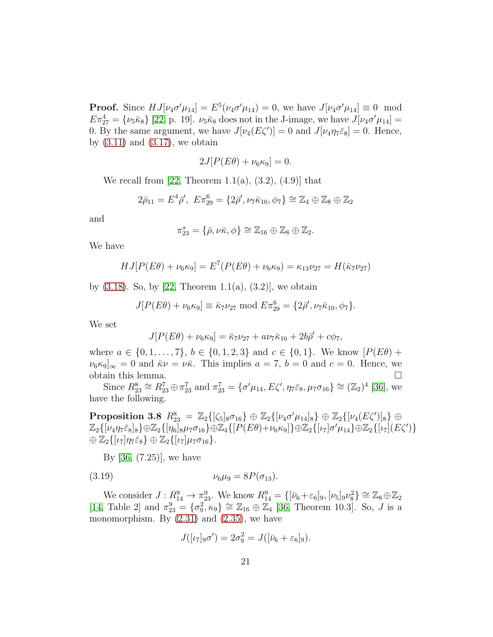**Proof.** Since  $HJ[\nu_4 \sigma' \mu_{14}] = E^5(\nu_4 \sigma' \mu_{14}) = 0$ , we have  $J[\nu_4 \sigma' \mu_{14}] \equiv 0 \mod 4$  $E\pi_{27}^4 = \{\nu_5\bar{\kappa}_8\}$  [\[22,](#page-53-5) p. 19].  $\nu_5\bar{\kappa}_8$  does not in the J-image, we have  $J[\nu_4\sigma'\mu_{14}] =$ 0. By the same argument, we have  $J[\nu_4(E\zeta')] = 0$  and  $J[\nu_4\eta_7\bar{\varepsilon}_8] = 0$ . Hence, by  $(3.11)$  and  $(3.17)$ , we obtain

$$
2J[P(E\theta) + \nu_6\kappa_9] = 0.
$$

We recall from [\[22,](#page-53-5) Theorem 1.1(a),  $(3.2)$ ,  $(4.9)$ ] that

$$
2\bar{\rho}_{11} = E^4 \bar{\rho}',\ E\pi_{29}^6 = \{2\bar{\rho}', \nu_7 \bar{\kappa}_{10}, \phi_7\} \cong \mathbb{Z}_4 \oplus \mathbb{Z}_8 \oplus \mathbb{Z}_2
$$

and

$$
\pi_{23}^s = \{\bar{\rho}, \nu \bar{\kappa}, \phi\} \cong \mathbb{Z}_{16} \oplus \mathbb{Z}_8 \oplus \mathbb{Z}_2.
$$

We have

$$
HJ[P(E\theta) + \nu_6 \kappa_9] = E^7(P(E\theta) + \nu_6 \kappa_9) = \kappa_{13}\nu_{27} = H(\bar{\kappa}_7 \nu_{27})
$$

by  $(3.18)$ . So, by  $[22,$  Theorem 1.1(a),  $(3.2)$ , we obtain

$$
J[P(E\theta) + \nu_6 \kappa_9] \equiv \bar{\kappa}_7 \nu_{27} \bmod E \pi_{29}^6 = \{2\bar{\rho}', \nu_7 \bar{\kappa}_{10}, \phi_7\}.
$$

We set

$$
J[P(E\theta) + \nu_6 \kappa_9] = \bar{\kappa}_7 \nu_{27} + a\nu_7 \bar{\kappa}_{10} + 2b\bar{\rho}' + c\phi_7,
$$

where  $a \in \{0, 1, ..., 7\}, b \in \{0, 1, 2, 3\}$  and  $c \in \{0, 1\}.$  We know  $[P(E\theta) +$  $\nu_6 \kappa_9]_{\infty} = 0$  and  $\bar{\kappa} \nu = \nu \bar{\kappa}$ . This implies  $a = 7, b = 0$  and  $c = 0$ . Hence, we obtain this lemma.  $\Box$ 

Since  $R_{23}^8 \cong R_{23}^7 \oplus \pi_{23}^7$  and  $\pi_{23}^7 = {\sigma'\mu_{14}, E\zeta', \eta_7 \bar{\varepsilon}_8, \mu_7 \sigma_{16}} \cong (\mathbb{Z}_2)^4$  [\[36\]](#page-54-3), we have the following.

 $\textbf{Proposition 3.8} \ \ R_{23}^8 \ = \ \mathbb{Z}_2\{[\zeta_5]_8 \sigma_{16} \} \oplus \mathbb{Z}_2\{[\nu_4 \sigma' \mu_{14}]_8 \} \oplus \mathbb{Z}_2\{[\nu_4 (E\zeta')]_8 \} \ \oplus$  $\mathbb{Z}_{2}\{[\nu_4\eta_7\bar{\varepsilon}_8]_8\} \oplus \mathbb{Z}_{2}\{[\eta_6]_8\mu_7\sigma_{16}\} \oplus \mathbb{Z}_{4}\{[P(E\theta)+\nu_6\kappa_9]\} \oplus \mathbb{Z}_{2}\{[\iota_7]\sigma'\mu_{14}\} \oplus \mathbb{Z}_{2}\{[\iota_7](E\zeta')\}$  $\oplus \mathbb{Z}_2\{[\iota_7]\eta_7\bar{\varepsilon}_8\} \oplus \mathbb{Z}_2\{[\iota_7]\mu_7\sigma_{16}\}.$ 

By [\[36,](#page-54-3) (7.25)], we have

(3.19) 
$$
\nu_6 \mu_9 = 8P(\sigma_{13}).
$$

We consider  $J: R_{14}^9 \to \pi_{23}^9$ . We know  $R_{14}^9 = \{[\bar{\nu}_6 + \varepsilon_6]_9, [\nu_5]_9 \nu_8^2\} \cong \mathbb{Z}_8 \oplus \mathbb{Z}_2$ [\[14,](#page-52-2) Table 2] and  $\pi_{23}^9 = {\sigma_9^2, \kappa_9} \cong \mathbb{Z}_{16} \oplus \mathbb{Z}_4$  [\[36,](#page-54-3) Theorem 10.3]. So, J is a monomorphism. By  $(2.31)$  and  $(2.35)$ , we have

$$
J([\iota_7]_9 \sigma') = 2\sigma_9^2 = J([\bar{\nu}_6 + \varepsilon_6]_9).
$$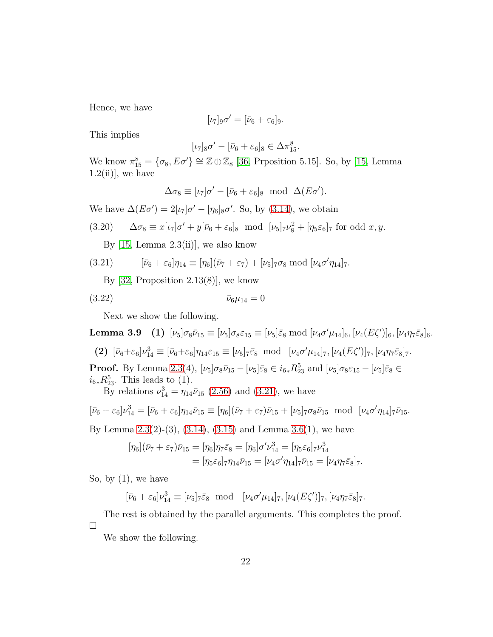Hence, we have

$$
[\iota_7]_9\sigma' = [\bar{\nu}_6 + \varepsilon_6]_9.
$$

This implies

$$
[\iota_7]_8\sigma'-[\bar{\nu}_6+\varepsilon_6]_8\in\Delta\pi^8_{15}.
$$

We know  $\pi_{15}^8 = {\sigma_8, E\sigma'} \cong \mathbb{Z} \oplus \mathbb{Z}_8$  [\[36,](#page-54-3) Prposition 5.15]. So, by [\[15,](#page-52-3) Lemma  $1.2(iii)$ , we have

<span id="page-21-1"></span>
$$
\Delta \sigma_8 \equiv [\iota_7]\sigma' - [\bar{\nu}_6 + \varepsilon_6]_8 \text{ mod } \Delta(E\sigma').
$$

We have  $\Delta(E\sigma') = 2[\iota_7]\sigma' - [\eta_6]_8\sigma'$ . So, by [\(3.14\)](#page-18-1), we obtain

(3.20) 
$$
\Delta \sigma_8 \equiv x[\iota_7]\sigma' + y[\bar{\nu}_6 + \varepsilon_6]_8 \text{ mod } [\nu_5]_7 \nu_8^2 + [\eta_5 \varepsilon_6]_7 \text{ for odd } x, y.
$$

<span id="page-21-2"></span><span id="page-21-0"></span>By  $[15, \text{Lemma } 2.3(ii)]$ , we also know

(3.21) 
$$
[\bar{\nu}_6 + \varepsilon_6]\eta_{14} \equiv [\eta_6](\bar{\nu}_7 + \varepsilon_7) + [\nu_5]_7 \sigma_8 \bmod [\nu_4 \sigma' \eta_{14}]_7.
$$

By  $[32,$  Proposition  $2.13(8)$ , we know

$$
(3.22) \t\t\t \bar{\nu}_6 \mu_{14} = 0
$$

<span id="page-21-3"></span>Next we show the following.

**Lemma 3.9** (1)  $[\nu_5]\sigma_8\bar{\nu}_{15} \equiv [\nu_5]\sigma_8\varepsilon_{15} \equiv [\nu_5]\bar{\varepsilon}_8 \bmod [\nu_4\sigma'\mu_{14}]_6, [\nu_4(E\zeta')]_6, [\nu_4\eta_7\bar{\varepsilon}_8]_6.$ (2)  $[\bar{\nu}_6 + \varepsilon_6] \nu_{14}^3 \equiv [\bar{\nu}_6 + \varepsilon_6] \eta_{14} \varepsilon_{15} \equiv [\nu_5]_7 \bar{\varepsilon}_8 \mod [\nu_4 \sigma' \mu_{14}]_7, [\nu_4 (E\zeta')]_7, [\nu_4 \eta_7 \bar{\varepsilon}_8]_7.$ **Proof.** By Lemma [2.3\(](#page-10-2)4),  $[\nu_5]\sigma_8\bar{\nu}_{15} - [\nu_5]\bar{\varepsilon}_8 \in i_{6*}R_{23}^5$  and  $[\nu_5]\sigma_8\varepsilon_{15} - [\nu_5]\bar{\varepsilon}_8 \in$  $i_{6*}R_{23}^5$ . This leads to (1).

By relations  $\nu_{14}^3 = \eta_{14} \bar{\nu}_{15}$  [\(2.56\)](#page-13-0) and [\(3.21\)](#page-21-0), we have

$$
[\bar{\nu}_6 + \varepsilon_6]\nu_{14}^3 = [\bar{\nu}_6 + \varepsilon_6]\eta_{14}\bar{\nu}_{15} \equiv [\eta_6](\bar{\nu}_7 + \varepsilon_7)\bar{\nu}_{15} + [\nu_5]_7\sigma_8\bar{\nu}_{15} \mod [\nu_4\sigma'\eta_{14}]_7\bar{\nu}_{15}.
$$

By Lemma  $2.3(2)-(3)$ ,  $(3.14)$ ,  $(3.15)$  and Lemma  $3.6(1)$ , we have

$$
[\eta_6](\bar{\nu}_7 + \varepsilon_7)\bar{\nu}_{15} = [\eta_6]\eta_7\bar{\varepsilon}_8 = [\eta_6]\sigma'\nu_{14}^3 = [\eta_5\varepsilon_6]\tau\nu_{14}^3
$$
  
=  $[\eta_5\varepsilon_6]\tau\eta_{14}\bar{\nu}_{15} = [\nu_4\sigma'\eta_{14}]\tau\bar{\nu}_{15} = [\nu_4\eta_7\bar{\varepsilon}_8]\tau.$ 

So, by  $(1)$ , we have

 $[\bar{\nu}_6 + \varepsilon_6] \nu_{14}^3 \equiv [\nu_5]_7 \bar{\varepsilon}_8 \mod [\nu_4 \sigma' \mu_{14}]_7, [\nu_4 (E\zeta')]_7, [\nu_4 \eta_7 \bar{\varepsilon}_8]_7.$ 

The rest is obtained by the parallel arguments. This completes the proof.  $\Box$ 

<span id="page-21-4"></span>We show the following.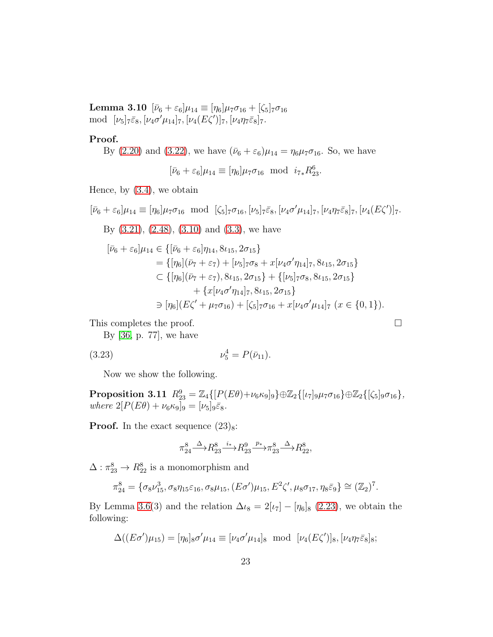Lemma 3.10  $[\bar{\nu}_6 + \varepsilon_6] \mu_{14} \equiv [\eta_6] \mu_7 \sigma_{16} + [\zeta_5]_7 \sigma_{16}$ mod  $[\nu_5]_7\bar{\varepsilon}_8, [\nu_4\sigma'\mu_{14}]_7, [\nu_4(E\zeta')]_7, [\nu_4\eta_7\bar{\varepsilon}_8]_7.$ 

#### Proof.

By (2.20) and (3.22), we have 
$$
(\bar{\nu}_6 + \varepsilon_6)\mu_{14} = \eta_6\mu_7\sigma_{16}
$$
. So, we have

 $[\bar{\nu}_6 + \varepsilon_6] \mu_{14} \equiv [\eta_6] \mu_7 \sigma_{16} \text{ mod } i_{7*} R_{23}^6.$ 

Hence, by [\(3.4\)](#page-14-1), we obtain

 $[\bar{\nu}_6 + \varepsilon_6]\mu_{14} \equiv [\eta_6]\mu_7\sigma_{16} \mod [\zeta_5]\tau\sigma_{16}, [\nu_5]\tau\bar{\varepsilon}_8, [\nu_4\sigma'\mu_{14}]\tau, [\nu_4\eta_7\bar{\varepsilon}_8]\tau, [\nu_4(E\zeta')] \tau.$ 

By [\(3.21\)](#page-21-0), [\(2.48\)](#page-10-3), [\(3.10\)](#page-16-4) and [\(3.3\)](#page-14-2), we have

$$
\begin{aligned} [\bar{\nu}_6 + \varepsilon_6] \mu_{14} &\in \{ [\bar{\nu}_6 + \varepsilon_6] \eta_{14}, 8\iota_{15}, 2\sigma_{15} \} \\ &= \{ [\eta_6] (\bar{\nu}_7 + \varepsilon_7) + [\nu_5]_7 \sigma_8 + x[\nu_4 \sigma' \eta_{14}]_7, 8\iota_{15}, 2\sigma_{15} \} \\ &\subset \{ [\eta_6] (\bar{\nu}_7 + \varepsilon_7), 8\iota_{15}, 2\sigma_{15} \} + \{ [\nu_5]_7 \sigma_8, 8\iota_{15}, 2\sigma_{15} \} \\ &\quad + \{ x[\nu_4 \sigma' \eta_{14}]_7, 8\iota_{15}, 2\sigma_{15} \} \\ &\ni \ [\eta_6] (E\zeta' + \mu_7 \sigma_{16}) + [\zeta_5]_7 \sigma_{16} + x[\nu_4 \sigma' \mu_{14}]_7 \ (x \in \{0, 1\}). \end{aligned}
$$

This completes the proof.  $\Box$ 

By [\[36,](#page-54-3) p. 77], we have

$$
(3.23) \t\t\t \nu_5^4 = P(\bar{\nu}_{11}).
$$

<span id="page-22-1"></span>Now we show the following.

 $\textbf{Proposition 3.11} \ \ R_{23}^9 = \mathbb{Z}_4\{[P(E\theta)+\nu_6\kappa_9]_9\} \oplus \mathbb{Z}_2\{[\iota_7]_9\mu_7\sigma_{16}\} \oplus \mathbb{Z}_2\{[\zeta_5]_9\sigma_{16}\},$ *where*  $2[P(E\theta) + \nu_6\kappa_9]_9 = [\nu_5]_9\bar{\varepsilon}_8$ .

**Proof.** In the exact sequence  $(23)_8$ :

<span id="page-22-0"></span>
$$
\pi_{24}^8 \xrightarrow{\Delta} R_{23}^8 \xrightarrow{i_*} R_{23}^9 \xrightarrow{p_*} \pi_{23}^8 \xrightarrow{\Delta} R_{22}^8,
$$

 $\Delta: \pi_{23}^8 \rightarrow R_{22}^8$  is a monomorphism and

$$
\pi_{24}^8 = \{ \sigma_8 \nu_{15}^3, \sigma_8 \eta_{15} \varepsilon_{16}, \sigma_8 \mu_{15}, (E\sigma') \mu_{15}, E^2 \zeta', \mu_8 \sigma_{17}, \eta_8 \bar{\varepsilon}_9 \} \cong (\mathbb{Z}_2)^7.
$$

By Lemma [3.6\(](#page-18-3)3) and the relation  $\Delta \iota_8 = 2[\iota_7] - [\eta_6]_8$  [\(2.23\)](#page-6-13), we obtain the following:

$$
\Delta((E\sigma')\mu_{15}) = [\eta_6]_8 \sigma' \mu_{14} \equiv [\nu_4 \sigma' \mu_{14}]_8 \text{ mod } [\nu_4(E\zeta')]_8, [\nu_4 \eta_7 \bar{\varepsilon}_8]_8;
$$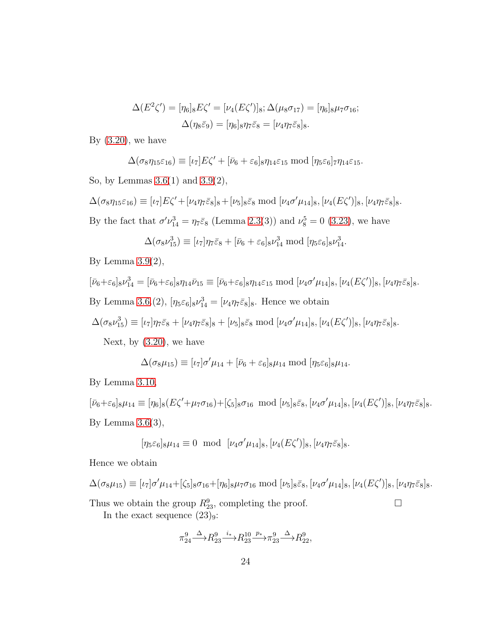$$
\Delta(E^{2}\zeta') = [\eta_{6}]_{8}E\zeta' = [\nu_{4}(E\zeta')]_{8}; \Delta(\mu_{8}\sigma_{17}) = [\eta_{6}]_{8}\mu_{7}\sigma_{16};
$$

$$
\Delta(\eta_{8}\bar{\varepsilon}_{9}) = [\eta_{6}]_{8}\eta_{7}\bar{\varepsilon}_{8} = [\nu_{4}\eta_{7}\bar{\varepsilon}_{8}]_{8}.
$$

By  $(3.20)$ , we have

$$
\Delta(\sigma_8\eta_{15}\varepsilon_{16})\equiv[\iota_7]E\zeta'+[\bar{\nu}_6+\varepsilon_6]_8\eta_{14}\varepsilon_{15}\bmod[\eta_5\varepsilon_6]\tau\eta_{14}\varepsilon_{15}.
$$

So, by Lemmas [3.6\(](#page-18-3)1) and [3.9\(](#page-21-3)2),

 $\Delta(\sigma_8\eta_{15}\varepsilon_{16}) \equiv [\iota_7]E\zeta' + [\nu_4\eta_7\bar{\varepsilon}_8]_8 + [\nu_5]_8\bar{\varepsilon}_8 \bmod [\nu_4\sigma'\mu_{14}]_8, [\nu_4(E\zeta')]_8, [\nu_4\eta_7\bar{\varepsilon}_8]_8.$ By the fact that  $\sigma'\nu_{14}^3 = \eta_7 \bar{\varepsilon}_8$  (Lemma [2.3\(](#page-10-2)3)) and  $\nu_8^5 = 0$  [\(3.23\)](#page-22-0), we have

$$
\Delta(\sigma_8\nu_{15}^3) \equiv [\iota_7]\eta_7\bar{\varepsilon}_8 + [\bar{\nu}_6 + \varepsilon_6]_8\nu_{14}^3 \bmod [\eta_5\varepsilon_6]_8\nu_{14}^3.
$$

By Lemma  $3.9(2)$ ,

$$
[\bar{\nu}_6 + \varepsilon_6]_8 \nu_{14}^3 = [\bar{\nu}_6 + \varepsilon_6]_8 \eta_{14} \bar{\nu}_{15} \equiv [\bar{\nu}_6 + \varepsilon_6]_8 \eta_{14} \varepsilon_{15} \bmod [\nu_4 \sigma' \mu_{14}]_8, [\nu_4 (E\zeta')]_8, [\nu_4 \eta_7 \bar{\varepsilon}_8]_8.
$$
  
By Lemma 3.6.(2),  $[\eta_5 \varepsilon_6]_8 \nu_{14}^3 = [\nu_4 \eta_7 \bar{\varepsilon}_8]_8$ . Hence we obtain

$$
2f
$$
  $2f$   $3f$   $2f$   $2f$   $2f$   $2f$   $2f$   $2f$   $2f$   $2f$   $2f$   $2f$   $2f$   $2f$   $2f$   $2f$   $2f$   $2f$   $2f$   $2f$   $2f$   $2f$   $2f$   $2f$   $2f$   $2f$   $2f$   $2f$   $2f$   $2f$   $2f$   $2f$   $2f$   $2f$   $2f$   $2f$   $2f$   $2f$   $2f$   $2f$   $2f$   $2f$   $2f$   $2f$   $2f$   $2f$   $2f$   $2f$   $2f$   $2f$   $2f$   $2f$   $2f$   $2f$   $2f$   $2f$   $2f$   $2f$   $2f$   $2f$   $2f$   $2f$   $2f$   $2f$   $2f$   $2f$   $2f$   $2f$   $2f$   $2f$   $2f$   $2f$   $2f$   $2f$   $2f$   $2f$   $2f$   $2f$   $2f$   $2f$   $2f$   $2f$   $2f$   $2f$   $2f$   $2f$   $2f$   $2f$   $2f$   $2f$   $2f$   $2f$   $2f$   $2f$   $2f$ 

$$
\Delta(\sigma_8\nu_{15}^3)\equiv [\iota_7]\eta_7\bar\varepsilon_8+[\nu_4\eta_7\bar\varepsilon_8]_8+[\nu_5]_8\bar\varepsilon_8\bmod [\nu_4\sigma'\mu_{14}]_8,[\nu_4(E\zeta')]_8,[\nu_4\eta_7\bar\varepsilon_8]_8.
$$

Next, by  $(3.20)$ , we have

$$
\Delta(\sigma_8\mu_{15}) \equiv [\iota_7]\sigma'\mu_{14} + [\bar{\nu}_6 + \varepsilon_6]_8\mu_{14} \bmod [\eta_5\varepsilon_6]_8\mu_{14}.
$$

By Lemma [3.10,](#page-21-4)

 $[\bar{\nu}_6+\varepsilon_6]_8\mu_{14} \equiv [\eta_6]_8(E\zeta' + \mu_7\sigma_{16}) + [\zeta_5]_8\sigma_{16} \mod [\nu_5]_8\bar{\varepsilon}_8, [\nu_4\sigma'\mu_{14}]_8, [\nu_4(E\zeta')]_8, [\nu_4\eta_7\bar{\varepsilon}_8]_8.$ By Lemma  $3.6(3)$ ,

$$
[\eta_5 \varepsilon_6]_8 \mu_{14} \equiv 0 \text{ mod } [\nu_4 \sigma' \mu_{14}]_8, [\nu_4 (E\zeta')]_8, [\nu_4 \eta_7 \bar{\varepsilon}_8]_8.
$$

Hence we obtain

$$
\Delta(\sigma_8\mu_{15})\equiv [\iota_7]\sigma'\mu_{14}+[\zeta_5]_8\sigma_{16}+[\eta_6]_8\mu_7\sigma_{16}\bmod [\nu_5]_8\bar{\varepsilon}_8,[\nu_4\sigma'\mu_{14}]_8,[\nu_4(E\zeta')]_8,[\nu_4\eta_7\bar{\varepsilon}_8]_8.
$$

Thus we obtain the group  $R_{23}^9$ , completing the proof.  $\Box$ In the exact sequence  $(23)_9$ :

$$
\pi_{24}^9 \xrightarrow{\Delta} R_{23}^9 \xrightarrow{i_*} R_{23}^{10} \xrightarrow{p_*} \pi_{23}^9 \xrightarrow{\Delta} R_{22}^9,
$$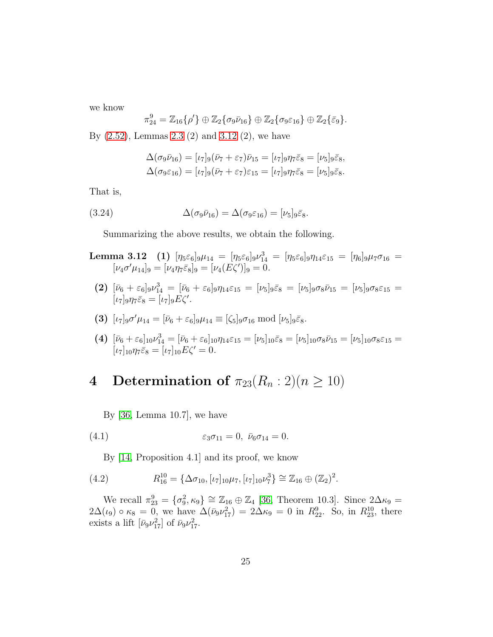we know

$$
\pi_{24}^9=\mathbb{Z}_{16}\{\rho'\}\oplus\mathbb{Z}_2\{\sigma_9\bar{\nu}_{16}\}\oplus\mathbb{Z}_2\{\sigma_9\varepsilon_{16}\}\oplus\mathbb{Z}_2\{\bar{\varepsilon}_9\}.
$$

By [\(2.52\)](#page-11-1), Lemmas [2.3](#page-10-2) (2) and [3.12](#page-24-0) (2), we have

<span id="page-24-2"></span>
$$
\Delta(\sigma_9 \bar{\nu}_{16}) = [\iota_7]_9 (\bar{\nu}_7 + \varepsilon_7) \bar{\nu}_{15} = [\iota_7]_9 \eta_7 \bar{\varepsilon}_8 = [\nu_5]_9 \bar{\varepsilon}_8,
$$
  

$$
\Delta(\sigma_9 \varepsilon_{16}) = [\iota_7]_9 (\bar{\nu}_7 + \varepsilon_7) \varepsilon_{15} = [\iota_7]_9 \eta_7 \bar{\varepsilon}_8 = [\nu_5]_9 \bar{\varepsilon}_8.
$$

That is,

(3.24) 
$$
\Delta(\sigma_9 \bar{\nu}_{16}) = \Delta(\sigma_9 \varepsilon_{16}) = [\nu_5]_9 \bar{\varepsilon}_8.
$$

<span id="page-24-0"></span>Summarizing the above results, we obtain the following.

- Lemma 3.12 (1)  $[\eta_5\varepsilon_6]_9\mu_{14}\ =\ [\eta_5\varepsilon_6]_9\nu_{14}^3\ =\ [\eta_5\varepsilon_6]_9\eta_{14}\varepsilon_{15}\ =\ [\eta_6]_9\mu_7\sigma_{16}\ =$  $[\nu_4 \sigma' \mu_{14}]_9 = [\nu_4 \eta_7 \bar{\varepsilon}_8]_9 = [\nu_4 (E \zeta')]_9 = 0.$
- (2)  $[\bar{\nu}_6 + \varepsilon_6]_9 \nu_{14}^3 = [\bar{\nu}_6 + \varepsilon_6]_9 \eta_{14} \varepsilon_{15} = [\nu_5]_9 \bar{\varepsilon}_8 = [\nu_5]_9 \sigma_8 \bar{\nu}_{15} = [\nu_5]_9 \sigma_8 \varepsilon_{15} =$  $[\iota_7]_9 \eta_7 \bar{\varepsilon}_8 = [\iota_7]_9 E \zeta'.$
- (3)  $[\iota_7]_9 \sigma' \mu_{14} = [\bar{\nu}_6 + \varepsilon_6]_9 \mu_{14} \equiv [\zeta_5]_9 \sigma_{16} \bmod [\nu_5]_9 \bar{\varepsilon}_8.$
- (4)  $[\bar{\nu}_6 + \varepsilon_6]_{10} \nu_{14}^3 = [\bar{\nu}_6 + \varepsilon_6]_{10} \eta_{14} \varepsilon_{15} = [\nu_5]_{10} \bar{\varepsilon}_8 = [\nu_5]_{10} \sigma_8 \bar{\nu}_{15} = [\nu_5]_{10} \sigma_8 \varepsilon_{15} =$  $[\iota_7]_{10}\eta_7\bar{\varepsilon}_8 = [\iota_7]_{10}E\zeta' = 0.$

### 4 Determination of  $\pi_{23}(R_n:2)(n \geq 10)$

<span id="page-24-1"></span>By [\[36,](#page-54-3) Lemma 10.7], we have

$$
(4.1) \qquad \qquad \varepsilon_3 \sigma_{11} = 0, \ \bar{\nu}_6 \sigma_{14} = 0.
$$

<span id="page-24-3"></span>By [\[14,](#page-52-2) Proposition 4.1] and its proof, we know

(4.2) 
$$
R_{16}^{10} = {\{\Delta \sigma_{10}, [\iota_7]_{10} \mu_7, [\iota_7]_{10} \nu_7^3\}} \cong \mathbb{Z}_{16} \oplus (\mathbb{Z}_2)^2.
$$

We recall  $\pi_{23}^9 = {\sigma_9^2, \kappa_9} \cong \mathbb{Z}_{16} \oplus \mathbb{Z}_4$  [\[36,](#page-54-3) Theorem 10.3]. Since  $2\Delta\kappa_9 =$  $2\Delta(\iota_9) \circ \kappa_8 = 0$ , we have  $\Delta(\bar{\nu}_9 \nu_{17}^2) = 2\Delta \kappa_9 = 0$  in  $R_{22}^9$ . So, in  $R_{23}^{10}$ , there exists a lift  $\left[\bar{\nu}_9 \nu_{17}^2\right]$  of  $\bar{\nu}_9 \nu_{17}^2$ .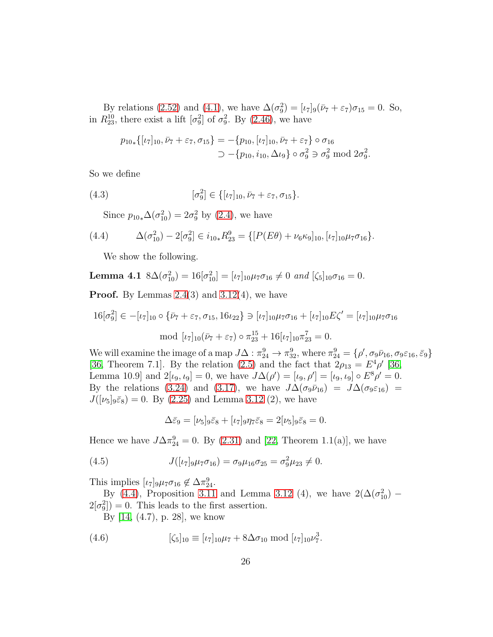By relations [\(2.52\)](#page-11-1) and [\(4.1\)](#page-24-1), we have  $\Delta(\sigma_9^2) = [\iota_7]_9(\bar{\nu}_7 + \varepsilon_7)\sigma_{15} = 0$ . So, in  $R_{23}^{10}$ , there exist a lift  $[\sigma_9^2]$  of  $\sigma_9^2$ . By [\(2.46\)](#page-8-0), we have

$$
p_{10*}\{[\iota_7]_{10}, \bar{\nu}_7 + \varepsilon_7, \sigma_{15}\} = -\{p_{10}, [\iota_7]_{10}, \bar{\nu}_7 + \varepsilon_7\} \circ \sigma_{16}
$$
  

$$
\supset -\{p_{10}, i_{10}, \Delta \iota_9\} \circ \sigma_9^2 \supset \sigma_9^2 \text{ mod } 2\sigma_9^2.
$$

So we define

(4.3) 
$$
[\sigma_9^2] \in \{[\iota_7]_{10}, \bar{\nu}_7 + \varepsilon_7, \sigma_{15}\}.
$$

<span id="page-25-0"></span>Since  $p_{10*} \Delta(\sigma_{10}^2) = 2\sigma_9^2$  by [\(2.4\)](#page-5-1), we have

(4.4) 
$$
\Delta(\sigma_{10}^2) - 2[\sigma_9^2] \in i_{10*} R_{23}^9 = \{ [P(E\theta) + \nu_6 \kappa_9]_{10}, [\iota_7]_{10} \mu_7 \sigma_{16} \}.
$$

<span id="page-25-1"></span>We show the following.

**Lemma 4.1** 
$$
8\Delta(\sigma_{10}^2) = 16[\sigma_{10}^2] = [\iota_7]_{10}\mu_7\sigma_{16} \neq 0
$$
 and  $[\zeta_5]_{10}\sigma_{16} = 0$ .

**Proof.** By Lemmas  $2.4(3)$  and  $3.12(4)$ , we have

$$
16[\sigma_9^2] \in -[\iota_7]_{10} \circ {\{\bar{\nu}_7 + \varepsilon_7, \sigma_{15}, 16\iota_{22}\}} \ni [\iota_7]_{10}\mu_7\sigma_{16} + [\iota_7]_{10}E\zeta' = [\iota_7]_{10}\mu_7\sigma_{16}
$$
  
mod  $[\iota_7]_{10}(\bar{\nu}_7 + \varepsilon_7) \circ \pi_{23}^{15} + 16[\iota_7]_{10}\pi_{23}^7 = 0.$ 

We will examine the image of a map  $J\Delta: \pi_{24}^9 \to \pi_{32}^9$ , where  $\pi_{24}^9 = \{\rho', \sigma_9 \bar{\nu}_{16}, \sigma_9 \varepsilon_{16}, \bar{\varepsilon}_9\}$ [\[36,](#page-54-3) Theorem 7.1]. By the relation [\(2.5\)](#page-5-2) and the fact that  $2\rho_{13} = E^4 \rho'$  [36, Lemma 10.9] and  $2[\iota_9, \iota_9] = 0$ , we have  $J\Delta(\rho') = [\iota_9, \rho'] = [\iota_9, \iota_9] \circ E^8 \rho' = 0$ . By the relations [\(3.24\)](#page-24-2) and [\(3.17\)](#page-19-0), we have  $J\Delta(\sigma_9\bar{\nu}_{16}) = J\Delta(\sigma_9\varepsilon_{16}) =$  $J([\nu_5]_9\bar{\varepsilon}_8)=0.$  By [\(2.25\)](#page-6-6) and Lemma [3.12](#page-24-0) (2), we have

<span id="page-25-2"></span>
$$
\Delta \bar{\varepsilon}_9 = [\nu_5]_9 \bar{\varepsilon}_8 + [\nu_7]_9 \eta_7 \bar{\varepsilon}_8 = 2[\nu_5]_9 \bar{\varepsilon}_8 = 0.
$$

Hence we have  $J\Delta\pi_{24}^9 = 0$ . By [\(2.31\)](#page-7-3) and [\[22,](#page-53-5) Theorem 1.1(a)], we have

(4.5) 
$$
J([\iota_7]_9 \mu_7 \sigma_{16}) = \sigma_9 \mu_{16} \sigma_{25} = \sigma_9^2 \mu_{23} \neq 0.
$$

This implies  $[\iota_7]_9\mu_7\sigma_{16} \notin \Delta\pi_{24}^9$ .

By [\(4.4\)](#page-25-0), Proposition [3.11](#page-22-1) and Lemma [3.12](#page-24-0) (4), we have  $2(\Delta(\sigma_{10}^2)$  –  $2[\sigma_9^2]$  = 0. This leads to the first assertion.

<span id="page-25-3"></span>By [\[14,](#page-52-2) (4.7), p. 28], we know

(4.6) 
$$
[\zeta_5]_{10} \equiv [\iota_7]_{10}\mu_7 + 8\Delta\sigma_{10} \text{ mod } [\iota_7]_{10}\nu_7^3.
$$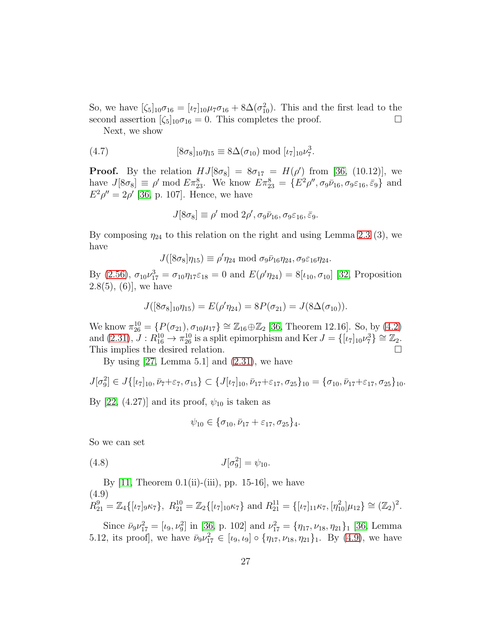So, we have  $[\zeta_5]_{10}\sigma_{16} = [\iota_7]_{10}\mu_7\sigma_{16} + 8\Delta(\sigma_{10}^2)$ . This and the first lead to the second assertion  $[\zeta_5]_{10}\sigma_{16} = 0$ . This completes the proof.

Next, we show

(4.7) 
$$
[8\sigma_8]_{10}\eta_{15} \equiv 8\Delta(\sigma_{10}) \text{ mod } [\iota_7]_{10}\nu_7^3.
$$

**Proof.** By the relation  $HJ[8\sigma_8] = 8\sigma_{17} = H(\rho')$  from [\[36,](#page-54-3) (10.12)], we have  $J[8\sigma_8] \equiv \rho' \mod E \pi_{23}^8$ . We know  $E \pi_{23}^8 = \{E^2 \rho'', \sigma_9 \bar{\nu}_{16}, \sigma_9 \varepsilon_{16}, \bar{\varepsilon}_9\}$  and  $E^2 \rho'' = 2 \rho'$  [\[36,](#page-54-3) p. 107]. Hence, we have

<span id="page-26-1"></span>
$$
J[8\sigma_8] \equiv \rho' \bmod 2\rho', \sigma_9\bar{\nu}_{16}, \sigma_9\varepsilon_{16}, \bar{\varepsilon}_9.
$$

By composing  $\eta_{24}$  to this relation on the right and using Lemma [2.3](#page-10-2) (3), we have

$$
J([8\sigma_8]\eta_{15}) \equiv \rho'\eta_{24} \bmod \sigma_9\bar{\nu}_{16}\eta_{24}, \sigma_9\varepsilon_{16}\eta_{24}.
$$

By [\(2.56\)](#page-13-0),  $\sigma_{10} \nu_{17}^3 = \sigma_{10} \eta_{17} \varepsilon_{18} = 0$  and  $E(\rho' \eta_{24}) = 8[\iota_{10}, \sigma_{10}]$  [\[32,](#page-53-8) Proposition  $2.8(5)$ ,  $(6)$ , we have

$$
J([8\sigma_8]_{10}\eta_{15})=E(\rho'\eta_{24})=8P(\sigma_{21})=J(8\Delta(\sigma_{10})).
$$

We know  $\pi_{26}^{10} = \{ P(\sigma_{21}), \sigma_{10} \mu_{17} \} \cong \mathbb{Z}_{16} \oplus \mathbb{Z}_2$  [\[36,](#page-54-3) Theorem 12.16]. So, by [\(4.2\)](#page-24-3) and  $(2.31)$ ,  $J: R_{16}^{10} \rightarrow \pi_{26}^{10}$  is a split epimorphism and Ker  $J = \{[\iota_7]_{10} \nu_7^3\} \cong \mathbb{Z}_2$ . This implies the desired relation.

By using  $[27, \text{Lemma } 5.1]$  and  $(2.31)$ , we have

$$
J[\sigma_9^2] \in J\{[\iota_7]_{10}, \bar{\nu}_7 + \varepsilon_7, \sigma_{15}\} \subset \{J[\iota_7]_{10}, \bar{\nu}_{17} + \varepsilon_{17}, \sigma_{25}\}_{10} = \{\sigma_{10}, \bar{\nu}_{17} + \varepsilon_{17}, \sigma_{25}\}_{10}.
$$

By [\[22,](#page-53-5) (4.27)] and its proof,  $\psi_{10}$  is taken as

<span id="page-26-2"></span>
$$
\psi_{10} \in \{\sigma_{10}, \bar{\nu}_{17} + \varepsilon_{17}, \sigma_{25}\}_4.
$$

So we can set

(4.8) 
$$
J[\sigma_9^2] = \psi_{10}.
$$

By  $[11,$  Theorem  $0.1(ii)$ -(iii), pp. 15-16, we have (4.9)  $R_{21}^{9} = \mathbb{Z}_4\{[\iota_7]_9\kappa_7\}, R_{21}^{10} = \mathbb{Z}_2\{[\iota_7]_{10}\kappa_7\} \text{ and } R_{21}^{11} = \{[\iota_7]_{11}\kappa_7, [\eta_{10}^2]\mu_{12}\} \cong (\mathbb{Z}_2)^2.$ 

<span id="page-26-0"></span>Since  $\bar{\nu}_9 \nu_{17}^2 = [\iota_9, \nu_9^2]$  in [\[36,](#page-54-3) p. 102] and  $\nu_{17}^2 = {\eta_{17}, \nu_{18}, \eta_{21}}_1$  [\[36,](#page-54-3) Lemma 5.12, its proof], we have  $\bar{\nu}_9 \nu_{17}^2 \in [\iota_9, \iota_9] \circ \{\eta_{17}, \nu_{18}, \eta_{21}\}_1$ . By [\(4.9\)](#page-26-0), we have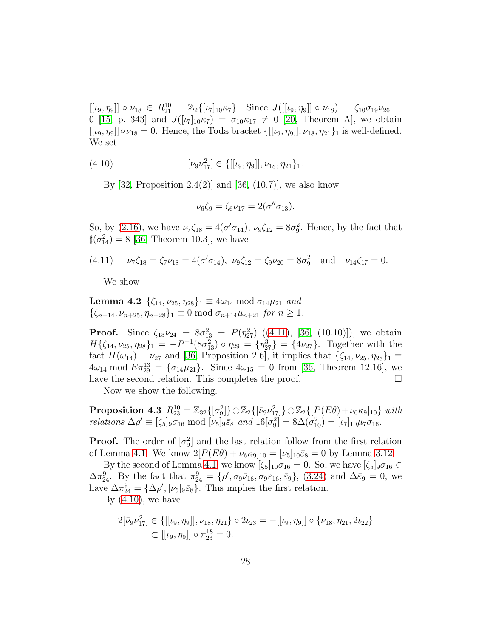$[[\iota_9, \eta_9]] \circ \nu_{18} \in R_{21}^{10} = \mathbb{Z}_2\{[\iota_7]_{10}\kappa_7\}.$  Since  $J([[ \iota_9, \eta_9]] \circ \nu_{18}) = \zeta_{10}\sigma_{19}\nu_{26} =$ 0 [\[15,](#page-52-3) p. 343] and  $J([\iota_7]_{10}\kappa_7) = \sigma_{10}\kappa_{17} \neq 0$  [\[20,](#page-53-3) Theorem A], we obtain  $[[\iota_9, \eta_9]] \circ \nu_{18} = 0$ . Hence, the Toda bracket  $\{[[\iota_9, \eta_9]], \nu_{18}, \eta_{21}\}\$ <sub>1</sub> is well-defined. We set

(4.10) 
$$
[\bar{\nu}_9 \nu_{17}^2] \in \{[[\iota_9, \eta_9]], \nu_{18}, \eta_{21}\}_1.
$$

By [\[32,](#page-53-8) Proposition 2.4(2)] and [\[36,](#page-54-3)  $(10.7)$ ], we also know

<span id="page-27-1"></span>
$$
\nu_6\zeta_9 = \zeta_6\nu_{17} = 2(\sigma''\sigma_{13}).
$$

So, by [\(2.16\)](#page-6-14), we have  $\nu_7\zeta_{18} = 4(\sigma'\sigma_{14}), \nu_9\zeta_{12} = 8\sigma_9^2$ . Hence, by the fact that  $\sharp(\sigma_{14}^2) = 8$  [\[36,](#page-54-3) Theorem 10.3], we have

(4.11) 
$$
\nu_7\zeta_{18} = \zeta_7\nu_{18} = 4(\sigma'\sigma_{14}), \ \nu_9\zeta_{12} = \zeta_9\nu_{20} = 8\sigma_9^2 \text{ and } \nu_{14}\zeta_{17} = 0.
$$

<span id="page-27-2"></span><span id="page-27-0"></span>We show

**Lemma 4.2**  $\{\zeta_{14}, \nu_{25}, \eta_{28}\}_1 \equiv 4\omega_{14} \bmod \sigma_{14}\mu_{21}$  *and*  $\{\zeta_{n+14}, \nu_{n+25}, \eta_{n+28}\}\mathbb{1} \equiv 0 \mod \sigma_{n+14}\mu_{n+21} \text{ for } n \geq 1.$ 

**Proof.** Since  $\zeta_{13}\nu_{24} = 8\sigma_{13}^2 = P(\eta_{27}^2)$  ([\(4.11\)](#page-27-0), [\[36,](#page-54-3) (10.10)]), we obtain  $H\{\zeta_{14}, \nu_{25}, \eta_{28}\}_1 = -P^{-1}(8\sigma_{13}^2) \circ \eta_{29} = \{\eta_{27}^3\} = \{4\nu_{27}\}.$  Together with the fact  $H(\omega_{14}) = \nu_{27}$  and [\[36,](#page-54-3) Proposition 2.6], it implies that  $\{\zeta_{14}, \nu_{25}, \eta_{28}\}_1 \equiv$  $4\omega_{14} \mod E \pi_{29}^{13} = {\sigma_{14}} \mu_{21}$ . Since  $4\omega_{15} = 0$  from [\[36,](#page-54-3) Theorem 12.16], we have the second relation. This completes the proof.  $\Box$ 

<span id="page-27-3"></span>Now we show the following.

**Proposition 4.3**  $R_{23}^{10} = \mathbb{Z}_{32}\{[\sigma_9^2]\} \oplus \mathbb{Z}_2\{[\bar{\nu}_9 \nu_{17}^2]\} \oplus \mathbb{Z}_2\{[P(E\theta) + \nu_6 \kappa_9]_{10}\}$  with *relations*  $\Delta \rho' \equiv [\zeta_5]_9 \bar{\sigma}_{16} \mod [\nu_5]_9 \bar{\varepsilon}_8$  *and*  $16[\sigma_9^2] = 8\Delta(\sigma_{10}^2) = [\nu_7]_{10} \mu_7 \sigma_{16}$ *.* 

**Proof.** The order of  $[\sigma_9^2]$  and the last relation follow from the first relation of Lemma [4.1.](#page-25-1) We know  $2[P(E\theta) + \nu_6\kappa_9]_{10} = [\nu_5]_{10}\bar{\varepsilon}_8 = 0$  by Lemma [3.12.](#page-24-0)

By the second of Lemma [4.1,](#page-25-1) we know  $[\zeta_5]_{10}\sigma_{16} = 0$ . So, we have  $[\zeta_5]_9\sigma_{16} \in$  $\Delta \pi_{24}^9$ . By the fact that  $\pi_{24}^9 = {\rho', \sigma_9 \bar{\nu}_{16}, \sigma_9 \varepsilon_{16}, \bar{\varepsilon}_9}, (3.24)$  $\pi_{24}^9 = {\rho', \sigma_9 \bar{\nu}_{16}, \sigma_9 \varepsilon_{16}, \bar{\varepsilon}_9}, (3.24)$  and  $\Delta \bar{\varepsilon}_9 = 0$ , we have  $\Delta \pi_{24}^9 = {\Delta \rho', [\nu_5]_9 \bar{\varepsilon}_8}.$  This implies the first relation. By  $(4.10)$ , we have

$$
2[\bar{\nu}_9 \nu_{17}^2] \in \{[[\iota_9, \eta_9]], \nu_{18}, \eta_{21}\} \circ 2\iota_{23} = -[[\iota_9, \eta_9]] \circ \{\nu_{18}, \eta_{21}, 2\iota_{22}\}\
$$
  

$$
\subset [[\iota_9, \eta_9]] \circ \pi_{23}^{18} = 0.
$$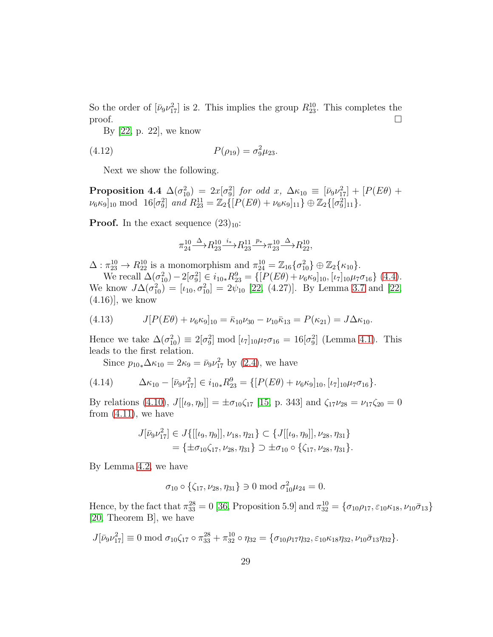So the order of  $[\bar{\nu}_9 \nu_{17}^2]$  is 2. This implies the group  $R_{23}^{10}$ . This completes the proof.  $\Box$ 

By [\[22,](#page-53-5) p. 22], we know

(4.12) 
$$
P(\rho_{19}) = \sigma_9^2 \mu_{23}.
$$

<span id="page-28-2"></span>Next we show the following.

**Proposition 4.4**  $\Delta(\sigma_{10}^2) = 2x[\sigma_9^2]$  *for odd* x,  $\Delta \kappa_{10} \equiv [\bar{\nu}_9 \nu_{17}^2] + [P(E\theta) +$  $\nu_6 \kappa_9]_{10} \text{ mod } 16[\sigma_9^2] \text{ and } R_{23}^{11} = \mathbb{Z}_2\{ [P(E\theta) + \nu_6 \kappa_9]_{11} \} \oplus \mathbb{Z}_2\{ [\sigma_9^2]_{11} \}.$ 

**Proof.** In the exact sequence  $(23)_{10}$ :

<span id="page-28-3"></span>
$$
\pi_{24}^{10} \xrightarrow{\Delta} R_{23}^{10} \xrightarrow{i_*} R_{23}^{11} \xrightarrow{p_*} \pi_{23}^{10} \xrightarrow{\Delta} R_{22}^{10},
$$

 $\Delta: \pi_{23}^{10} \to R_{22}^{10}$  is a monomorphism and  $\pi_{24}^{10} = \mathbb{Z}_{16} \{\sigma_{10}^2\} \oplus \mathbb{Z}_2 \{\kappa_{10}\}.$ 

We recall  $\Delta(\sigma_{10}^2) - 2[\sigma_9^2] \in i_{10*} R_{23}^9 = \{ [P(E\theta) + \nu_6 \kappa_9]_{10}, [\nu_7]_{10} \mu_7 \sigma_{16} \}$  [\(4.4\)](#page-25-0). We know  $J\Delta(\sigma_{10}^2) = [\iota_{10}, \sigma_{10}^2] = 2\psi_{10}$  [\[22,](#page-53-5) (4.27)]. By Lemma [3.7](#page-19-2) and [\[22,](#page-53-5)  $(4.16)$ , we know

<span id="page-28-1"></span>(4.13) 
$$
J[P(E\theta) + \nu_6\kappa_9]_{10} = \bar{\kappa}_{10}\nu_{30} - \nu_{10}\bar{\kappa}_{13} = P(\kappa_{21}) = J\Delta\kappa_{10}.
$$

Hence we take  $\Delta(\sigma_{10}^2) \equiv 2[\sigma_9^2] \mod [\iota_7]_{10} \mu_7 \sigma_{16} = 16[\sigma_9^2]$  (Lemma [4.1\)](#page-25-1). This leads to the first relation.

<span id="page-28-0"></span>Since  $p_{10*} \Delta \kappa_{10} = 2\kappa_9 = \bar{\nu}_9 \nu_{17}^2$  by [\(2.4\)](#page-5-1), we have

(4.14) 
$$
\Delta \kappa_{10} - [\bar{\nu}_9 \nu_{17}^2] \in i_{10*} R_{23}^9 = \{ [P(E\theta) + \nu_6 \kappa_9]_{10}, [\nu_7]_{10} \mu_7 \sigma_{16} \}.
$$

By relations [\(4.10\)](#page-27-1),  $J[[\iota_9, \eta_9]] = \pm \sigma_{10}\zeta_{17}$  [\[15,](#page-52-3) p. 343] and  $\zeta_{17}\nu_{28} = \nu_{17}\zeta_{20} = 0$ from  $(4.11)$ , we have

$$
J[\bar{\nu}_9 \nu_{17}^2] \in J\{[[\iota_9, \eta_9]], \nu_{18}, \eta_{21}\} \subset \{J[[\iota_9, \eta_9]], \nu_{28}, \eta_{31}\}
$$
  
=  $\{\pm \sigma_{10} \zeta_{17}, \nu_{28}, \eta_{31}\} \supset \pm \sigma_{10} \circ \{\zeta_{17}, \nu_{28}, \eta_{31}\}.$ 

By Lemma [4.2,](#page-27-2) we have

$$
\sigma_{10} \circ \{\zeta_{17}, \nu_{28}, \eta_{31}\} \ni 0 \bmod \sigma_{10}^2 \mu_{24} = 0.
$$

Hence, by the fact that  $\pi_{33}^{28} = 0$  [\[36,](#page-54-3) Proposition 5.9] and  $\pi_{32}^{10} = \{\sigma_{10}\rho_{17}, \varepsilon_{10}\kappa_{18}, \nu_{10}\bar{\sigma}_{13}\}\$ [\[20,](#page-53-3) Theorem B], we have

$$
J[\bar{\nu}_9\nu_{17}^2] \equiv 0 \mod \sigma_{10}\zeta_{17} \circ \pi_{33}^{28} + \pi_{32}^{10} \circ \eta_{32} = \{\sigma_{10}\rho_{17}\eta_{32}, \varepsilon_{10}\kappa_{18}\eta_{32}, \nu_{10}\bar{\sigma}_{13}\eta_{32}\}.
$$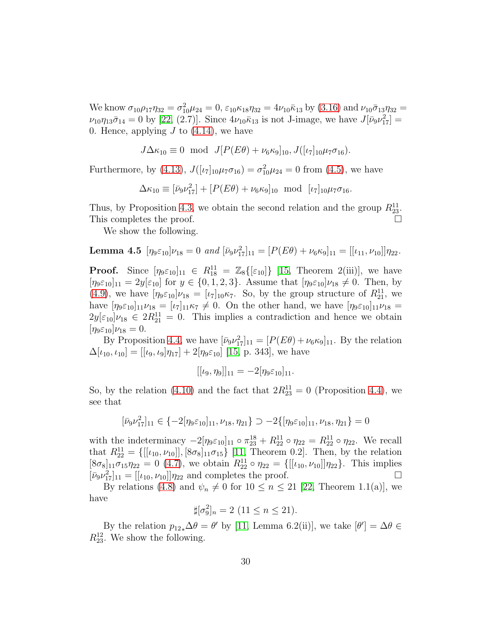We know  $\sigma_{10}\rho_{17}\eta_{32} = \sigma_{10}^2\mu_{24} = 0$ ,  $\varepsilon_{10}\kappa_{18}\eta_{32} = 4\nu_{10}\bar{\kappa}_{13}$  by [\(3.16\)](#page-19-3) and  $\nu_{10}\bar{\sigma}_{13}\eta_{32} =$  $\nu_{10}\eta_{13}\bar{\sigma}_{14}=0$  by [\[22,](#page-53-5) (2.7)]. Since  $4\nu_{10}\bar{\kappa}_{13}$  is not J-image, we have  $J[\bar{\nu}_9\nu_{17}^2]=$ 0. Hence, applying  $J$  to  $(4.14)$ , we have

$$
J\Delta\kappa_{10} \equiv 0 \mod J[P(E\theta) + \nu_6\kappa_9]_{10}, J([\iota_7]_{10}\mu_7\sigma_{16}).
$$

Furthermore, by [\(4.13\)](#page-28-1),  $J([\iota_7]_{10}\mu_7\sigma_{16}) = \sigma_{10}^2\mu_{24} = 0$  from [\(4.5\)](#page-25-2), we have

$$
\Delta \kappa_{10} \equiv [\bar{\nu}_9 \nu_{17}^2] + [P(E\theta) + \nu_6 \kappa_9]_{10} \text{ mod } [\nu_7]_{10} \mu_7 \sigma_{16}.
$$

Thus, by Proposition [4.3,](#page-27-3) we obtain the second relation and the group  $R_{23}^{11}$ . This completes the proof.

<span id="page-29-1"></span>We show the following.

**Lemma 4.5** 
$$
[\eta_9 \varepsilon_{10}] \nu_{18} = 0
$$
 and  $[\bar{\nu}_9 \nu_{17}^2]_{11} = [P(E\theta) + \nu_6 \kappa_9]_{11} = [[\iota_{11}, \nu_{10}]] \eta_{22}.$ 

**Proof.** Since  $[\eta_9 \varepsilon_{10}]_{11} \in R_{18}^{11} = \mathbb{Z}_8\{[\varepsilon_{10}]\}\$  [\[15,](#page-52-3) Theorem 2(iii)], we have  $[\eta_9 \varepsilon_{10}]_{11} = 2y[\varepsilon_{10}]$  for  $y \in \{0, 1, 2, 3\}$ . Assume that  $[\eta_9 \varepsilon_{10}] \nu_{18} \neq 0$ . Then, by [\(4.9\)](#page-26-0), we have  $[\eta_9 \varepsilon_{10}] \nu_{18} = [\iota_7]_{10} \kappa_7$ . So, by the group structure of  $R_{21}^{11}$ , we have  $[\eta_9 \varepsilon_{10}]_{11} \nu_{18} = [\iota_7]_{11} \kappa_7 \neq 0$ . On the other hand, we have  $[\eta_9 \varepsilon_{10}]_{11} \nu_{18} =$  $2y[\epsilon_{10}]\nu_{18} \in 2R_{21}^{11} = 0$ . This implies a contradiction and hence we obtain  $[\eta_9 \varepsilon_{10}]\nu_{18} = 0.$ 

By Proposition [4.4,](#page-28-2) we have  $[\bar{\nu}_9 \nu_{17}^2]_{11} = [P(E\theta) + \nu_6 \kappa_9]_{11}$ . By the relation  $\Delta[\iota_{10}, \iota_{10}] = [[\iota_9, \iota_9]\eta_{17}] + 2[\eta_9\varepsilon_{10}]$  [\[15,](#page-52-3) p. 343], we have

$$
[[\iota_9, \eta_9]]_{11} = -2[\eta_9 \varepsilon_{10}]_{11}.
$$

So, by the relation [\(4.10\)](#page-27-1) and the fact that  $2R_{23}^{11} = 0$  (Proposition [4.4\)](#page-28-2), we see that

$$
[\bar{\nu}_9\nu_{17}^2]_{11} \in \{-2[\eta_9 \varepsilon_{10}]_{11}, \nu_{18}, \eta_{21}\} \supset -2\{[\eta_9 \varepsilon_{10}]_{11}, \nu_{18}, \eta_{21}\} = 0
$$

with the indeterminacy  $-2[\eta_9 \varepsilon_{10}]_{11} \circ \pi_{23}^{18} + R_{22}^{11} \circ \eta_{22} = R_{22}^{11} \circ \eta_{22}$ . We recall that  $R_{22}^{11} = \{[[\iota_{10}, \nu_{10}]], [8\sigma_8]_{11}\sigma_{15}\}$  [\[11,](#page-52-5) Theorem 0.2]. Then, by the relation  $[8\sigma_8]_{11}\sigma_{15}\eta_{22} = 0$  [\(4.7\)](#page-26-1), we obtain  $R_{22}^{11} \circ \eta_{22} = \{[[\iota_{10}, \nu_{10}]]\eta_{22}\}.$  This implies  $[\bar{\nu}_9 \nu_{17}^2]_{11} = [[\iota_{10}, \nu_{10}]] \eta_{22}$  and completes the proof.

By relations [\(4.8\)](#page-26-2) and  $\psi_n \neq 0$  for  $10 \leq n \leq 21$  [\[22,](#page-53-5) Theorem 1.1(a)], we have

$$
\sharp[\sigma_9^2]_n = 2 \ (11 \le n \le 21).
$$

<span id="page-29-0"></span>By the relation  $p_{12*}\Delta\theta = \theta'$  by [\[11,](#page-52-5) Lemma 6.2(ii)], we take  $[\theta'] = \Delta\theta \in$  $R_{23}^{12}$ . We show the following.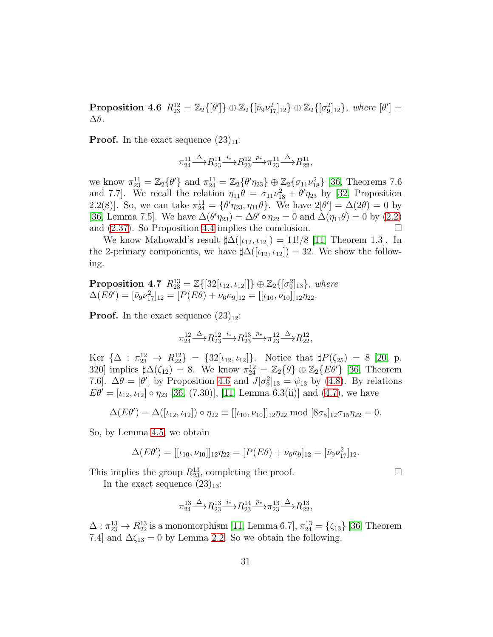Proposition 4.6  $R_{23}^{12} = \mathbb{Z}_2\{[\theta']\} \oplus \mathbb{Z}_2\{[\bar{\nu}_9 \nu_{17}^2]_{12}\} \oplus \mathbb{Z}_2\{[\sigma_9^2]_{12}\},$  where  $[\theta'] =$ ∆θ*.*

**Proof.** In the exact sequence  $(23)_{11}$ :

$$
\pi_{24}^{11} \stackrel{\Delta}{\longrightarrow} R_{23}^{11} \stackrel{i_*}{\longrightarrow} R_{23}^{12} \stackrel{p_*}{\longrightarrow} \pi_{23}^{11} \stackrel{\Delta}{\longrightarrow} R_{22}^{11},
$$

we know  $\pi_{23}^{11} = \mathbb{Z}_2\{\theta'\}$  and  $\pi_{24}^{11} = \mathbb{Z}_2\{\theta'\eta_{23}\} \oplus \mathbb{Z}_2\{\sigma_{11}\nu_{18}^2\}$  [\[36,](#page-54-3) Theorems 7.6 and 7.7]. We recall the relation  $\eta_{11}\theta = \sigma_{11}\nu_{18}^2 + \theta'\eta_{23}$  by [\[32,](#page-53-8) Proposition 2.2(8). So, we can take  $\pi_{24}^{11} = {\theta'\eta_{23}, \eta_{11}\theta}$ . We have  $2[\theta'] = \Delta(2\theta) = 0$  by [\[36,](#page-54-3) Lemma 7.5]. We have  $\Delta(\theta'\eta_{23}) = \Delta\theta' \circ \eta_{22} = 0$  and  $\Delta(\eta_{11}\theta) = 0$  by [\(2.2\)](#page-4-1) and  $(2.37)$ . So Proposition [4.4](#page-28-2) implies the conclusion.

We know Mahowald's result  $\sharp \Delta([t_{12}, t_{12}]) = 11!/8$  [\[11,](#page-52-5) Theorem 1.3]. In the 2-primary components, we have  $\sharp \Delta([\iota_{12}, \iota_{12}]) = 32$ . We show the following.

<span id="page-30-0"></span>**Proposition 4.7**  $R_{23}^{13} = \mathbb{Z}\{[32[\iota_{12}, \iota_{12}]]\} \oplus \mathbb{Z}_2\{[\sigma_9^2]_{13}\},$  where  $\Delta(E\theta') = [\bar{\nu}_9 \nu_{17}^2]_{12} = [P(E\theta) + \nu_6 \kappa_9]_{12} = [[\iota_{10}, \nu_{10}]]_{12} \eta_{22}.$ 

**Proof.** In the exact sequence  $(23)_{12}$ :

$$
\pi_{24}^{12}\!\!\! \stackrel{\Delta}\longrightarrow \!\! R_{23}^{12} \!\!\! \stackrel{i_*}{\longrightarrow}\!\! R_{23}^{13} \!\!\! \stackrel{p_*}{\longrightarrow}\!\! \pi_{23}^{12} \!\!\! \stackrel{\Delta}\longrightarrow \!\! R_{22}^{12},
$$

Ker  $\{\Delta : \pi_{23}^{12} \to R_{22}^{12}\} = \{32[\iota_{12}, \iota_{12}]\}\.$  Notice that  $\sharp P(\zeta_{25}) = 8$  [\[20,](#page-53-3) p. 320] implies  $\sharp \Delta(\zeta_{12}) = 8$ . We know  $\pi_{24}^{12} = \mathbb{Z}_2\{\theta\} \oplus \mathbb{Z}_2\{E\theta'\}$  [\[36,](#page-54-3) Theorem 7.6].  $\Delta\theta = [\theta']$  by Proposition [4.6](#page-29-0) and  $J[\sigma_9^2]_{13} = \psi_{13}$  by [\(4.8\)](#page-26-2). By relations  $E\theta' = [\iota_{12}, \iota_{12}] \circ \eta_{23}$  [\[36,](#page-54-3) (7.30)], [\[11,](#page-52-5) Lemma 6.3(ii)] and [\(4.7\)](#page-26-1), we have

$$
\Delta(E\theta') = \Delta([\iota_{12}, \iota_{12}]) \circ \eta_{22} \equiv [[\iota_{10}, \nu_{10}]]_{12} \eta_{22} \text{ mod } [8\sigma_8]_{12} \sigma_{15} \eta_{22} = 0.
$$

So, by Lemma [4.5,](#page-29-1) we obtain

$$
\Delta(E\theta') = [[\iota_{10}, \nu_{10}]]_{12}\eta_{22} = [P(E\theta) + \nu_6\kappa_9]_{12} = [\bar{\nu}_9\nu_{17}^2]_{12}.
$$

This implies the group  $R_{23}^{13}$ , completing the proof.  $\Box$ 

In the exact sequence  $(23)_{13}$ :

$$
\pi_{24}^{13} \xrightarrow{\Delta} R_{23}^{13} \xrightarrow{i_*} R_{23}^{14} \xrightarrow{p_*} \pi_{23}^{13} \xrightarrow{\Delta} R_{22}^{13},
$$

 $\Delta: \pi_{23}^{13} \to R_{22}^{13}$  is a monomorphism [\[11,](#page-52-5) Lemma 6.7],  $\pi_{24}^{13} = \{\zeta_{13}\}\$  [\[36,](#page-54-3) Theorem 7.4] and  $\Delta\zeta_{13} = 0$  by Lemma [2.2.](#page-8-4) So we obtain the following.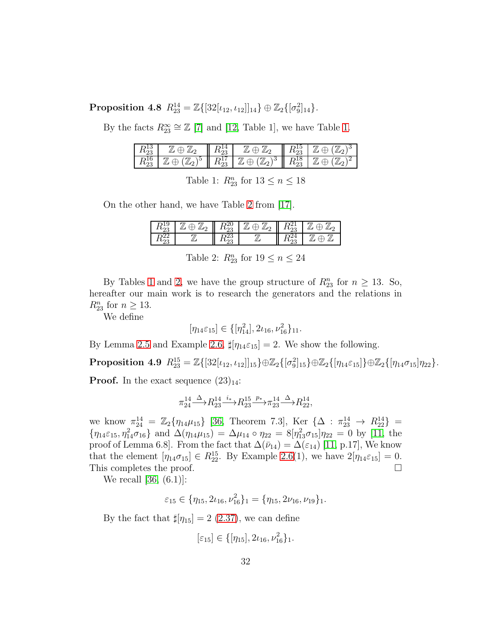$\text{Proposition 4.8 \ \ } R_{23}^{14} = \mathbb{Z}\{[32[\iota_{12},\iota_{12}]]_{14}\} \oplus \mathbb{Z}_2\{[\sigma_9^2]_{14}\}.$ 

By the facts  $R_{23}^{\infty} \cong \mathbb{Z}$  [\[7\]](#page-52-6) and [\[12,](#page-52-7) Table 1], we have Table [1.](#page-31-0)

| ∠ພ  |        |    |              | ⊥∪ | . |
|-----|--------|----|--------------|----|---|
| ر د | ್<br>- | ∠ω | د،<br>◡<br>- | ⊥∪ |   |

<span id="page-31-0"></span>Table 1:  $R_{23}^n$  for  $13 \leq n \leq 18$ 

On the other hand, we have Table [2](#page-31-1) from [\[17\]](#page-52-0).

| ັ∿ດ≏<br>∠ພ | ⊿ി<br>◡ | ΖU<br>∠ບ  | $\mu$ o<br>∼ | ∠ພ | ◡ |
|------------|---------|-----------|--------------|----|---|
| ∠ພ         |         | ∠.)<br>∠ພ | <u>// .</u>  | ∠⊖ |   |

<span id="page-31-1"></span>Table 2:  $R_{23}^n$  for  $19 \leq n \leq 24$ 

By Tables [1](#page-31-0) and [2,](#page-31-1) we have the group structure of  $R_{23}^n$  for  $n \geq 13$ . So, hereafter our main work is to research the generators and the relations in  $R_{23}^n$  for  $n \geq 13$ .

We define

<span id="page-31-2"></span> $[\eta_{14}\varepsilon_{15}] \in \{[\eta_{14}^2], 2\iota_{16}, \nu_{16}^2\}_{11}.$ 

By Lemma [2.5](#page-12-0) and Example [2.6,](#page-13-4)  $\sharp[\eta_{14}\varepsilon_{15}] = 2$ . We show the following.

 $\text{Proposition 4.9 \ \ } R^{15}_{23} = \mathbb{Z}\{ [32[\iota_{12},\iota_{12}]]_{15} \} \oplus \mathbb{Z}_2\{ [\sigma^2_9]_{15} \} \oplus \mathbb{Z}_2\{ [\eta_{14}\varepsilon_{15}]\} \oplus \mathbb{Z}_2\{ [\eta_{14}\sigma_{15}]\eta_{22} \}.$ 

**Proof.** In the exact sequence  $(23)_{14}$ :

$$
\pi_{24}^{14} \xrightarrow{\Delta} R_{23}^{14} \xrightarrow{i_*} R_{23}^{15} \xrightarrow{p_*} \pi_{23}^{14} \xrightarrow{\Delta} R_{22}^{14},
$$

we know  $\pi_{24}^{14} = \mathbb{Z}_2\{\eta_{14}\mu_{15}\}\$  [\[36,](#page-54-3) Theorem 7.3], Ker  $\{\Delta : \pi_{23}^{14} \to R_{22}^{14}\}$  =  $\{\eta_{14}\varepsilon_{15},\eta_{14}^2\sigma_{16}\}\$ and  $\Delta(\eta_{14}\mu_{15})=\Delta\mu_{14}\circ\eta_{22}=8[\eta_{13}^2\sigma_{15}]\eta_{22}=0$  by [\[11,](#page-52-5) the proof of Lemma 6.8]. From the fact that  $\Delta(\bar{\nu}_{14}) = \Delta(\varepsilon_{14})$  [\[11,](#page-52-5) p.17], We know that the element  $[\eta_{14}\sigma_{15}] \in R_{22}^{15}$ . By Example [2.6\(](#page-13-4)1), we have  $2[\eta_{14}\varepsilon_{15}] = 0$ . This completes the proof.

We recall [\[36,](#page-54-3) (6.1)]:

$$
\varepsilon_{15} \in \{\eta_{15}, 2\iota_{16}, \nu_{16}^2\}_1 = \{\eta_{15}, 2\nu_{16}, \nu_{19}\}_1.
$$

By the fact that  $\sharp[\eta_{15}] = 2$  [\(2.37\)](#page-7-0), we can define

$$
[\varepsilon_{15}] \in \{[\eta_{15}], 2\iota_{16}, \nu_{16}^2\}_1.
$$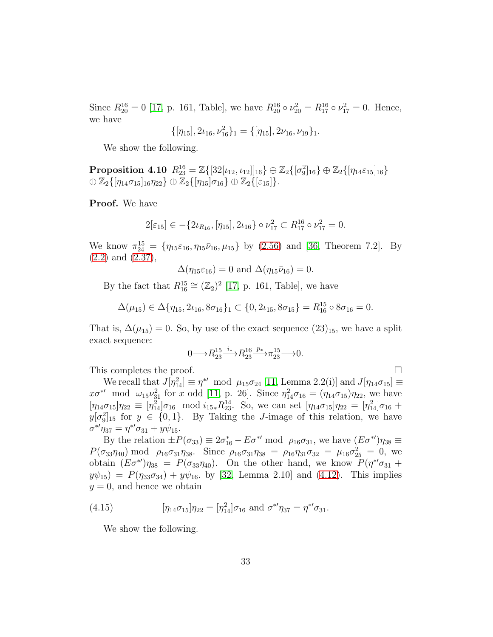Since  $R_{20}^{16} = 0$  [\[17,](#page-52-0) p. 161, Table], we have  $R_{20}^{16} \circ \nu_{20}^2 = R_{17}^{16} \circ \nu_{17}^2 = 0$ . Hence, we have

$$
\{[\eta_{15}],2\iota_{16},\nu_{16}^2\}_1=\{[\eta_{15}],2\nu_{16},\nu_{19}\}_1.
$$

We show the following.

 $\textbf{Proposition 4.10} \ \ R_{23}^{16} = \mathbb{Z}\{[32[\iota_{12},\iota_{12}]]_{16}\} \oplus \mathbb{Z}_2\{[\sigma^2_9]_{16}\} \oplus \mathbb{Z}_2\{[\eta_{14}\varepsilon_{15}]_{16}\}$  $\oplus \mathbb{Z}_2\{[\eta_{14}\sigma_{15}]_{16}\eta_{22}\}\oplus \mathbb{Z}_2\{[\eta_{15}]\sigma_{16}\}\oplus \mathbb{Z}_2\{[\varepsilon_{15}]\}.$ 

Proof. We have

$$
2[\varepsilon_{15}] \in -\{2\iota_{R_{16}}, [\eta_{15}], 2\iota_{16}\} \circ \nu_{17}^2 \subset R_{17}^{16} \circ \nu_{17}^2 = 0.
$$

We know  $\pi_{24}^{15} = \{\eta_{15}\varepsilon_{16}, \eta_{15}\bar{\nu}_{16}, \mu_{15}\}\$  by [\(2.56\)](#page-13-0) and [\[36,](#page-54-3) Theorem 7.2]. By [\(2.2\)](#page-4-1) and [\(2.37\)](#page-7-0),

$$
\Delta(\eta_{15}\varepsilon_{16})=0 \text{ and } \Delta(\eta_{15}\bar{\nu}_{16})=0.
$$

By the fact that  $R_{16}^{15} \cong (\mathbb{Z}_2)^2$  [\[17,](#page-52-0) p. 161, Table], we have

$$
\Delta(\mu_{15}) \in \Delta\{\eta_{15}, 2\iota_{16}, 8\sigma_{16}\}_1 \subset \{0, 2\iota_{15}, 8\sigma_{15}\} = R_{16}^{15} \circ 8\sigma_{16} = 0.
$$

That is,  $\Delta(\mu_{15}) = 0$ . So, by use of the exact sequence  $(23)_{15}$ , we have a split exact sequence:

$$
0{\longrightarrow} R^{15}_{23} \mathop{\longrightarrow}^{i_*} R^{16}_{23} \mathop{\longrightarrow}^{p_*} \pi^{15}_{23} {\longrightarrow} 0.
$$

This completes the proof.

We recall that  $J[\eta_{14}^2] \equiv \eta^{*} \mod \mu_{15}\sigma_{24}$  [\[11,](#page-52-5) Lemma 2.2(i)] and  $J[\eta_{14}\sigma_{15}] \equiv$  $x\sigma^{*}$  mod  $\omega_{15}\nu_{31}^2$  for x odd [\[11,](#page-52-5) p. 26]. Since  $\eta_{14}^2\sigma_{16} = (\eta_{14}\sigma_{15})\eta_{22}$ , we have  $[\eta_{14}\sigma_{15}]\eta_{22} \equiv [\eta_{14}^2]\sigma_{16} \mod i_{15*}R_{23}^{14}$ . So, we can set  $[\eta_{14}\sigma_{15}]\eta_{22} = [\eta_{14}^2]\sigma_{16}$  +  $y[\sigma_9^2]_{15}$  for  $y \in \{0,1\}$ . By Taking the *J*-image of this relation, we have  $\sigma^{*'} \eta_{37} = \eta^{*'} \sigma_{31} + y \psi_{15}.$ 

By the relation  $\pm P(\sigma_{33}) \equiv 2\sigma_{16}^* - E\sigma^{*\prime} \mod \rho_{16}\sigma_{31}$ , we have  $(E\sigma^{*\prime})\eta_{38} \equiv$  $P(\sigma_{33}\eta_{40}) \text{ mod } \rho_{16}\sigma_{31}\eta_{38}.$  Since  $\rho_{16}\sigma_{31}\eta_{38} = \rho_{16}\eta_{31}\sigma_{32} = \mu_{16}\sigma_{25}^2 = 0$ , we obtain  $(E\sigma^{*})\eta_{38} = P(\sigma_{33}\eta_{40})$ . On the other hand, we know  $P(\eta^{*}\sigma_{31} +$  $y\psi_{15}$  =  $P(\eta_{33}\sigma_{34}) + y\psi_{16}$ . by [\[32,](#page-53-8) Lemma 2.10] and [\(4.12\)](#page-28-3). This implies  $y = 0$ , and hence we obtain

(4.15) 
$$
[\eta_{14}\sigma_{15}]\eta_{22} = [\eta_{14}^2]\sigma_{16} \text{ and } \sigma^{*\prime}\eta_{37} = \eta^{*\prime}\sigma_{31}.
$$

<span id="page-32-1"></span><span id="page-32-0"></span>We show the following.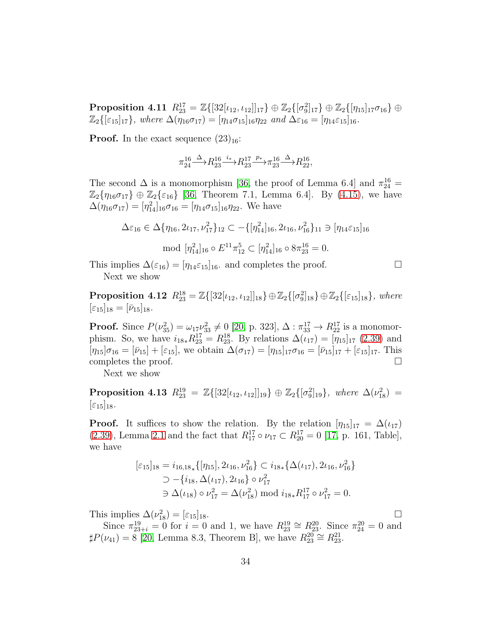$\textbf{Proposition 4.11} \ \ R_{23}^{17} = \mathbb{Z}\{[32[\iota_{12},\iota_{12}]]_{17}\} \oplus \mathbb{Z}_2\{[\sigma_9^2]_{17}\} \oplus \mathbb{Z}_2\{[\eta_{15}]_{17}\sigma_{16}\} \oplus$  $\mathbb{Z}_2\{[\varepsilon_{15}]_{17}\}\$ , where  $\Delta(\eta_{16}\sigma_{17}) = [\eta_{14}\sigma_{15}]_{16}\eta_{22}$  and  $\Delta\varepsilon_{16} = [\eta_{14}\varepsilon_{15}]_{16}$ *.* 

**Proof.** In the exact sequence  $(23)_{16}$ :

$$
\pi_{24}^{16}\!\!\! \stackrel{\Delta}\longrightarrow \!\! R_{23}^{16} \!\! \stackrel{i_\ast}\longrightarrow \!\! R_{23}^{17} \!\! \stackrel{p_\ast}\longrightarrow \!\! \pi_{23}^{16} \!\! \stackrel{\Delta}\longrightarrow \!\! R_{22}^{16},
$$

The second  $\Delta$  is a monomorphism [\[36,](#page-54-3) the proof of Lemma 6.4] and  $\pi_{24}^{16}$  =  $\mathbb{Z}_2\{\eta_{16}\sigma_{17}\}\oplus\mathbb{Z}_2\{\varepsilon_{16}\}\$  [\[36,](#page-54-3) Theorem 7.1, Lemma 6.4]. By [\(4.15\)](#page-32-0), we have  $\Delta(\eta_{16}\sigma_{17}) = [\eta_{14}^2]_{16}\sigma_{16} = [\eta_{14}\sigma_{15}]_{16}\eta_{22}$ . We have

<span id="page-33-1"></span>
$$
\Delta \varepsilon_{16} \in \Delta \{ \eta_{16}, 2\iota_{17}, \nu_{17}^2 \}_{12} \subset -\{ [\eta_{14}^2]_{16}, 2\iota_{16}, \nu_{16}^2 \}_{11} \ni [\eta_{14} \varepsilon_{15}]_{16}
$$
  
mod  $[\eta_{14}^2]_{16} \circ E^{11} \pi_{12}^5 \subset [\eta_{14}^2]_{16} \circ 8\pi_{23}^{16} = 0.$ 

This implies  $\Delta(\varepsilon_{16}) = [\eta_{14}\varepsilon_{15}]_{16}$  and completes the proof.  $\Box$ Next we show

**Proposition 4.12**  $R_{23}^{18} = \mathbb{Z}\{[32[\iota_{12}, \iota_{12}]]_{18}\} \oplus \mathbb{Z}_2\{[\sigma_9^2]_{18}\} \oplus \mathbb{Z}_2\{[\varepsilon_{15}]_{18}\}, where$  $[\varepsilon_{15}]_{18} = [\bar{\nu}_{15}]_{18}.$ 

**Proof.** Since  $P(\nu_{35}^2) = \omega_{17} \nu_{33}^2 \neq 0$  [\[20,](#page-53-3) p. 323],  $\Delta : \pi_{33}^{17} \to R_{22}^{17}$  is a monomorphism. So, we have  $i_{18*}R_{23}^{17} = R_{23}^{18}$ . By relations  $\Delta(\iota_{17}) = [\eta_{15}]_{17}$  [\(2.39\)](#page-7-5) and  $[\eta_{15}]\sigma_{16} = [\bar{\nu}_{15}] + [\varepsilon_{15}],$  we obtain  $\Delta(\sigma_{17}) = [\eta_{15}]_{17}\sigma_{16} = [\bar{\nu}_{15}]_{17} + [\varepsilon_{15}]_{17}.$  This completes the proof.  $\hfill \square$ 

<span id="page-33-0"></span>Next we show

Proposition 4.13  $R_{23}^{19} = \mathbb{Z}\{[32[\iota_{12}, \iota_{12}]]_{19}\} \oplus \mathbb{Z}_2\{[\sigma_9^2]_{19}\},$  where  $\Delta(\nu_{18}^2) =$  $\lbrack \varepsilon_{15}\rbrack_{18}.$ 

**Proof.** It suffices to show the relation. By the relation  $[\eta_{15}]_{17} = \Delta(\iota_{17})$ [\(2.39\)](#page-7-5), Lemma [2.1](#page-8-2) and the fact that  $R_{17}^{17} \circ \nu_{17} \subset R_{20}^{17} = 0$  [\[17,](#page-52-0) p. 161, Table], we have

$$
\begin{aligned} [\varepsilon_{15}]_{18} &= i_{16,18_*} \{ [\eta_{15}], 2\iota_{16}, \nu_{16}^2 \} \subset i_{18*} \{ \Delta(\iota_{17}), 2\iota_{16}, \nu_{16}^2 \} \\ &\supset -\{i_{18}, \Delta(\iota_{17}), 2\iota_{16} \} \circ \nu_{17}^2 \\ &\supset \Delta(\iota_{18}) \circ \nu_{17}^2 = \Delta(\nu_{18}^2) \bmod i_{18*} R_{17}^{17} \circ \nu_{17}^2 = 0. \end{aligned}
$$

This implies  $\Delta(\nu_{18}^2) = [\varepsilon_{15}]_{18}$ .

Since  $\pi_{23+i}^{19} = 0$  for  $i = 0$  and 1, we have  $R_{23}^{19} \cong R_{23}^{20}$ . Since  $\pi_{24}^{20} = 0$  and  $\sharp P(\nu_{41}) = 8$  [\[20,](#page-53-3) Lemma 8.3, Theorem B], we have  $R_{23}^{20} \cong R_{23}^{21}$ .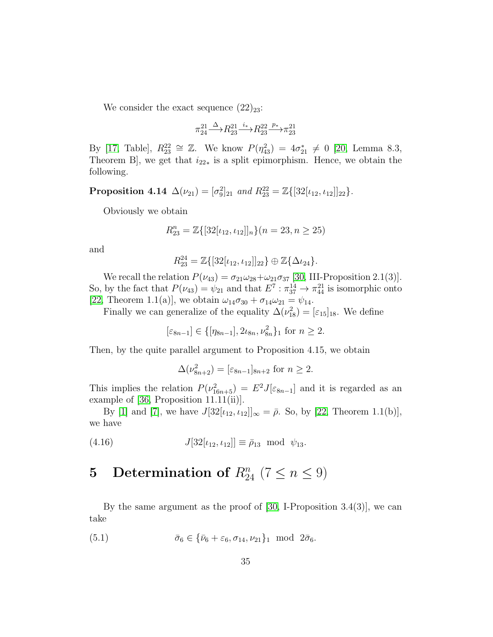We consider the exact sequence  $(22)_{23}$ :

$$
\pi_{24}^{21} \stackrel{\Delta}{\longrightarrow} R_{23}^{21} \stackrel{i_*}{\longrightarrow} R_{23}^{22} \stackrel{p_*}{\longrightarrow} \pi_{23}^{21}
$$

By [\[17,](#page-52-0) Table],  $R_{23}^{22} \cong \mathbb{Z}$ . We know  $P(\eta_{43}^2) = 4\sigma_{21}^* \neq 0$  [\[20,](#page-53-3) Lemma 8.3, Theorem B, we get that  $i_{22*}$  is a split epimorphism. Hence, we obtain the following.

**Proposition 4.14**  $\Delta(\nu_{21}) = [\sigma_9^2]_{21}$  and  $R_{23}^{22} = \mathbb{Z}\{[32[\iota_{12}, \iota_{12}]]_{22}\}.$ 

Obviously we obtain

$$
R_{23}^n = \mathbb{Z}\{[32[\iota_{12}, \iota_{12}]]_n\}(n = 23, n \ge 25)
$$

and

$$
R_{23}^{24} = \mathbb{Z}\{[32[\iota_{12}, \iota_{12}]]_{22}\} \oplus \mathbb{Z}\{\Delta \iota_{24}\}.
$$

We recall the relation  $P(\nu_{43}) = \sigma_{21}\omega_{28} + \omega_{21}\sigma_{37}$  [\[30,](#page-53-4) III-Proposition 2.1(3)]. So, by the fact that  $P(\nu_{43}) = \psi_{21}$  and that  $E^7 : \pi_{37}^{14} \to \pi_{44}^{21}$  is isomorphic onto [\[22,](#page-53-5) Theorem 1.1(a)], we obtain  $\omega_{14}\sigma_{30} + \sigma_{14}\omega_{21} = \psi_{14}$ .

Finally we can generalize of the equality  $\Delta(\nu_{18}^2) = [\epsilon_{15}]_{18}$ . We define

 $[\varepsilon_{8n-1}] \in \{[\eta_{8n-1}], 2\iota_{8n}, \nu_{8n}^2\}_1$  for  $n \geq 2$ .

Then, by the quite parallel argument to Proposition 4.15, we obtain

$$
\Delta(\nu_{8n+2}^2) = [\varepsilon_{8n-1}]_{8n+2} \text{ for } n \ge 2.
$$

This implies the relation  $P(\nu_{16n+5}^2) = E^2 J[\epsilon_{8n-1}]$  and it is regarded as an example of [\[36,](#page-54-3) Proposition 11.11(ii)].

By [\[1\]](#page-51-3) and [\[7\]](#page-52-6), we have  $J[32[\iota_{12}, \iota_{12}]]_{\infty} = \bar{\rho}$ . So, by [\[22,](#page-53-5) Theorem 1.1(b)], we have

(4.16) 
$$
J[32[\iota_{12}, \iota_{12}]] \equiv \bar{\rho}_{13} \text{ mod } \psi_{13}.
$$

# 5 Determination of  $R_{24}^n$  (7  $\leq n \leq 9$ )

By the same argument as the proof of [\[30,](#page-53-4) I-Proposition 3.4(3)], we can take

<span id="page-34-0"></span>(5.1) 
$$
\bar{\sigma}_6 \in \{\bar{\nu}_6 + \varepsilon_6, \sigma_{14}, \nu_{21}\}_1 \text{ mod } 2\bar{\sigma}_6.
$$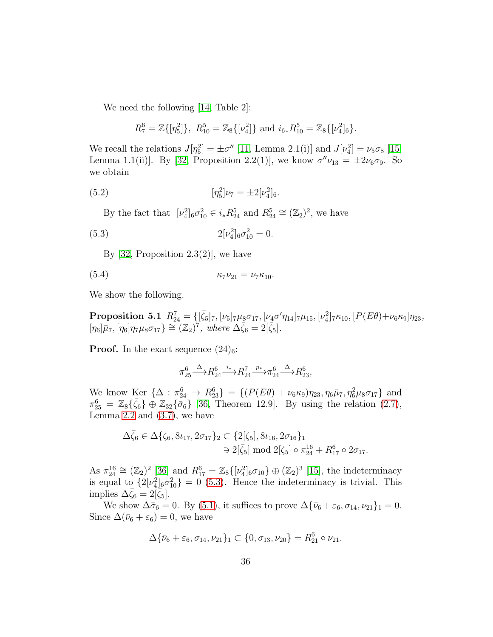We need the following [\[14,](#page-52-2) Table 2]:

<span id="page-35-1"></span>
$$
R_7^6 = \mathbb{Z}\{[\eta_5^2]\},\ R_{10}^5 = \mathbb{Z}_8\{[\nu_4^2]\}\ \text{and}\ i_{6*}R_{10}^5 = \mathbb{Z}_8\{[\nu_4^2]_6\}.
$$

We recall the relations  $J[\eta_5^2] = \pm \sigma''$  [\[11,](#page-52-5) Lemma 2.1(i)] and  $J[\nu_4^2] = \nu_5 \sigma_8$  [\[15,](#page-52-3) Lemma 1.1(ii)]. By [\[32,](#page-53-8) Proposition 2.2(1)], we know  $\sigma''\nu_{13} = \pm 2\nu_6\sigma_9$ . So we obtain

(5.2) 
$$
[\eta_5^2]\nu_7 = \pm 2[\nu_4^2]_6.
$$

By the fact that  $[\nu_4^2]_6 \sigma_{10}^2 \in i_* R_{24}^5$  and  $R_{24}^5 \cong (\mathbb{Z}_2)^2$ , we have

(5.3) 
$$
2[\nu_4^2]_6 \sigma_{10}^2 = 0.
$$

<span id="page-35-0"></span>By [\[32,](#page-53-8) Proposition 2.3(2)], we have

$$
\kappa_7 \nu_{21} = \nu_7 \kappa_{10}.
$$

We show the following.

 $\textbf{Proposition 5.1} \ \ R_{24}^7 = \{[\bar{\zeta}_5]_7, [\nu_5]_7\mu_8\sigma_{17}, [\nu_4\sigma'\eta_{14}]_7\mu_{15}, [\nu_4^2]_7\kappa_{10}, [P(E\theta)+\nu_6\kappa_9]\eta_{23},$  $[\eta_6]\bar{\mu}_7, [\eta_6]\eta_7\mu_8\sigma_{17} \} \cong (\mathbb{Z}_2)^7$ , where  $\Delta \bar{\zeta}_6 = 2[\bar{\zeta}_5]$ .

**Proof.** In the exact sequence  $(24)_6$ :

<span id="page-35-2"></span>
$$
\pi_{25}^6 \xrightarrow{\Delta} R_{24}^6 \xrightarrow{i_*} R_{24}^7 \xrightarrow{p_*} \pi_{24}^6 \xrightarrow{\Delta} R_{23}^6,
$$

We know Ker  $\{\Delta : \pi_{24}^6 \to R_{23}^6\} = \{(P(E\theta) + \nu_6\kappa_9)\eta_{23}, \eta_6\bar{\mu}_7, \eta_6^2\mu_8\sigma_{17}\}\$ and  $\pi_{25}^{6} = \mathbb{Z}_{8}\{\bar{\zeta}_{6}\} \oplus \mathbb{Z}_{32}\{\bar{\sigma}_{6}\}\$  [\[36,](#page-54-3) Theorem 12.9]. By using the relation [\(2.7\)](#page-5-0), Lemma  $2.2$  and  $(3.7)$ , we have

$$
\Delta \bar{\zeta}_6 \in \Delta \{ \zeta_6, 8\iota_{17}, 2\sigma_{17} \}_2 \subset \{ 2[\zeta_5], 8\iota_{16}, 2\sigma_{16} \}_1
$$
  

$$
\ni 2[\bar{\zeta}_5] \bmod 2[\zeta_5] \circ \pi_{24}^{16} + R_{17}^6 \circ 2\sigma_{17}.
$$

As  $\pi_{24}^{16} \cong (\mathbb{Z}_2)^2$  [\[36\]](#page-54-3) and  $R_{17}^6 = \mathbb{Z}_8\{[\nu_4^2]_6 \sigma_{10}\} \oplus (\mathbb{Z}_2)^3$  [\[15\]](#page-52-3), the indeterminacy is equal to  $\{2[\nu_4^2]_6\sigma_{10}^2\}=0$  [\(5.3\)](#page-35-0). Hence the indeterminacy is trivial. This implies  $\Delta \bar{\zeta}_6 = 2[\bar{\zeta}_5].$ 

We show  $\Delta \bar{\sigma}_6 = 0$ . By [\(5.1\)](#page-34-0), it suffices to prove  $\Delta \{\bar{\nu}_6 + \varepsilon_6, \sigma_{14}, \nu_{21}\}_1 = 0$ . Since  $\Delta(\bar{\nu}_6 + \varepsilon_6) = 0$ , we have

$$
\Delta \{\bar{\nu}_6 + \varepsilon_6, \sigma_{14}, \nu_{21}\}_1 \subset \{0, \sigma_{13}, \nu_{20}\} = R_{21}^6 \circ \nu_{21}.
$$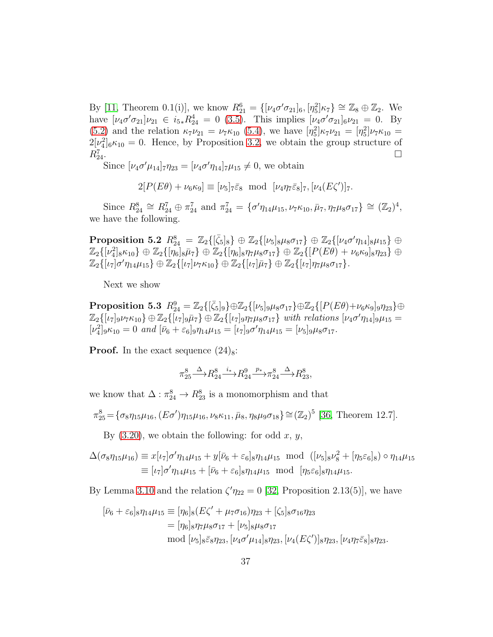By [\[11,](#page-52-5) Theorem 0.1(i)], we know  $R_{21}^6 = \{ [\nu_4 \sigma' \sigma_{21}]_6, [\eta_5^2] \kappa_7 \} \cong \mathbb{Z}_8 \oplus \mathbb{Z}_2$ . We have  $[\nu_4 \sigma' \sigma_{21}] \nu_{21} \in i_{5*} R_{24}^4 = 0$  [\(3.5\)](#page-14-0). This implies  $[\nu_4 \sigma' \sigma_{21}]_6 \nu_{21} = 0$ . By [\(5.2\)](#page-35-1) and the relation  $\kappa_7 \nu_{21} = \nu_7 \kappa_{10}$  [\(5.4\)](#page-35-2), we have  $[\eta_5^2] \kappa_7 \nu_{21} = [\eta_5^2] \nu_7 \kappa_{10} =$  $2[\nu_4^2]_6\kappa_{10}=0$ . Hence, by Proposition [3.2,](#page-15-2) we obtain the group structure of  $R_{24}^7$ .  $\overline{24}$ .

Since  $[\nu_4 \sigma' \mu_{14}]_7 \eta_{23} = [\nu_4 \sigma' \eta_{14}]_7 \mu_{15} \neq 0$ , we obtain

 $2[P(E\theta) + \nu_6\kappa_9] \equiv [\nu_5]_7\bar{\varepsilon}_8 \mod [\nu_4\eta_7\bar{\varepsilon}_8]_7, [\nu_4(E\zeta')]_7.$ 

Since  $R_{24}^8 \cong R_{24}^7 \oplus \pi_{24}^7$  and  $\pi_{24}^7 = {\sigma' \eta_{14} \mu_{15}, \nu_7 \kappa_{10}, \bar{\mu}_7, \eta_7 \mu_8 \sigma_{17}} \cong (\mathbb{Z}_2)^4$ , we have the following.

 $\text{Proposition 5.2 \ \ } R^{8}_{24} \ = \ {\mathbb Z}_2\{[\bar{\zeta}_5]_8\} \ \oplus \ {\mathbb Z}_2\{[\nu_5]_8\mu_8\sigma_{17}\} \ \oplus \ {\mathbb Z}_2\{[\nu_4\sigma'\eta_{14}]_8\mu_{15}\} \ \oplus$  $\mathbb{Z}_2\{[\nu_4^2]_8\kappa_{10}\}\oplus\mathbb{Z}_2\{[\eta_6]_8\bar{\mu}_7\}\oplus\mathbb{Z}_2\{[\eta_6]_8\eta_7\mu_8\sigma_{17}\}\oplus\mathbb{Z}_2\{[P(E\theta)+\nu_6\kappa_9]_8\eta_{23}\}\oplus\nonumber$  $\mathbb{Z}_2\{[\iota_7]\sigma'\eta_{14}\mu_{15}\}\oplus\mathbb{Z}_2\{[\iota_7]\nu_7\kappa_{10}\}\oplus\mathbb{Z}_2\{[\iota_7]\bar\mu_7\}\oplus\mathbb{Z}_2\{[\iota_7]\eta_7\mu_8\sigma_{17}\}.$ 

<span id="page-36-0"></span>Next we show

 $\textbf{Proposition 5.3} \ \ R_{24}^{9} = \mathbb{Z}_{2}\{[\bar{\zeta}_{5}]_{9}\} \oplus \mathbb{Z}_{2}\{[\nu_{5}]_{9}\mu_{8}\sigma_{17}\} \oplus \mathbb{Z}_{2}\{[P(E\theta)+\nu_{6}\kappa_{9}]_{9}\eta_{23}\} \oplus$  $\mathbb{Z}_2\{[\iota_7]_9\nu_7\kappa_{10}\}\oplus\mathbb{Z}_2\{[\iota_7]_9\bar{\mu}_7\}\oplus\mathbb{Z}_2\{[\iota_7]_9\eta_7\mu_8\sigma_{17}\}\ \text{with relations}\ [\nu_4\sigma'\eta_{14}]_9\mu_{15}=$  $[\nu_4^2]_9\kappa_{10} = 0$  *and*  $[\bar{\nu}_6 + \varepsilon_6]_9\eta_{14}\mu_{15} = [\nu_7]_9\sigma'\eta_{14}\mu_{15} = [\nu_5]_9\mu_8\sigma_{17}$ .

**Proof.** In the exact sequence  $(24)_8$ :

$$
\pi_{25}^8 \xrightarrow{\Delta} R_{24}^8 \xrightarrow{i_*} R_{24}^9 \xrightarrow{p_*} \pi_{24}^8 \xrightarrow{\Delta} R_{23}^8,
$$

we know that  $\Delta: \pi_{24}^8 \to R_{23}^8$  is a monomorphism and that

$$
\pi_{25}^8 = \{ \sigma_8 \eta_{15} \mu_{16}, (E\sigma') \eta_{15} \mu_{16}, \nu_8 \kappa_{11}, \bar{\mu}_8, \eta_8 \mu_9 \sigma_{18} \} \cong (\mathbb{Z}_2)^5 \text{ [36, Theorem 12.7]}.
$$

By  $(3.20)$ , we obtain the following: for odd x, y,

$$
\Delta(\sigma_8 \eta_{15} \mu_{16}) \equiv x[\iota_7] \sigma' \eta_{14} \mu_{15} + y[\bar{\nu}_6 + \varepsilon_6]_8 \eta_{14} \mu_{15} \mod ([\nu_5]_8 \nu_8^2 + [\eta_5 \varepsilon_6]_8) \circ \eta_{14} \mu_{15}
$$
  

$$
\equiv [\iota_7] \sigma' \eta_{14} \mu_{15} + [\bar{\nu}_6 + \varepsilon_6]_8 \eta_{14} \mu_{15} \mod [\eta_5 \varepsilon_6]_8 \eta_{14} \mu_{15}.
$$

By Lemma [3.10](#page-21-4) and the relation  $\zeta' \eta_{22} = 0$  [\[32,](#page-53-8) Proposition 2.13(5)], we have

$$
\begin{aligned} [\bar{\nu}_6 + \varepsilon_6]_8 \eta_{14} \mu_{15} &\equiv [\eta_6]_8 (E\zeta' + \mu_7 \sigma_{16}) \eta_{23} + [\zeta_5]_8 \sigma_{16} \eta_{23} \\ &= [\eta_6]_8 \eta_7 \mu_8 \sigma_{17} + [\nu_5]_8 \mu_8 \sigma_{17} \\ \text{mod } [\nu_5]_8 \bar{\varepsilon}_8 \eta_{23}, [\nu_4 \sigma' \mu_{14}]_8 \eta_{23}, [\nu_4 (E\zeta')]_8 \eta_{23}, [\nu_4 \eta_7 \bar{\varepsilon}_8]_8 \eta_{23}. \end{aligned}
$$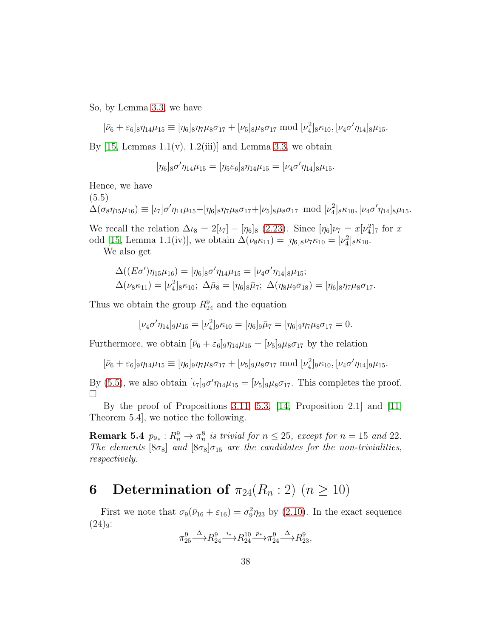So, by Lemma [3.3,](#page-16-2) we have

$$
[\bar{\nu}_6 + \varepsilon_6]_8 \eta_{14} \mu_{15} \equiv [\eta_6]_8 \eta_7 \mu_8 \sigma_{17} + [\nu_5]_8 \mu_8 \sigma_{17} \bmod [\nu_4^2]_8 \kappa_{10}, [\nu_4 \sigma' \eta_{14}]_8 \mu_{15}.
$$

By [\[15,](#page-52-3) Lemmas  $1.1(v)$ ,  $1.2(iii)$ ] and Lemma [3.3,](#page-16-2) we obtain

$$
[\eta_6]_8\sigma'\eta_{14}\mu_{15} = [\eta_5\varepsilon_6]_8\eta_{14}\mu_{15} = [\nu_4\sigma'\eta_{14}]_8\mu_{15}.
$$

Hence, we have

(5.5)

<span id="page-37-0"></span> $\Delta(\sigma_8\eta_{15}\mu_{16})\equiv [\iota_7]\sigma'\eta_{14}\mu_{15}+[\eta_6]_8\eta_7\mu_8\sigma_{17}+[\nu_5]_8\mu_8\sigma_{17}\ \ \text{mod}\ [\nu_4^2]_8\kappa_{10}, [\nu_4\sigma'\eta_{14}]_8\mu_{15}.$ 

We recall the relation  $\Delta \iota_8 = 2[\iota_7] - [\eta_6]_8$  [\(2.23\)](#page-6-13). Since  $[\eta_6]\nu_7 = x[\nu_4^2]_7$  for x odd [\[15,](#page-52-3) Lemma 1.1(iv)], we obtain  $\Delta(\nu_8 \kappa_{11}) = [\eta_6]_8 \nu_7 \kappa_{10} = [\nu_4^2]_8 \kappa_{10}$ .

We also get

$$
\Delta((E\sigma)\eta_{15}\mu_{16}) = [\eta_6]_8 \sigma' \eta_{14}\mu_{15} = [\nu_4 \sigma' \eta_{14}]_8 \mu_{15};
$$
  

$$
\Delta(\nu_8 \kappa_{11}) = [\nu_4^2]_8 \kappa_{10}; \ \Delta \bar{\mu}_8 = [\eta_6]_8 \bar{\mu}_7; \ \Delta(\eta_8 \mu_9 \sigma_{18}) = [\eta_6]_8 \eta_7 \mu_8 \sigma_{17}.
$$

Thus we obtain the group  $R_{24}^9$  and the equation

$$
[\nu_4 \sigma' \eta_{14}]_9 \mu_{15} = [\nu_4^2]_9 \kappa_{10} = [\eta_6]_9 \bar{\mu}_7 = [\eta_6]_9 \eta_7 \mu_8 \sigma_{17} = 0.
$$

Furthermore, we obtain  $[\bar{\nu}_6 + \varepsilon_6]_9 \eta_{14} \mu_{15} = [\nu_5]_9 \mu_8 \sigma_{17}$  by the relation

$$
[\bar{\nu}_6+\varepsilon_6]_9\eta_{14}\mu_{15}\equiv [\eta_6]_9\eta_7\mu_8\sigma_{17}+[\nu_5]_9\mu_8\sigma_{17}\bmod [\nu_4^2]_9\kappa_{10}, [\nu_4\sigma'\eta_{14}]_9\mu_{15}.
$$

By [\(5.5\)](#page-37-0), we also obtain  $[\iota_7]_9 \sigma' \eta_{14} \mu_{15} = [\nu_5]_9 \mu_8 \sigma_{17}$ . This completes the proof.  $\Box$ 

By the proof of Propositions [3.11,](#page-22-1) [5.3,](#page-36-0) [\[14,](#page-52-2) Proposition 2.1] and [\[11,](#page-52-5) Theorem 5.4], we notice the following.

**Remark 5.4**  $p_{9*}: R_n^9 \to \pi_n^8$  is trivial for  $n \le 25$ , except for  $n = 15$  and 22. *The elements*  $[8\sigma_8]$  *and*  $[8\sigma_8]\sigma_{15}$  *are the candidates for the non-trivialities, respectively.*

### 6 Determination of  $\pi_{24}(R_n:2)$   $(n \geq 10)$

First we note that  $\sigma_9(\bar{\nu}_{16} + \varepsilon_{16}) = \sigma_9^2 \eta_{23}$  by [\(2.10\)](#page-6-15). In the exact sequence  $(24)_{9}$ :

$$
\pi_{25}^9 \xrightarrow{\Delta} R_{24}^9 \xrightarrow{i_*} R_{24}^{10} \xrightarrow{p_*} \pi_{24}^9 \xrightarrow{\Delta} R_{23}^9,
$$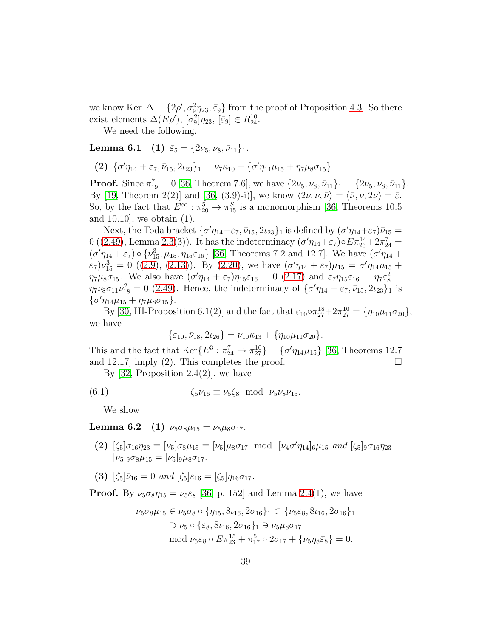we know Ker  $\Delta = \{2\rho', \sigma_9^2\eta_{23}, \bar{\varepsilon}_9\}$  from the proof of Proposition [4.3.](#page-27-3) So there exist elements  $\Delta(E\rho'), [\sigma_9^2]\eta_{23}, [\bar{\varepsilon}_9] \in R_{24}^{10}$ .

<span id="page-38-2"></span>We need the following.

Lemma 6.1 (1)  $\bar{\varepsilon}_5 = \{2\nu_5, \nu_8, \bar{\nu}_{11}\}_1$ .

(2)  $\{\sigma'\eta_{14} + \varepsilon_7, \bar{\nu}_{15}, 2\iota_{23}\}_1 = \nu_7\kappa_{10} + \{\sigma'\eta_{14}\mu_{15} + \eta_7\mu_8\sigma_{15}\}.$ 

**Proof.** Since  $\pi_{19}^7 = 0$  [\[36,](#page-54-3) Theorem 7.6], we have  $\{2\nu_5, \nu_8, \bar{\nu}_{11}\}_1 = \{2\nu_5, \nu_8, \bar{\nu}_{11}\}.$ By [\[19,](#page-52-10) Theorem 2(2)] and [\[36,](#page-54-3) (3.9)-i)], we know  $\langle 2\nu, \nu, \bar{\nu} \rangle = \langle \bar{\nu}, \nu, 2\nu \rangle = \bar{\varepsilon}$ . So, by the fact that  $E^{\infty}$ :  $\pi_{20}^5 \rightarrow \pi_{15}^S$  is a monomorphism [\[36,](#page-54-3) Theorems 10.5] and 10.10], we obtain (1).

Next, the Toda bracket  $\{\sigma'\eta_{14}+\varepsilon_7,\bar{\nu}_{15},2\iota_{23}\}\_1$  is defined by  $(\sigma'\eta_{14}+\varepsilon_7)\bar{\nu}_{15}$ 0 ([\(2.49\)](#page-10-0), Lemma [2.3\(](#page-10-2)3)). It has the indeterminacy  $(\sigma' \eta_{14} + \varepsilon_7) \circ E \pi_{23}^{14} + 2 \pi_{24}^7 =$  $(\sigma'\eta_{14} + \varepsilon_7) \circ {\nu_{15}^3, \mu_{15}, \eta_{15}\varepsilon_{16}}$  [\[36,](#page-54-3) Theorems 7.2 and 12.7]. We have  $(\sigma'\eta_{14} + \varepsilon_7)$  $(\varepsilon_7)\nu_{15}^3 = 0$  ([\(2.9\)](#page-6-10), [\(2.13\)](#page-6-1)). By [\(2.20\)](#page-6-11), we have  $(\sigma'\eta_{14} + \varepsilon_7)\mu_{15} = \sigma'\eta_{14}\mu_{15} +$  $\eta_7\mu_8\sigma_{15}$ . We also have  $(\sigma'\eta_{14} + \varepsilon_7)\eta_{15}\varepsilon_{16} = 0$  [\(2.17\)](#page-6-2) and  $\varepsilon_7\eta_{15}\varepsilon_{16} = \eta_7\varepsilon_8^2 =$  $\eta_7 \nu_8 \sigma_{11} \nu_{18}^2 = 0$  [\(2.49\)](#page-10-0). Hence, the indeterminacy of  $\{\sigma' \eta_{14} + \varepsilon_7, \bar{\nu}_{15}, 2 \nu_{23}\}_1$  is  $\{\sigma'\eta_{14}\mu_{15} + \eta_7\mu_8\sigma_{15}\}.$ 

By [\[30,](#page-53-4) III-Proposition 6.1(2)] and the fact that  $\varepsilon_{10} \circ \pi_{27}^{18} + 2\pi_{27}^{10} = {\eta_{10}}\mu_{11}\sigma_{20}$ , we have

<span id="page-38-0"></span>
$$
\{\varepsilon_{10}, \bar{\nu}_{18}, 2\iota_{26}\} = \nu_{10}\kappa_{13} + \{\eta_{10}\mu_{11}\sigma_{20}\}.
$$

This and the fact that  $\text{Ker}\{E^3 : \pi_{24}^7 \to \pi_{27}^{10}\} = \{\sigma'\eta_{14}\mu_{15}\}$  [\[36,](#page-54-3) Theorems 12.7] and 12.17 imply (2). This completes the proof.  $\Box$ 

By [\[32,](#page-53-8) Proposition 2.4(2)], we have

(6.1) 
$$
\zeta_5 \nu_{16} \equiv \nu_5 \zeta_8 \text{ mod } \nu_5 \bar{\nu}_8 \nu_{16}.
$$

<span id="page-38-1"></span>We show

Lemma 6.2 (1)  $\nu_5 \sigma_8 \mu_{15} = \nu_5 \mu_8 \sigma_{17}$ .

- (2)  $[\zeta_5] \sigma_{16} \eta_{23} \equiv [\nu_5] \sigma_8 \mu_{15} \equiv [\nu_5] \mu_8 \sigma_{17} \mod [\nu_4 \sigma' \eta_{14}]_6 \mu_{15} \text{ and } [\zeta_5]_9 \sigma_{16} \eta_{23} =$  $[\nu_5]_9\sigma_8\mu_{15} = [\nu_5]_9\mu_8\sigma_{17}.$
- (3)  $[\zeta_5]\bar{\nu}_{16} = 0$  *and*  $[\zeta_5]\varepsilon_{16} = [\zeta_5]\eta_{16}\sigma_{17}$ *.*

**Proof.** By  $\nu_5 \sigma_8 \eta_{15} = \nu_5 \varepsilon_8$  [\[36,](#page-54-3) p. 152] and Lemma [2.4\(](#page-10-4)1), we have

$$
\nu_5 \sigma_8 \mu_{15} \in \nu_5 \sigma_8 \circ \{\eta_{15}, 8\iota_{16}, 2\sigma_{16}\}_1 \subset \{\nu_5 \varepsilon_8, 8\iota_{16}, 2\sigma_{16}\}_1
$$
  
\n
$$
\supset \nu_5 \circ \{\varepsilon_8, 8\iota_{16}, 2\sigma_{16}\}_1 \supset \nu_5 \mu_8 \sigma_{17}
$$
  
\nmod  $\nu_5 \varepsilon_8 \circ E \pi_{23}^{15} + \pi_{17}^5 \circ 2\sigma_{17} + \{\nu_5 \eta_8 \bar{\varepsilon}_8\} = 0.$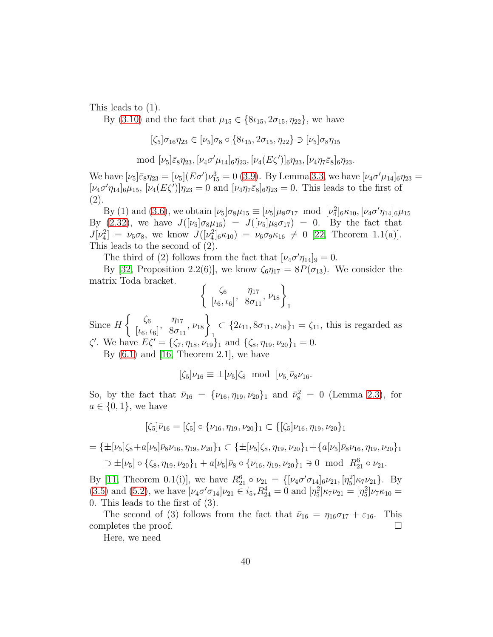This leads to (1).

By [\(3.10\)](#page-16-4) and the fact that  $\mu_{15} \in \{8\ell_{15}, 2\sigma_{15}, \eta_{22}\}$ , we have

$$
[\zeta_5]\sigma_{16}\eta_{23} \in [\nu_5]\sigma_8 \circ \{8\iota_{15}, 2\sigma_{15}, \eta_{22}\} \ni [\nu_5]\sigma_8\eta_{15}
$$

mod 
$$
[\nu_5]\bar{\varepsilon}_8\eta_{23}, [\nu_4\sigma'\mu_{14}]_6\eta_{23}, [\nu_4(E\zeta')]_6\eta_{23}, [\nu_4\eta_7\bar{\varepsilon}_8]_6\eta_{23}.
$$

We have  $[\nu_5]\bar{\varepsilon}_8\eta_{23} = [\nu_5](E\sigma')\nu_{15}^3 = 0$  [\(3.9\)](#page-16-0). By Lemma [3.3,](#page-16-2) we have  $[\nu_4\sigma'\mu_{14}]_6\eta_{23} =$  $[\nu_4\sigma'\eta_{14}]_6\mu_{15}, [\nu_4(E\zeta')] \eta_{23} = 0$  and  $[\nu_4\eta_7\bar{\varepsilon}_8]_6\eta_{23} = 0$ . This leads to the first of (2).

By (1) and [\(3.6\)](#page-14-3), we obtain  $[\nu_5]\sigma_8\mu_{15} \equiv [\nu_5]\mu_8\sigma_{17} \mod [\nu_4^2]_6\kappa_{10}, [\nu_4\sigma'\eta_{14}]_6\mu_{15}$ By [\(2.32\)](#page-7-6), we have  $J([\nu_5]\sigma_8\mu_{15}) = J([\nu_5]\mu_8\sigma_{17}) = 0$ . By the fact that  $J[\nu_4^2] = \nu_5 \sigma_8$ , we know  $J([\nu_4^2]_6 \kappa_{10}) = \nu_6 \sigma_9 \kappa_{16} \neq 0$  [\[22,](#page-53-5) Theorem 1.1(a)]. This leads to the second of (2).

The third of (2) follows from the fact that  $[\nu_4 \sigma' \eta_{14}]_9 = 0$ .

By [\[32,](#page-53-8) Proposition 2.2(6)], we know  $\zeta_6 \eta_{17} = 8P(\sigma_{13})$ . We consider the matrix Toda bracket.

$$
\left\{\begin{array}{cc} \zeta_6 & \eta_{17} \\ \lbrack \iota_6, \iota_6 \rbrack, \quad 8\sigma_{11}, \nu_{18} \end{array}\right\}_1
$$

Since H  $\int \zeta_6$  $\begin{bmatrix} \zeta_6 & \eta_{17} \\ \iota_6, \iota_6 \end{bmatrix}$ ,  $\begin{bmatrix} \frac{\gamma_{17}}{\gamma_{16}} & \frac{\gamma_{18}}{\gamma_{16}} \\ \frac{\gamma_{19}}{\gamma_{16}} & \frac{\gamma_{19}}{\gamma_{16}} \\ \frac{\gamma_{19}}{\gamma_{16}} & \frac{\gamma_{19}}{\gamma_{16}} \\ \frac{\gamma_{19}}{\gamma_{16}} & \frac{\gamma_{19}}{\gamma_{16}} \\ \frac{\gamma_{19}}{\gamma_{16}} & \frac{\gamma_{19}}{\gamma_{16}} \\ \frac{\gamma_{19}}{\gamma_{16}} & \frac{\gamma_{19}}{\$  $\left\{\begin{matrix} \eta_{17} \ 8\sigma_{11} \end{matrix}, \nu_{18} \right\}$ 1  $\subset \{2\iota_{11}, 8\sigma_{11}, \nu_{18}\}_1 = \zeta_{11}$ , this is regarded as  $\zeta'$ . We have  $E\zeta' = {\zeta_7, \eta_{18}, \nu_{19}}_1$  and  ${\zeta_8, \eta_{19}, \nu_{20}}_1 = 0$ .

By  $(6.1)$  and  $[16,$  Theorem 2.1, we have

$$
[\zeta_5]\nu_{16} \equiv \pm[\nu_5]\zeta_8 \text{ mod } [\nu_5]\bar{\nu}_8\nu_{16}.
$$

So, by the fact that  $\bar{\nu}_{16} = {\nu_{16}, \eta_{19}, \nu_{20}}_1$  and  $\bar{\nu}_8^2 = 0$  (Lemma [2.3\)](#page-10-2), for  $a \in \{0,1\}$ , we have

$$
[\zeta_5]\bar{\nu}_{16} = [\zeta_5] \circ {\{\nu_{16},\eta_{19},\nu_{20}\}}_1 \subset {\{\zeta_5|\nu_{16},\eta_{19},\nu_{20}\}}_1
$$

$$
= \{\pm[\nu_5]\zeta_8 + a[\nu_5]\bar{\nu}_8\nu_{16}, \eta_{19}, \nu_{20}\}_1 \subset \{\pm[\nu_5]\zeta_8, \eta_{19}, \nu_{20}\}_1 + \{a[\nu_5]\bar{\nu}_8\nu_{16}, \eta_{19}, \nu_{20}\}_1
$$
  

$$
\supset \pm[\nu_5] \circ \{\zeta_8, \eta_{19}, \nu_{20}\}_1 + a[\nu_5]\bar{\nu}_8 \circ \{\nu_{16}, \eta_{19}, \nu_{20}\}_1 \ni 0 \mod R_{21}^6 \circ \nu_{21}.
$$

By [\[11,](#page-52-5) Theorem 0.1(i)], we have  $R_{21}^6 \circ \nu_{21} = \{ [\nu_4 \sigma' \sigma_{14}]_6 \nu_{21}, [\eta_5^2] \kappa_7 \nu_{21} \}$ . By [\(3.5\)](#page-14-0) and [\(5.2\)](#page-35-1), we have  $[\nu_4 \sigma' \sigma_{14}] \nu_{21} \in i_{5*} R_{24}^4 = 0$  and  $[\eta_5^2] \kappa_7 \nu_{21} = [\eta_5^2] \nu_7 \kappa_{10} =$ 0. This leads to the first of (3).

The second of (3) follows from the fact that  $\bar{\nu}_{16} = \eta_{16}\sigma_{17} + \varepsilon_{16}$ . This completes the proof.  $\Box$ 

<span id="page-39-0"></span>Here, we need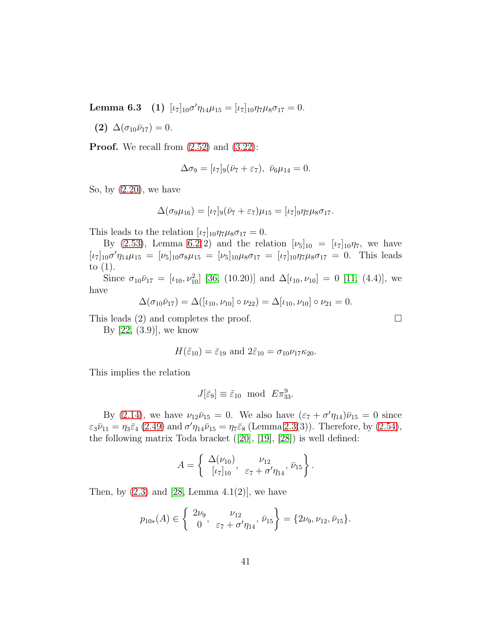Lemma 6.3 (1)  $[\iota_7]_{10} \sigma' \eta_{14} \mu_{15} = [\iota_7]_{10} \eta_7 \mu_8 \sigma_{17} = 0.$ 

(2)  $\Delta(\sigma_{10}\bar{\nu}_{17})=0.$ 

**Proof.** We recall from  $(2.52)$  and  $(3.22)$ :

$$
\Delta \sigma_9 = [\iota_7]_9 (\bar{\nu}_7 + \varepsilon_7), \ \bar{\nu}_6 \mu_{14} = 0.
$$

So, by [\(2.20\)](#page-6-11), we have

$$
\Delta(\sigma_9\mu_{16}) = [\iota_7]_9(\bar{\nu}_7 + \varepsilon_7)\mu_{15} = [\iota_7]_9\eta_7\mu_8\sigma_{17}.
$$

This leads to the relation  $[\iota_7]_{10}\eta_7\mu_8\sigma_{17} = 0.$ 

By [\(2.53\)](#page-11-2), Lemma [6.2\(](#page-38-1)2) and the relation  $[\nu_5]_{10} = [\nu_7]_{10}\eta_7$ , we have  $[\iota_7]_{10} \sigma' \eta_{14} \mu_{15} = [\nu_5]_{10} \sigma_8 \mu_{15} = [\nu_5]_{10} \mu_8 \sigma_{17} = [\nu_7]_{10} \eta_7 \mu_8 \sigma_{17} = 0$ . This leads to (1).

Since  $\sigma_{10}\bar{\nu}_{17} = [\iota_{10}, \nu_{10}^2]$  [\[36,](#page-54-3) (10.20)] and  $\Delta[\iota_{10}, \nu_{10}] = 0$  [\[11,](#page-52-5) (4.4)], we have

$$
\Delta(\sigma_{10}\bar{\nu}_{17}) = \Delta([\iota_{10}, \nu_{10}]\circ\nu_{22}) = \Delta[\iota_{10}, \nu_{10}]\circ\nu_{21} = 0.
$$

This leads (2) and completes the proof.  $\Box$ 

By  $[22, (3.9)]$ , we know

$$
H(\tilde{\varepsilon}_{10}) = \bar{\varepsilon}_{19} \text{ and } 2\tilde{\varepsilon}_{10} = \sigma_{10}\nu_{17}\kappa_{20}.
$$

This implies the relation

$$
J[\bar{\varepsilon}_9] \equiv \tilde{\varepsilon}_{10} \mod E \pi_{33}^9.
$$

By [\(2.14\)](#page-6-3), we have  $\nu_{12}\bar{\nu}_{15} = 0$ . We also have  $(\varepsilon_7 + \sigma'\eta_{14})\bar{\nu}_{15} = 0$  since  $\varepsilon_3 \bar{\nu}_{11} = \eta_3 \bar{\varepsilon}_4 (2.49)$  $\varepsilon_3 \bar{\nu}_{11} = \eta_3 \bar{\varepsilon}_4 (2.49)$  and  $\sigma' \eta_{14} \bar{\nu}_{15} = \eta_7 \bar{\varepsilon}_8$  (Lemma [2.3\(](#page-10-2)3)). Therefore, by [\(2.54\)](#page-12-1), the following matrix Toda bracket ([\[20\]](#page-53-3), [\[19\]](#page-52-10), [\[28\]](#page-53-11)) is well defined:

$$
A = \left\{ \begin{array}{ll} \Delta(\nu_{10}), & \nu_{12} \\ [\iota_7]_{10}, & \varepsilon_7 + \sigma'\eta_{14}, \\ \end{array} \right\}.
$$

Then, by  $(2.3)$  and  $[28, \text{Lemma } 4.1(2)]$ , we have

$$
p_{10*}(A) \in \left\{ \begin{array}{ll} 2\nu_9, & \nu_{12} \\ 0, & \varepsilon_7 + \sigma'\eta_{14}, \end{array} \bar{\nu}_{15} \right\} = \{2\nu_9, \nu_{12}, \bar{\nu}_{15}\}.
$$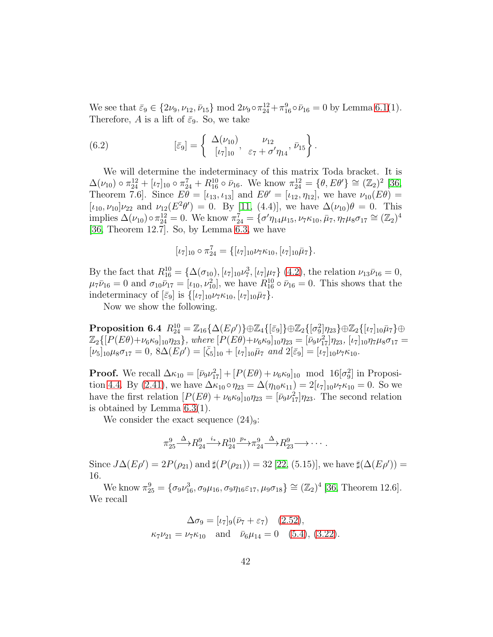We see that  $\bar{\varepsilon}_9 \in \{2\nu_9, \nu_{12}, \bar{\nu}_{15}\} \mod 2\nu_9 \circ \pi_{24}^{12} + \pi_{16}^9 \circ \bar{\nu}_{16} = 0$  by Lemma [6.1\(](#page-38-2)1). Therefore, A is a lift of  $\bar{\varepsilon}_9$ . So, we take

<span id="page-41-1"></span>(6.2) 
$$
[\bar{\varepsilon}_9] = \left\{ \begin{array}{ll} \Delta(\nu_{10}), & \nu_{12} \\ [\nu_7]_{10}, & \varepsilon_7 + \sigma' \eta_{14}, \bar{\nu}_{15} \end{array} \right\}.
$$

We will determine the indeterminacy of this matrix Toda bracket. It is  $\Delta(\nu_{10}) \circ \pi_{24}^{12} + [\iota_7]_{10} \circ \pi_{24}^7 + R_{16}^{10} \circ \bar{\nu}_{16}$ . We know  $\pi_{24}^{12} = {\theta, E\theta'} \cong (\mathbb{Z}_2)^2$  [\[36,](#page-54-3) Theorem 7.6]. Since  $E\theta = [\iota_{13}, \iota_{13}]$  and  $E\theta' = [\iota_{12}, \eta_{12}]$ , we have  $\nu_{10}(E\theta) =$  $[\iota_{10}, \nu_{10}] \nu_{22}$  and  $\nu_{12}(E^2 \theta') = 0$ . By [\[11,](#page-52-5) (4.4)], we have  $\Delta(\nu_{10})\theta = 0$ . This implies  $\Delta(\nu_{10}) \circ \pi_{24}^{12} = 0$ . We know  $\pi_{24}^7 = {\sigma' \eta_{14} \mu_{15}, \nu_7 \kappa_{10}, \bar{\mu}_7, \eta_7 \mu_8 \sigma_{17}} \cong (\mathbb{Z}_2)^4$ [\[36,](#page-54-3) Theorem 12.7]. So, by Lemma [6.3,](#page-39-0) we have

$$
[\iota_7]_{10} \circ \pi_{24}^7 = {\{[\iota_7]_{10} \nu_7 \kappa_{10}, [\iota_7]_{10} \bar{\mu}_7\}}.
$$

By the fact that  $R_{16}^{10} = {\Delta(\sigma_{10}), [\iota_7]_{10} \nu_7^3, [\iota_7] \mu_7}$  [\(4.2\)](#page-24-3), the relation  $\nu_{13} \bar{\nu}_{16} = 0$ ,  $\mu_7 \bar{\nu}_{16} = 0$  and  $\sigma_{10} \bar{\nu}_{17} = [\nu_{10}, \nu_{10}^2]$ , we have  $R_{16}^{10} \circ \bar{\nu}_{16} = 0$ . This shows that the indeterminacy of  $\left[\bar{\varepsilon}_9\right]$  is  $\left\{ \left[\iota_7\right]_{10}\nu_7\kappa_{10}, \left[\iota_7\right]_{10}\bar{\mu}_7\right\}$ .

<span id="page-41-0"></span>Now we show the following.

 $\textbf{Proposition 6.4} \ \ R_{24}^{10} = \mathbb{Z}_{16}\{\Delta(E\rho')\} \oplus \mathbb{Z}_{4}\{[\bar\varepsilon_{9}]\} \oplus \mathbb{Z}_{2}\{[\sigma_{9}^{2}]\eta_{23}\} \oplus \mathbb{Z}_{2}\{[\iota_{7}]_{10}\bar\mu_{7}\} \oplus$  $\mathbb{Z}_2\{[P(E\theta)+\nu_6\kappa_9]_{10}\eta_{23}\}\$ , where  $[P(E\theta)+\nu_6\kappa_9]_{10}\eta_{23}=[\bar{\nu}_9\nu_{17}^2]\eta_{23}$ ,  $[\iota_7]_{10}\eta_7\mu_8\sigma_{17}=$  $[\nu_5]_{10}\mu_8\sigma_{17} = 0$ ,  $8\Delta(E\rho') = [\bar{\zeta}_5]_{10} + [\nu_7]_{10}\bar{\mu}_7$  *and*  $2[\bar{\varepsilon}_9] = [\nu_7]_{10}\nu_7\kappa_{10}$ *.* 

**Proof.** We recall  $\Delta \kappa_{10} = [\bar{\nu}_9 \nu_{17}^2] + [P(E\theta) + \nu_6 \kappa_9]_{10}$  mod  $16[\sigma_9^2]$  in Proposi-tion [4.4.](#page-28-2) By [\(2.41\)](#page-7-7), we have  $\Delta \kappa_{10} \circ \eta_{23} = \Delta(\eta_{10} \kappa_{11}) = 2[\iota_7]_{10} \nu_7 \kappa_{10} = 0$ . So we have the first relation  $[P(E\theta) + \nu_6\kappa_9]_{10}\eta_{23} = [\bar{\nu}_9 \nu_{17}^2]\eta_{23}$ . The second relation is obtained by Lemma [6.3\(](#page-39-0)1).

We consider the exact sequence  $(24)_{9}$ :

$$
\pi_{25}^9 \xrightarrow{\Delta} R_{24}^9 \xrightarrow{i_*} R_{24}^{10} \xrightarrow{p_*} \pi_{24}^9 \xrightarrow{\Delta} R_{23}^9 \longrightarrow \cdots
$$

Since  $J\Delta(E\rho') = 2P(\rho_{21})$  and  $\sharp(P(\rho_{21})) = 32$  [\[22,](#page-53-5) (5.15)], we have  $\sharp(\Delta(E\rho')) =$ 16.

We know  $\pi_{25}^9 = {\sigma_9 \nu_{16}^3, \sigma_9 \mu_{16}, \sigma_9 \eta_{16} \varepsilon_{17}, \mu_9 \sigma_{18} } \cong (\mathbb{Z}_2)^4$  [\[36,](#page-54-3) Theorem 12.6]. We recall

$$
\Delta \sigma_9 = [\iota_7]_9 (\bar{\nu}_7 + \varepsilon_7) \quad (2.52),
$$
  

$$
\kappa_7 \nu_{21} = \nu_7 \kappa_{10} \quad \text{and} \quad \bar{\nu}_6 \mu_{14} = 0 \quad (5.4), (3.22).
$$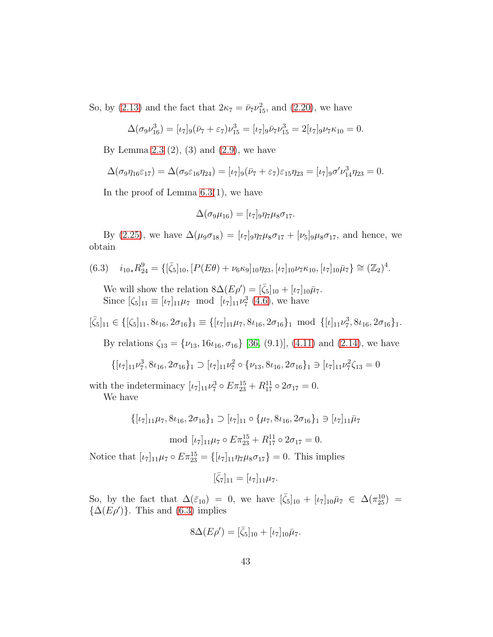So, by [\(2.13\)](#page-6-1) and the fact that  $2\kappa_7 = \bar{\nu}_7 \nu_{15}^2$ , and [\(2.20\)](#page-6-11), we have

$$
\Delta(\sigma_9 \nu_{16}^3) = [\iota_7]_9 (\bar{\nu}_7 + \varepsilon_7) \nu_{15}^3 = [\iota_7]_9 \bar{\nu}_7 \nu_{15}^3 = 2[\iota_7]_9 \nu_7 \kappa_{10} = 0.
$$

By Lemma [2.3](#page-10-2)  $(2)$ ,  $(3)$  and  $(2.9)$ , we have

$$
\Delta(\sigma_9\eta_{16}\varepsilon_{17})=\Delta(\sigma_9\varepsilon_{16}\eta_{24})=[\iota_7]_9(\bar{\nu}_7+\varepsilon_7)\varepsilon_{15}\eta_{23}=[\iota_7]_9\sigma'\nu_{14}^3\eta_{23}=0.
$$

In the proof of Lemma  $6.3(1)$ , we have

$$
\Delta(\sigma_9\mu_{16}) = [\iota_7]_9 \eta_7 \mu_8 \sigma_{17}.
$$

By [\(2.25\)](#page-6-6), we have  $\Delta(\mu_9\sigma_{18}) = [\nu_7]_9\eta_7\mu_8\sigma_{17} + [\nu_5]_9\mu_8\sigma_{17}$ , and hence, we obtain

$$
(6.3) \quad i_{10*} R_{24}^9 = \{ [\bar{\zeta}_5]_{10}, [P(E\theta) + \nu_6 \kappa_9]_{10} \eta_{23}, [\iota_7]_{10} \nu_7 \kappa_{10}, [\iota_7]_{10} \bar{\mu}_7 \} \cong (\mathbb{Z}_2)^4.
$$

<span id="page-42-0"></span>We will show the relation  $8\Delta(E\rho') = [\bar{\zeta}_5]_{10} + [\iota_7]_{10}\bar{\mu}_7$ . Since  $[\zeta_5]_{11} \equiv [\iota_7]_{11}\mu_7 \mod [\iota_7]_{11}\nu_7^3$  [\(4.6\)](#page-25-3), we have

$$
[\bar{\zeta}_5]_{11}\in\{[\zeta_5]_{11},8\iota_{16},2\sigma_{16}\}_1\equiv\{[\iota_7]_{11}\mu_7,8\iota_{16},2\sigma_{16}\}_1\ \ \text{mod}\ \ \{[\iota]_{11}\nu_7^3,8\iota_{16},2\sigma_{16}\}_1.
$$

By relations  $\zeta_{13} = {\nu_{13}, 16\nu_{16}, \sigma_{16}}$  [\[36,](#page-54-3) (9.1)], [\(4.11\)](#page-27-0) and [\(2.14\)](#page-6-3), we have

$$
\big\{ [\iota_7]_{11} \nu_7^3, 8\iota_{16}, 2\sigma_{16} \big\}_1 \supset [\iota_7]_{11} \nu_7^2 \circ \{ \nu_{13}, 8\iota_{16}, 2\sigma_{16} \}_1 \ni [\iota_7]_{11} \nu_7^2 \zeta_{13} = 0
$$

with the indeterminacy  $[\iota_7]_{11} \nu_7^3 \circ E \pi_{23}^{15} + R_{17}^{11} \circ 2\sigma_{17} = 0.$ 

We have

$$
\{[\iota_7]_{11}\mu_7, 8\iota_{16}, 2\sigma_{16}\}_1 \supset [\iota_7]_{11} \circ {\{\mu_7, 8\iota_{16}, 2\sigma_{16}\}_1} \ni [\iota_7]_{11}\overline{\mu}_7
$$

$$
\mod [ \iota_7 ]_{11} \mu_7 \circ E \pi_{23}^{15} + R_{17}^{11} \circ 2 \sigma_{17} = 0.
$$

Notice that  $[\iota_7]_{11}\mu_7 \circ E \pi_{23}^{15} = {\iota_7]_{11}} \eta_7 \mu_8 \sigma_{17} = 0$ . This implies

$$
[\bar{\zeta}_7]_{11} = [\iota_7]_{11}\mu_7.
$$

So, by the fact that  $\Delta(\bar{\varepsilon}_{10}) = 0$ , we have  $[\bar{\zeta}_5]_{10} + [\iota_7]_{10}\bar{\mu}_7 \in \Delta(\pi_{25}^{10}) =$  $\{\Delta(E\rho')\}$ . This and [\(6.3\)](#page-42-0) implies

$$
8\Delta(E\rho') = [\bar{\zeta}_5]_{10} + [\iota_7]_{10}\bar{\mu}_7.
$$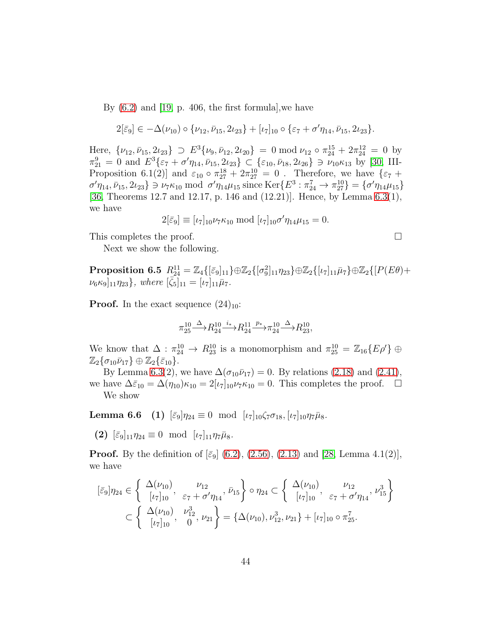By  $(6.2)$  and  $[19, p. 406]$ , the first formula, we have

$$
2[\bar{\varepsilon}_9] \in -\Delta(\nu_{10}) \circ {\{\nu_{12}, \bar{\nu}_{15}, 2\nu_{23}\}} + [\iota_7]_{10} \circ {\{\varepsilon_7 + \sigma'\eta_{14}, \bar{\nu}_{15}, 2\nu_{23}\}}.
$$

Here,  $\{\nu_{12}, \bar{\nu}_{15}, 2\iota_{23}\} \supset E^3\{\nu_9, \bar{\nu}_{12}, 2\iota_{20}\} = 0 \text{ mod } \nu_{12} \circ \pi_{24}^{15} + 2\pi_{24}^{12} = 0$  by  $\pi_{21}^9 = 0$  and  $E^3\{\varepsilon_7 + \sigma'\eta_{14}, \bar{\nu}_{15}, 2\iota_{23}\} \subset \{\varepsilon_{10}, \bar{\nu}_{18}, 2\iota_{26}\} \ni \nu_{10}\kappa_{13}$  by [\[30,](#page-53-4) III-Proposition 6.1(2)] and  $\varepsilon_{10} \circ \pi_{27}^{18} + 2\pi_{27}^{10} = 0$ . Therefore, we have  $\{\varepsilon_7 +$  $\sigma'\eta_{14}, \bar{\nu}_{15}, 2\iota_{23} \} \ni \nu_7\kappa_{10} \bmod \sigma'\eta_{14}\mu_{15} \text{ since } \text{Ker}\{E^3 : \pi_{24}^7 \to \pi_{27}^{10} \} = \{\sigma'\eta_{14}\mu_{15}\}$ [\[36,](#page-54-3) Theorems 12.7 and 12.17, p. 146 and (12.21)]. Hence, by Lemma [6.3\(](#page-39-0)1), we have

$$
2[\bar{\varepsilon}_9] \equiv [\iota_7]_{10} \nu_7 \kappa_{10} \bmod [\iota_7]_{10} \sigma' \eta_{14} \mu_{15} = 0.
$$

<span id="page-43-0"></span>This completes the proof.  $\Box$ 

Next we show the following.

 $\textbf{Proposition 6.5} \ \ R_{24}^{11} = \mathbb{Z}_4\{[\bar{\varepsilon}_9]_{11}\} \oplus \mathbb{Z}_2\{[\sigma_9^2]_{11}\eta_{23}\} \oplus \mathbb{Z}_2\{[\iota_7]_{11}\bar{\mu}_7\} \oplus \mathbb{Z}_2\{[P(E\theta)+P(E)\bar{\theta}_7]\}$  $[\nu_6 \kappa_9]_{11} \eta_{23}$ , where  $[\bar{\zeta_5}]_{11} = [\nu_7]_{11} \bar{\mu}_7$ .

**Proof.** In the exact sequence  $(24)_{10}$ :

$$
\pi_{25}^{10}\!\!\! \stackrel{\Delta}\longrightarrow \!\! R_{24}^{10}\!\! \stackrel{i_*}{\longrightarrow}\!\! R_{24}^{11}\!\!\! \stackrel{p_*}{\longrightarrow}\!\! \pi_{24}^{10}\!\!\! \stackrel{\Delta}\longrightarrow \!\! R_{23}^{10},
$$

We know that  $\Delta : \pi_{24}^{10} \to R_{23}^{10}$  is a monomorphism and  $\pi_{25}^{10} = \mathbb{Z}_{16}\lbrace E\rho' \rbrace \oplus$  $\mathbb{Z}_2\{\sigma_{10}\bar{\nu}_{17}\}\oplus\mathbb{Z}_2\{\bar{\varepsilon}_{10}\}.$ 

<span id="page-43-1"></span>By Lemma [6.3\(](#page-39-0)2), we have  $\Delta(\sigma_{10}\bar{\nu}_{17}) = 0$ . By relations [\(2.18\)](#page-6-12) and [\(2.41\)](#page-7-7), we have  $\Delta \bar{\varepsilon}_{10} = \Delta(\eta_{10}) \kappa_{10} = 2[\iota_7]_{10} \nu_7 \kappa_{10} = 0$ . This completes the proof.  $\square$ We show

**Lemma 6.6** (1)  $[\bar{\varepsilon}_9]\eta_{24} \equiv 0 \mod [\iota_7]_{10}\zeta_7\sigma_{18}, [\iota_7]_{10}\eta_7\bar{\mu}_8.$ 

(2)  $[\bar{\varepsilon}_9]_{11}\eta_{24} \equiv 0 \mod [\iota_7]_{11}\eta_7\bar{\mu}_8.$ 

**Proof.** By the definition of  $\lbrack \bar{\varepsilon}_9 \rbrack$  [\(6.2\)](#page-41-1), [\(2.56\)](#page-13-0), [\(2.13\)](#page-6-1) and [\[28,](#page-53-11) Lemma 4.1(2)], we have

$$
[\bar{\varepsilon}_{9}]\eta_{24} \in \left\{\begin{array}{ll}\Delta(\nu_{10}) & \nu_{12} \\ [\nu_{7}]_{10}, & \varepsilon_{7} + \sigma'\eta_{14}, \bar{\nu}_{15}\end{array}\right\} \circ \eta_{24} \subset \left\{\begin{array}{ll}\Delta(\nu_{10}) & \nu_{12} \\ [\nu_{7}]_{10}, & \varepsilon_{7} + \sigma'\eta_{14}, \nu_{15}^{3}\end{array}\right\} \\ \subset \left\{\begin{array}{ll}\Delta(\nu_{10}) & \nu_{12}^{3} \\ [\nu_{7}]_{10}, & 0, \nu_{12}^{3}, \nu_{21}\end{array}\right\} = \left\{\Delta(\nu_{10}), \nu_{12}^{3}, \nu_{21}\right\} + [\nu_{7}]_{10} \circ \pi_{25}^{7}.
$$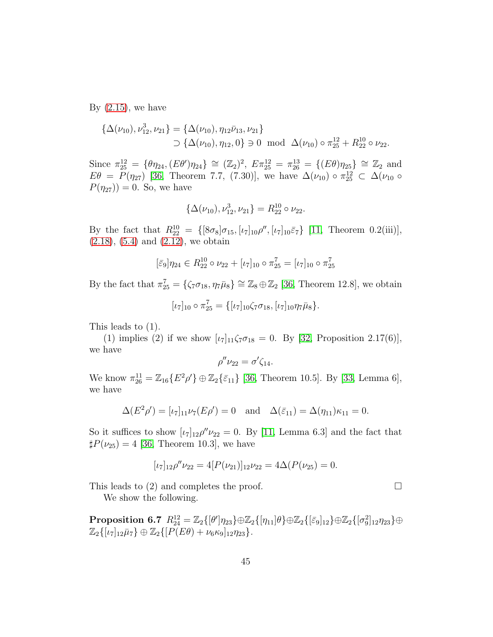By  $(2.15)$ , we have

$$
\{\Delta(\nu_{10}), \nu_{12}^3, \nu_{21}\} = \{\Delta(\nu_{10}), \eta_{12}\bar{\nu}_{13}, \nu_{21}\}\
$$
  

$$
\supset \{\Delta(\nu_{10}), \eta_{12}, 0\} \ni 0 \mod \Delta(\nu_{10}) \circ \pi_{25}^{12} + R_{22}^{10} \circ \nu_{22}.
$$

Since  $\pi_{25}^{12} = {\theta \eta_{24}, (E\theta')\eta_{24}} \cong (\mathbb{Z}_2)^2$ ,  $E\pi_{25}^{12} = \pi_{26}^{13} = {\{E\theta\eta_{25}\}} \cong \mathbb{Z}_2$  and  $E\theta = P(\eta_{27})$  [\[36,](#page-54-3) Theorem 7.7, (7.30)], we have  $\Delta(\nu_{10}) \circ \pi_{25}^{12} \subset \Delta(\nu_{10} \circ \pi_{10}^{12})$  $P(\eta_{27}) = 0$ . So, we have

$$
\{\Delta(\nu_{10}), \nu_{12}^3, \nu_{21}\} = R_{22}^{10} \circ \nu_{22}.
$$

By the fact that  $R_{22}^{10} = \{ [8\sigma_8]\sigma_{15}, [\iota_7]_{10}\rho'', [\iota_7]_{10}\bar{\varepsilon}_7 \}$  [\[11,](#page-52-5) Theorem 0.2(iii)],  $(2.18), (5.4)$  $(2.18), (5.4)$  $(2.18), (5.4)$  and  $(2.12),$  we obtain

$$
[\bar{\varepsilon}_9]\eta_{24} \in R_{22}^{10} \circ \nu_{22} + [\iota_7]_{10} \circ \pi_{25}^7 = [\iota_7]_{10} \circ \pi_{25}^7
$$

By the fact that  $\pi_{25}^7 = {\zeta_7 \sigma_{18}, \eta_7 \bar{\mu}_8} \cong \mathbb{Z}_8 \oplus \mathbb{Z}_2$  [\[36,](#page-54-3) Theorem 12.8], we obtain

$$
[\iota_7]_{10} \circ \pi_{25}^7 = {\{[\iota_7]_{10}\zeta_7 \sigma_{18}, [\iota_7]_{10}\eta_7 \bar{\mu}_8\}}.
$$

This leads to (1).

(1) implies (2) if we show  $[\iota_7]_{11}\zeta_7\sigma_{18} = 0$ . By [\[32,](#page-53-8) Proposition 2.17(6)], we have

$$
\rho''\nu_{22}=\sigma'\zeta_{14}.
$$

We know  $\pi_{26}^{11} = \mathbb{Z}_{16} \{ E^2 \rho' \} \oplus \mathbb{Z}_2 \{ \bar{\varepsilon}_{11} \}$  [\[36,](#page-54-3) Theorem 10.5]. By [\[33,](#page-54-8) Lemma 6], we have

$$
\Delta(E^2 \rho') = [\iota_7]_{11} \nu_7(E \rho') = 0
$$
 and  $\Delta(\bar{\varepsilon}_{11}) = \Delta(\eta_{11}) \kappa_{11} = 0.$ 

So it suffices to show  $\lbrack \iota_7 \rbrack_{12} \rho'' \nu_{22} = 0$ . By [\[11,](#page-52-5) Lemma 6.3] and the fact that  $\sharp P(\nu_{25}) = 4$  [\[36,](#page-54-3) Theorem 10.3], we have

$$
[\iota_7]_{12}\rho''\nu_{22} = 4[P(\nu_{21})]_{12}\nu_{22} = 4\Delta(P(\nu_{25}) = 0.
$$

This leads to (2) and completes the proof.  $\Box$ 

We show the following.

 $\text{Proposition 6.7 \ \ } R^{12}_{24} = \mathbb{Z}_2\{[\theta']\eta_{23}\} \oplus \mathbb{Z}_2\{[\eta_{11}]\theta\} \oplus \mathbb{Z}_2\{[\bar\varepsilon_9]_{12}\} \oplus \mathbb{Z}_2\{[\sigma_9^2]_{12}\eta_{23}\} \oplus$  $\mathbb{Z}_2\{[\iota_7]_{12}\bar{\mu}_7\} \oplus \mathbb{Z}_2\{[\widetilde{P(E\theta)} + \nu_6\kappa_9]_{12}\eta_{23}\}.$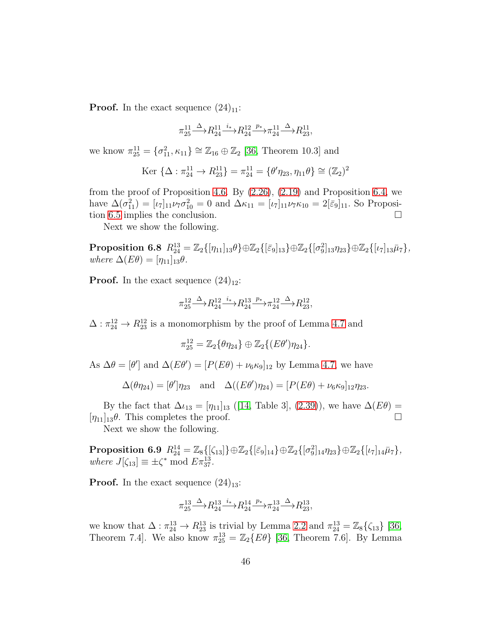**Proof.** In the exact sequence  $(24)_{11}$ :

$$
\pi_{25}^{11}\!\!\! \stackrel{\Delta}\longrightarrow \!\! R_{24}^{11}\!\!\! \stackrel{i_*}{\longrightarrow}\!\! R_{24}^{12}\!\!\! \stackrel{p_*}{\longrightarrow}\!\! \pi_{24}^{11}\!\!\! \stackrel{\Delta}\longrightarrow \!\! R_{23}^{11},
$$

we know  $\pi_{25}^{11} = {\sigma_{11}^2, \kappa_{11}} \cong \mathbb{Z}_{16} \oplus \mathbb{Z}_2$  [\[36,](#page-54-3) Theorem 10.3] and

$$
\text{Ker } \{ \Delta : \pi_{24}^{11} \to R_{23}^{11} \} = \pi_{24}^{11} = \{ \theta' \eta_{23}, \eta_{11} \theta \} \cong (\mathbb{Z}_2)^2
$$

from the proof of Proposition [4.6.](#page-29-0) By [\(2.26\)](#page-6-17), [\(2.19\)](#page-6-18) and Proposition [6.4,](#page-41-0) we have  $\Delta(\sigma_{11}^2) = [\iota_7]_{11}\nu_7\sigma_{10}^2 = 0$  and  $\Delta\kappa_{11} = [\iota_7]_{11}\nu_7\kappa_{10} = 2[\bar{\varepsilon}_9]_{11}$ . So Proposi-tion [6.5](#page-43-0) implies the conclusion.

Next we show the following.

 $\textbf{Proposition 6.8} \ \ R^{13}_{24} = \mathbb{Z}_2\{[\eta_{11}]_{13} \theta\} \oplus \mathbb{Z}_2\{[\bar\varepsilon_9]_{13}\} \oplus \mathbb{Z}_2\{[\sigma_9^2]_{13}\eta_{23}\} \oplus \mathbb{Z}_2\{[\iota_7]_{13}\bar\mu_7\},$ *where*  $\Delta(E\theta) = [\eta_{11}]_{13}\theta$ .

**Proof.** In the exact sequence  $(24)_{12}$ :

$$
\pi_{25}^{12}\n\xrightarrow{\Delta} R_{24}^{12}\n\xrightarrow{i_*} R_{24}^{13}\n\xrightarrow{p_*} \pi_{24}^{12}\n\xrightarrow{\Delta} R_{23}^{12},
$$

 $\Delta: \pi_{24}^{12} \rightarrow R_{23}^{12}$  is a monomorphism by the proof of Lemma [4.7](#page-30-0) and

$$
\pi_{25}^{12} = \mathbb{Z}_2 \{ \theta \eta_{24} \} \oplus \mathbb{Z}_2 \{ (E\theta') \eta_{24} \}.
$$

As  $\Delta\theta = [\theta']$  and  $\Delta(E\theta') = [P(E\theta) + \nu_6\kappa_9]_{12}$  by Lemma [4.7,](#page-30-0) we have

$$
\Delta(\theta \eta_{24}) = [\theta'] \eta_{23} \text{ and } \Delta((E\theta') \eta_{24}) = [P(E\theta) + \nu_6 \kappa_9]_{12} \eta_{23}.
$$

By the fact that  $\Delta \iota_{13} = [\eta_{11}]_{13}$  ([\[14,](#page-52-2) Table 3], [\(2.39\)](#page-7-5)), we have  $\Delta(E\theta) =$  $[\eta_{11}]_{13}\theta$ . This completes the proof.

<span id="page-45-0"></span>Next we show the following.

 $\textbf{Proposition 6.9} \ \ R^{14}_{24} = \mathbb{Z}_8\{[\zeta_{13}]\} \oplus \mathbb{Z}_2\{[\bar{\varepsilon}_9]_{14}\} \oplus \mathbb{Z}_2\{[\sigma_9^2]_{14}\eta_{23}\} \oplus \mathbb{Z}_2\{[\iota_7]_{14}\bar{\mu}_7\},$ *where*  $J[\zeta_{13}] \equiv \pm \zeta^* \mod E \pi_{37}^{13}$ .

**Proof.** In the exact sequence  $(24)_{13}$ :

$$
\pi_{25}^{13} \xrightarrow{\Delta} R_{24}^{13} \xrightarrow{i_*} R_{24}^{14} \xrightarrow{p_*} \pi_{24}^{13} \xrightarrow{\Delta} R_{23}^{13},
$$

we know that  $\Delta : \pi_{24}^{13} \to R_{23}^{13}$  is trivial by Lemma [2.2](#page-8-4) and  $\pi_{24}^{13} = \mathbb{Z}_8 \{\zeta_{13}\}$  [\[36,](#page-54-3) Theorem 7.4]. We also know  $\pi_{25}^{13} = \mathbb{Z}_2\{E\theta\}$  [\[36,](#page-54-3) Theorem 7.6]. By Lemma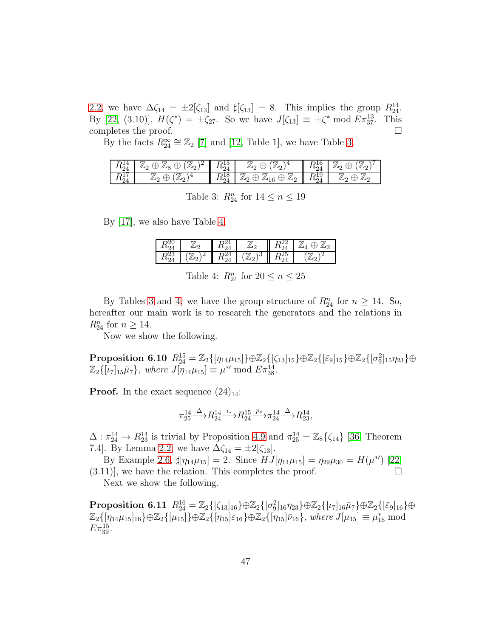[2.2,](#page-8-4) we have  $\Delta \zeta_{14} = \pm 2[\zeta_{13}]$  and  $\sharp[\zeta_{13}] = 8$ . This implies the group  $R_{24}^{14}$ . By [\[22,](#page-53-5) (3.10)],  $H(\zeta^*) = \pm \zeta_{27}$ . So we have  $J[\zeta_{13}] \equiv \pm \zeta^* \mod E \pi_{37}^{13}$ . This completes the proof.  $\Box$ 

By the facts  $R_{24}^{\infty} \cong \mathbb{Z}_2$  [\[7\]](#page-52-6) and [\[12,](#page-52-7) Table 1], we have Table [3.](#page-46-0)

| $R_{24}^{14}$ | $\mathbb{Z}_2\oplus\mathbb{Z}_8\oplus(\mathbb{Z}_2)^2$  | $R_{24}^{15}$ | $\supset (\mathbb{Z}_{21})$<br>$\mathbb{Z}_2\oplus$            | $R^{16}_{24}$ | $\mathbb{Z}_2\oplus$<br>$(\mathbb{Z}_2)$ |
|---------------|---------------------------------------------------------|---------------|----------------------------------------------------------------|---------------|------------------------------------------|
| $R_{24}^{17}$ | $(\mathbb{Z}_2)$<br>$\mathbb{Z}_2$<br>$\leftrightarrow$ | $R^{18}_{24}$ | $\mathbb{Z}_2\oplus\mathbb{Z}_{16}\oplus\mathbb{Z}_2\parallel$ | $R^{19}_{24}$ | $\mathbb{Z}_2$<br>$\mathbb{Z}_2$         |

<span id="page-46-0"></span>Table 3:  $R_{24}^n$  for  $14 \leq n \leq 19$ 

By [\[17\]](#page-52-0), we also have Table [4.](#page-46-1)

| $R_{24}^{23}$ | 12<br>$\mathbb{Z}^n$ | $R_{\circ}^{24}$ | $\frac{1}{2}$<br>۱3 | $R_{\circ}^{25}$ |  |
|---------------|----------------------|------------------|---------------------|------------------|--|

<span id="page-46-1"></span>Table 4:  $R_{24}^n$  for  $20 \le n \le 25$ 

By Tables [3](#page-46-0) and [4,](#page-46-1) we have the group structure of  $R_{24}^n$  for  $n \ge 14$ . So, hereafter our main work is to research the generators and the relations in  $R_{24}^n$  for  $n \geq 14$ .

Now we show the following.

 $\text{Proposition 6.10} \ \ R_{24}^{15} = \mathbb{Z}_2\{[\eta_{14}\mu_{15}]\} \oplus \mathbb{Z}_2\{[\zeta_{13}]_{15}\} \oplus \mathbb{Z}_2\{[\bar\varepsilon_9]_{15}\} \oplus \mathbb{Z}_2\{[\sigma_9^2]_{15}\eta_{23}\} \oplus$  $\mathbb{Z}_2\{[\iota_7]_{15}\bar{\mu}_7\},$  where  $J[\eta_{14}\mu_{15}]\equiv \mu^{*\prime} \bmod E\pi_{38}^{14}.$ 

**Proof.** In the exact sequence  $(24)_{14}$ :

$$
\pi_{25}^{14} \xrightarrow{\Delta} R_{24}^{14} \xrightarrow{i_*} R_{24}^{15} \xrightarrow{p_*} \pi_{24}^{14} \xrightarrow{\Delta} R_{23}^{14},
$$

 $\Delta: \pi_{24}^{14} \to R_{23}^{14}$  is trivial by Proposition [4.9](#page-31-2) and  $\pi_{25}^{14} = \mathbb{Z}_8\{\zeta_{14}\}\$  [\[36,](#page-54-3) Theorem 7.4]. By Lemma [2.2,](#page-8-4) we have  $\Delta \zeta_{14} = \pm 2[\zeta_{13}]$ .

By Example [2.6,](#page-13-4)  $\sharp[\eta_{14}\mu_{15}] = 2$ . Since  $HJ[\eta_{14}\mu_{15}] = \eta_{29}\mu_{30} = H(\mu^{*})$  [\[22,](#page-53-5)  $(3.11)$ , we have the relation. This completes the proof.

Next we show the following.

 $\textbf{Proposition 6.11} \ \ R_{24}^{16} = \mathbb{Z}_2\{[\zeta_{13}]_{16}\} \oplus \mathbb{Z}_2\{[\sigma^2_9]_{16}\eta_{23}\} \oplus \mathbb{Z}_2\{[\iota_7]_{16}\bar\mu_7\} \oplus \mathbb{Z}_2\{[\bar\varepsilon_9]_{16}\} \oplus$  $\mathbb{Z}_2\{[\eta_{14}\mu_{15}]_{16}\}\oplus\mathbb{Z}_2\{[\mu_{15}]\}\oplus\mathbb{Z}_2\{[\eta_{15}]\varepsilon_{16}\}\oplus\mathbb{Z}_2\{[\eta_{15}]\bar{\nu}_{16}\}\$ , where  $J[\mu_{15}]\equiv\mu_{16}^* \bmod$  $E\pi_{39}^{15}$ .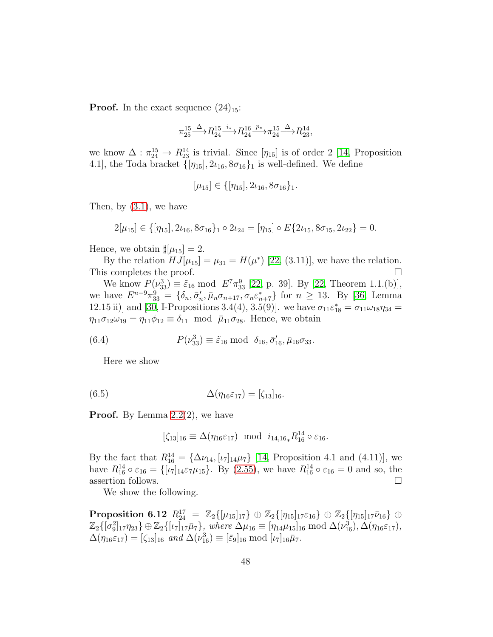**Proof.** In the exact sequence  $(24)_{15}$ :

$$
\pi_{25}^{15}\!\!\! \stackrel{\Delta}\longrightarrow \!\! R_{24}^{15} \!\! \stackrel{i_*}{\longrightarrow}\!\! R_{24}^{16} \!\! \stackrel{p_*}{\longrightarrow}\!\! \pi_{24}^{15} \!\! \stackrel{\Delta}\longrightarrow \!\! R_{23}^{14},
$$

we know  $\Delta : \pi_{24}^{15} \to R_{23}^{14}$  is trivial. Since  $[\eta_{15}]$  is of order 2 [\[14,](#page-52-2) Proposition 4.1], the Toda bracket  $\{\eta_{15}\}\, 2\iota_{16}, 8\sigma_{16}\}_1$  is well-defined. We define

$$
[\mu_{15}] \in \{[\eta_{15}], 2\iota_{16}, 8\sigma_{16}\}_1.
$$

Then, by [\(3.1\)](#page-13-2), we have

$$
2[\mu_{15}] \in \{[\eta_{15}], 2\iota_{16}, 8\sigma_{16}\}_1 \circ 2\iota_{24} = [\eta_{15}] \circ E\{2\iota_{15}, 8\sigma_{15}, 2\iota_{22}\} = 0.
$$

Hence, we obtain  $\sharp[\mu_{15}] = 2$ .

By the relation  $HJ[\mu_{15}] = \mu_{31} = H(\mu^*)$  [\[22,](#page-53-5) (3.11)], we have the relation. This completes the proof.  $\square$ 

We know  $P(\nu_{33}^3) \equiv \tilde{\varepsilon}_{16} \text{ mod } E^7 \pi_{33}^9$  [\[22,](#page-53-5) p. 39]. By [\[22,](#page-53-5) Theorem 1.1.(b)], we have  $E^{n-9}\pi_{33}^9 = \{\delta_n, \bar{\sigma}'_n\}$  $n'_n$ ,  $\bar{\mu}_n \sigma_{n+17}, \sigma_n \varepsilon_{n+7}^*$  for  $n \geq 13$ . By [\[36,](#page-54-3) Lemma 12.15 ii)] and [\[30,](#page-53-4) I-Propositions 3.4(4), 3.5(9)]. we have  $\sigma_{11}\varepsilon_{18}^* = \sigma_{11}\omega_{18}\eta_{34} =$  $\eta_{11}\sigma_{12}\omega_{19} = \eta_{11}\phi_{12} \equiv \delta_{11} \mod \overline{\mu}_{11}\sigma_{28}$ . Hence, we obtain

(6.4) 
$$
P(\nu_{33}^3) \equiv \tilde{\varepsilon}_{16} \bmod \delta_{16}, \bar{\sigma}'_{16}, \bar{\mu}_{16}\sigma_{33}.
$$

<span id="page-47-1"></span>Here we show

(6.5) 
$$
\Delta(\eta_{16}\varepsilon_{17}) = [\zeta_{13}]_{16}.
$$

**Proof.** By Lemma  $2.2(2)$ , we have

<span id="page-47-0"></span>
$$
[\zeta_{13}]_{16} \equiv \Delta(\eta_{16}\varepsilon_{17}) \text{ mod } i_{14,16}R_{16}^{14} \circ \varepsilon_{16}.
$$

By the fact that  $R_{16}^{14} = {\Delta\nu_{14}, [\iota_7]_{14}\mu_7}$  [\[14,](#page-52-2) Proposition 4.1 and (4.11)], we have  $R_{16}^{14} \circ \varepsilon_{16} = \{[\iota_7]_{14} \varepsilon_7 \mu_{15}\}.$  By [\(2.55\)](#page-12-2), we have  $R_{16}^{14} \circ \varepsilon_{16} = 0$  and so, the assertion follows.  $\hfill \square$ 

We show the following.

 $\text{Proposition 6.12} \ \ R_{24}^{17} \ = \ \mathbb{Z}_2\{[\mu_{15}]_{17}\} \ \oplus \ \mathbb{Z}_2\{[\eta_{15}]_{17}\varepsilon_{16}\} \ \oplus \ \mathbb{Z}_2\{[\eta_{15}]_{17}\bar\nu_{16}\} \ \oplus$  $\mathbb{Z}_2\{[\sigma_9^2]_{17}\eta_{23}\}\oplus\mathbb{Z}_2\{[\iota_7]_{17}\bar{\mu}_7\},\,\,\text{where}\,\,\Delta\mu_{16}\equiv[\eta_{14}\mu_{15}]_{16}\;\text{mod}\,\,\Delta(\nu_{16}^3),\Delta(\eta_{16}\varepsilon_{17}),$  $\Delta(\eta_{16}\varepsilon_{17}) = [\zeta_{13}]_{16}$  *and*  $\Delta(\nu_{16}^3) \equiv [\bar{\varepsilon}_9]_{16}$  mod  $[\iota_7]_{16}\bar{\mu}_7$ *.*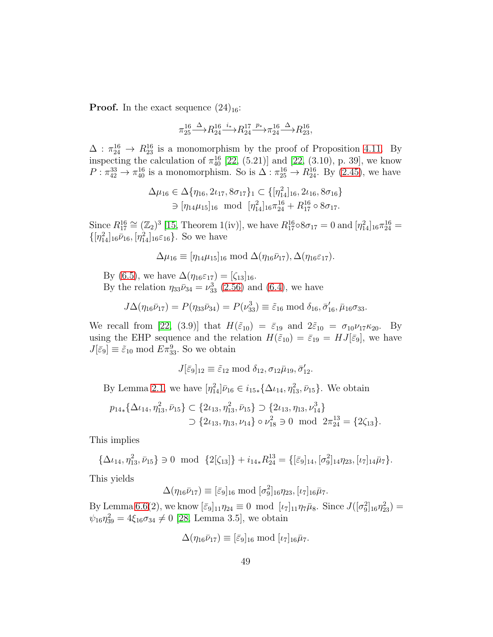**Proof.** In the exact sequence  $(24)_{16}$ :

$$
\pi_{25}^{16}\!\!\! \stackrel{\Delta}\longrightarrow \!\! R_{24}^{16} \!\! \stackrel{i_\ast}\longrightarrow \!\! R_{24}^{17} \!\! \stackrel{p_\ast}\longrightarrow \!\! \pi_{24}^{16}\!\! \stackrel{\Delta}\longrightarrow \!\! R_{23}^{16},
$$

 $\Delta$ :  $\pi_{24}^{16} \rightarrow R_{23}^{16}$  is a monomorphism by the proof of Proposition [4.11.](#page-32-1) By inspecting the calculation of  $\pi_{40}^{16}$  [\[22,](#page-53-5) (5.21)] and [\[22,](#page-53-5) (3.10), p. 39], we know  $P: \pi_{42}^{33} \to \pi_{40}^{16}$  is a monomorphism. So is  $\Delta: \pi_{25}^{16} \to R_{24}^{16}$ . By [\(2.45\)](#page-8-3), we have

$$
\Delta \mu_{16} \in \Delta \{ \eta_{16}, 2\iota_{17}, 8\sigma_{17} \} \subset \{ [\eta_{14}^2]_{16}, 2\iota_{16}, 8\sigma_{16} \}
$$
  

$$
\ni [\eta_{14}\mu_{15}]_{16} \mod [\eta_{14}^2]_{16} \pi_{24}^{16} + R_{17}^{16} \circ 8\sigma_{17}.
$$

Since  $R_{17}^{16} \cong (\mathbb{Z}_2)^3$  [\[15,](#page-52-3) Theorem 1(iv)], we have  $R_{17}^{16} \circ 8\sigma_{17} = 0$  and  $[\eta_{14}^2]_{16} \pi_{24}^{16} =$  $\{[\eta_{14}^2]_{16}\bar{\nu}_{16}, [\eta_{14}^2]_{16}\varepsilon_{16}\}.$  So we have

$$
\Delta \mu_{16} \equiv [\eta_{14} \mu_{15}]_{16} \text{ mod } \Delta(\eta_{16} \bar{\nu}_{17}), \Delta(\eta_{16} \varepsilon_{17}).
$$

By [\(6.5\)](#page-47-0), we have  $\Delta(\eta_{16}\varepsilon_{17}) = [\zeta_{13}]_{16}$ . By the relation  $\eta_{33}\bar{\nu}_{34} = \nu_{33}^3$  [\(2.56\)](#page-13-0) and [\(6.4\)](#page-47-1), we have

$$
J\Delta(\eta_{16}\bar{\nu}_{17}) = P(\eta_{33}\bar{\nu}_{34}) = P(\nu_{33}^3) \equiv \tilde{\varepsilon}_{16} \bmod \delta_{16}, \bar{\sigma}'_{16}, \bar{\mu}_{16}\sigma_{33}.
$$

We recall from [\[22,](#page-53-5) (3.9)] that  $H(\tilde{\varepsilon}_{10}) = \bar{\varepsilon}_{19}$  and  $2\tilde{\varepsilon}_{10} = \sigma_{10}\nu_{17}\kappa_{20}$ . By using the EHP sequence and the relation  $H(\tilde{\varepsilon}_{10}) = \bar{\varepsilon}_{19} = HJ[\bar{\varepsilon}_9]$ , we have  $J[\bar{\varepsilon}_9] \equiv \tilde{\varepsilon}_{10} \bmod E \pi_{33}^9$ . So we obtain

$$
J[\bar{\varepsilon}_9]_{12} \equiv \tilde{\varepsilon}_{12} \bmod \delta_{12}, \sigma_{12}\bar{\mu}_{19}, \bar{\sigma}'_{12}.
$$

By Lemma [2.1,](#page-8-2) we have  $[\eta_{14}^2] \bar{\nu}_{16} \in i_{15*} {\{\Delta \iota_{14}, \eta_{13}^2, \bar{\nu}_{15}\}}$ . We obtain

$$
p_{14*}\{\Delta\iota_{14}, \eta_{13}^2, \bar{\nu}_{15}\} \subset \{2\iota_{13}, \eta_{13}^2, \bar{\nu}_{15}\} \supset \{2\iota_{13}, \eta_{13}, \nu_{14}^3\} \\
\supset \{2\iota_{13}, \eta_{13}, \nu_{14}\} \circ \nu_{18}^2 \ni 0 \mod 2\pi_{24}^{13} = \{2\zeta_{13}\}.
$$

This implies

$$
\{\Delta\iota_{14},\eta_{13}^2,\bar{\nu}_{15}\}\ni 0\ \ \text{mod}\ \ \{2[\zeta_{13}]\}+i_{14*}R_{24}^{13}=\{[\bar{\varepsilon}_9]_{14},[\sigma_9^2]_{14}\eta_{23},[\iota_7]_{14}\bar{\mu}_7\}.
$$

This yields

$$
\Delta(\eta_{16}\bar{\nu}_{17}) \equiv [\bar{\varepsilon}_9]_{16} \bmod [\sigma_9^2]_{16}\eta_{23}, [\iota_7]_{16}\bar{\mu}_7.
$$

By Lemma [6.6\(](#page-43-1)2), we know  $\bar{[\epsilon_9]_{11}} \eta_{24} \equiv 0 \mod [\iota_7]_{11} \eta_7 \bar{\mu}_8$ . Since  $J([\sigma_9^2]_{16} \eta_{23}^2) =$  $\psi_{16}\eta_{39}^2 = 4\xi_{16}\sigma_{34} \neq 0$  [\[28,](#page-53-11) Lemma 3.5], we obtain

$$
\Delta(\eta_{16}\bar{\nu}_{17}) \equiv [\bar{\varepsilon}_9]_{16} \bmod [\iota_7]_{16}\bar{\mu}_7.
$$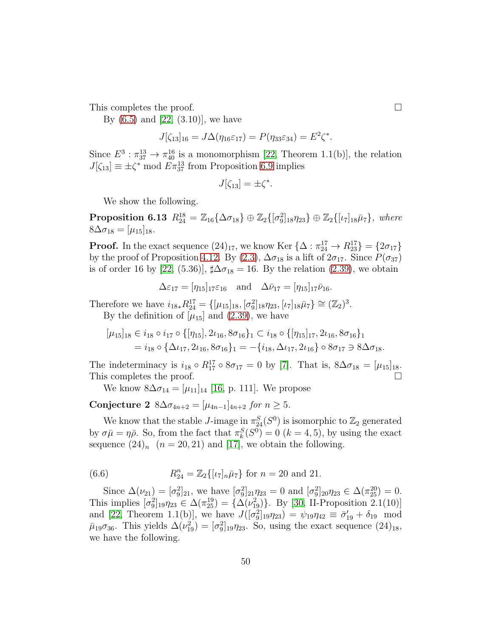This completes the proof.

By  $(6.5)$  and  $[22, (3.10)]$ , we have

$$
J[\zeta_{13}]_{16} = J\Delta(\eta_{16}\varepsilon_{17}) = P(\eta_{33}\varepsilon_{34}) = E^2\zeta^*.
$$

Since  $E^3$ :  $\pi_{37}^{13} \rightarrow \pi_{40}^{16}$  is a monomorphism [\[22,](#page-53-5) Theorem 1.1(b)], the relation  $J[\zeta_{13}] \equiv \pm \zeta^* \mod \overline{E} \pi_{37}^{13}$  from Proposition [6.9](#page-45-0) implies

$$
J[\zeta_{13}] = \pm \zeta^*.
$$

We show the following.

**Proposition 6.13**  $R_{24}^{18} = \mathbb{Z}_{16} {\{\Delta \sigma_{18}\}} \oplus \mathbb{Z}_2 {\{\sigma_9^2\}}_{18} \eta_{23} \} \oplus \mathbb{Z}_2 {\{\iota_7\}}_{18} \bar{\mu}_7 \}, where$  $8\Delta\sigma_{18} = [\mu_{15}]_{18}.$ 

**Proof.** In the exact sequence  $(24)_{17}$ , we know Ker  $\{\Delta : \pi_{24}^{17} \rightarrow R_{23}^{17}\} = \{2\sigma_{17}\}\$ by the proof of Proposition [4.12.](#page-33-1) By [\(2.3\)](#page-5-3),  $\Delta \sigma_{18}$  is a lift of  $2\sigma_{17}$ . Since  $P(\sigma_{37})$ is of order 16 by [\[22,](#page-53-5) (5.36)],  $\sharp \Delta \sigma_{18} = 16$ . By the relation [\(2.39\)](#page-7-5), we obtain

$$
\Delta \varepsilon_{17} = [\eta_{15}]_{17} \varepsilon_{16} \quad \text{and} \quad \Delta \bar{\nu}_{17} = [\eta_{15}]_{17} \bar{\nu}_{16}.
$$

Therefore we have  $i_{18*}R_{24}^{17} = \{ [\mu_{15}]_{18}, [\sigma_9^2]_{18}\eta_{23}, [\iota_7]_{18}\overline{\mu}_7 \} \cong (\mathbb{Z}_2)^3$ . By the definition of  $[\mu_{15}]$  and [\(2.39\)](#page-7-5), we have

$$
[\mu_{15}]_{18} \in i_{18} \circ i_{17} \circ \{[\eta_{15}], 2\iota_{16}, 8\sigma_{16}\}_1 \subset i_{18} \circ \{[\eta_{15}]_{17}, 2\iota_{16}, 8\sigma_{16}\}_1
$$
  
=  $i_{18} \circ \{\Delta\iota_{17}, 2\iota_{16}, 8\sigma_{16}\}_1 = -\{i_{18}, \Delta\iota_{17}, 2\iota_{16}\} \circ 8\sigma_{17} \ni 8\Delta\sigma_{18}.$ 

The indeterminacy is  $i_{18} \circ R_{17}^{17} \circ 8\sigma_{17} = 0$  by [\[7\]](#page-52-6). That is,  $8\Delta \sigma_{18} = [\mu_{15}]_{18}$ . This completes the proof.

We know  $8\Delta\sigma_{14} = [\mu_{11}]_{14}$  [\[16,](#page-52-4) p. 111]. We propose

Conjecture 2  $8\Delta\sigma_{4n+2} = [\mu_{4n-1}]_{4n+2}$  *for*  $n > 5$ *.* 

We know that the stable *J*-image in  $\pi_{24}^S(S^0)$  is isomorphic to  $\mathbb{Z}_2$  generated by  $\sigma \bar{\mu} = \eta \bar{\rho}$ . So, from the fact that  $\pi_k^S(S^0) = 0$   $(k = 4, 5)$ , by using the exact sequence  $(24)_n$   $(n = 20, 21)$  and [\[17\]](#page-52-0), we obtain the following.

(6.6) 
$$
R_{24}^n = \mathbb{Z}_2\{[\iota_7]_n\bar{\mu}_7\} \text{ for } n = 20 \text{ and } 21.
$$

Since  $\Delta(\nu_{21}) = [\sigma_9^2]_{21}$ , we have  $[\sigma_9^2]_{21}\eta_{23} = 0$  and  $[\sigma_9^2]_{20}\eta_{23} \in \Delta(\pi_{25}^{20}) = 0$ . This implies  $[\sigma_9^2]_{19}\eta_{23} \in \Delta(\pi_{25}^{19}) = {\{\Delta(\nu_{19}^2)\}}$ . By [\[30,](#page-53-4) II-Proposition 2.1(10)] and [\[22,](#page-53-5) Theorem 1.1(b)], we have  $J([\sigma_9^2]_{19}\eta_{23}) = \psi_{19}\eta_{42} \equiv \bar{\sigma}_{19}' + \delta_{19}$  mod  $\bar{\mu}_{19}\sigma_{36}$ . This yields  $\Delta(\nu_{19}^2) = [\sigma_9^2]_{19}\eta_{23}$ . So, using the exact sequence  $(24)_{18}$ , we have the following.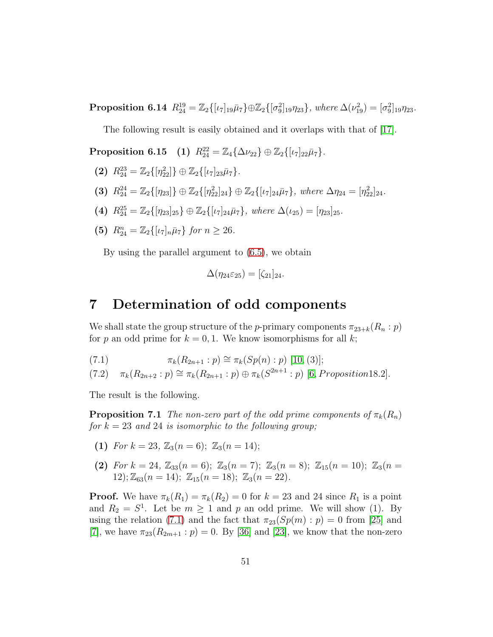**Proposition 6.14**  $R_{24}^{19} = \mathbb{Z}_2\{[\iota_7]_{19}\bar{\mu}_7\} \oplus \mathbb{Z}_2\{[\sigma_9^2]_{19}\eta_{23}\}, where \Delta(\nu_{19}^2) = [\sigma_9^2]_{19}\eta_{23}.$ 

The following result is easily obtained and it overlaps with that of [\[17\]](#page-52-0).

 $\text{Proposition 6.15} \quad (1) \ \ R_{24}^{22} = \mathbb{Z}_4 \{ \Delta \nu_{22} \} \oplus \mathbb{Z}_2 \{ [\iota_7]_{22} \bar \mu_7 \}.$ 

- (2)  $R_{24}^{23} = \mathbb{Z}_2\{[\eta_{22}^2]\}\oplus \mathbb{Z}_2\{[\iota_7]_{23}\bar{\mu}_7\}.$
- (3)  $R_{24}^{24} = \mathbb{Z}_2\{[\eta_{23}]\} \oplus \mathbb{Z}_2\{[\eta_{22}^2]_{24}\} \oplus \mathbb{Z}_2\{[\iota_7]_{24}\bar{\mu}_7\}, where \Delta \eta_{24} = [\eta_{22}^2]_{24}.$
- (4)  $R_{24}^{25} = \mathbb{Z}_2\{[\eta_{23}]_{25}\} \oplus \mathbb{Z}_2\{[\iota_7]_{24}\bar{\mu}_7\}, where \Delta(\iota_{25}) = [\eta_{23}]_{25}.$
- (5)  $R_{24}^n = \mathbb{Z}_2\{[\iota_7]_n \bar{\mu}_7\}$  *for*  $n \geq 26$ *.*

By using the parallel argument to [\(6.5\)](#page-47-0), we obtain

$$
\Delta(\eta_{24}\varepsilon_{25})=[\zeta_{21}]_{24}.
$$

#### 7 Determination of odd components

We shall state the group structure of the p-primary components  $\pi_{23+k}(R_n : p)$ for p an odd prime for  $k = 0, 1$ . We know isomorphisms for all k;

<span id="page-50-0"></span>(7.1) 
$$
\pi_k(R_{2n+1}:p) \cong \pi_k(Sp(n):p) [10,(3)];
$$

<span id="page-50-1"></span> $(7.2)$   $\pi_k(R_{2n+2}:p) \cong \pi_k(R_{2n+1}:p) \oplus \pi_k(S^{2n+1}:p)$  [\[6](#page-51-4), Proposition18.2].

The result is the following.

**Proposition 7.1** *The non-zero part of the odd prime components of*  $\pi_k(R_n)$ *for* k = 23 *and* 24 *is isomorphic to the following group;*

- (1) *For*  $k = 23$ ,  $\mathbb{Z}_3(n = 6)$ ;  $\mathbb{Z}_3(n = 14)$ ;
- (2) *For*  $k = 24$ ,  $\mathbb{Z}_{33}(n = 6)$ ;  $\mathbb{Z}_{3}(n = 7)$ ;  $\mathbb{Z}_{3}(n = 8)$ ;  $\mathbb{Z}_{15}(n = 10)$ ;  $\mathbb{Z}_{3}(n = 10)$ 12);  $\mathbb{Z}_{63}(n = 14)$ ;  $\mathbb{Z}_{15}(n = 18)$ ;  $\mathbb{Z}_{3}(n = 22)$ *.*

**Proof.** We have  $\pi_k(R_1) = \pi_k(R_2) = 0$  for  $k = 23$  and 24 since  $R_1$  is a point and  $R_2 = S^1$ . Let be  $m \ge 1$  and p an odd prime. We will show (1). By using the relation [\(7.1\)](#page-50-0) and the fact that  $\pi_{23}(Sp(m) : p) = 0$  from [\[25\]](#page-53-12) and [\[7\]](#page-52-6), we have  $\pi_{23}(R_{2m+1}: p) = 0$ . By [\[36\]](#page-54-3) and [\[23\]](#page-53-2), we know that the non-zero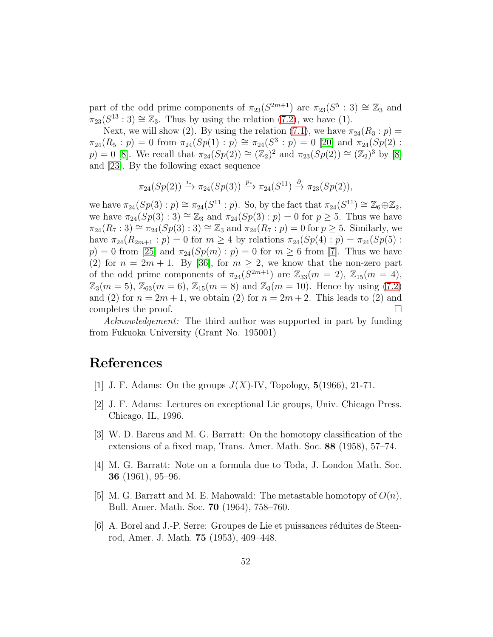part of the odd prime components of  $\pi_{23}(S^{2m+1})$  are  $\pi_{23}(S^5 : 3) \cong \mathbb{Z}_3$  and  $\pi_{23}(S^{13}:3) \cong \mathbb{Z}_3$ . Thus by using the relation [\(7.2\)](#page-50-1), we have (1).

Next, we will show (2). By using the relation [\(7.1\)](#page-50-0), we have  $\pi_{24}(R_3: p)$  =  $\pi_{24}(R_5: p) = 0$  from  $\pi_{24}(Sp(1): p) \cong \pi_{24}(S^3: p) = 0$  [\[20\]](#page-53-3) and  $\pi_{24}(Sp(2):$  $p) = 0$  [\[8\]](#page-52-12). We recall that  $\pi_{24}(Sp(2)) \cong (Z_2)^2$  and  $\pi_{23}(Sp(2)) \cong (Z_2)^3$  by [8] and [\[23\]](#page-53-2). By the following exact sequence

$$
\pi_{24}(Sp(2)) \xrightarrow{i_*} \pi_{24}(Sp(3)) \xrightarrow{p_*} \pi_{24}(S^{11}) \xrightarrow{\partial} \pi_{23}(Sp(2)),
$$

we have  $\pi_{24}(Sp(3):p) \cong \pi_{24}(S^{11}:p)$ . So, by the fact that  $\pi_{24}(S^{11}) \cong \mathbb{Z}_6 \oplus \mathbb{Z}_2$ , we have  $\pi_{24}(Sp(3):3) \cong \mathbb{Z}_3$  and  $\pi_{24}(Sp(3):p) = 0$  for  $p \geq 5$ . Thus we have  $\pi_{24}(R_7:3) \cong \pi_{24}(Sp(3):3) \cong \mathbb{Z}_3$  and  $\pi_{24}(R_7: p) = 0$  for  $p \geq 5$ . Similarly, we have  $\pi_{24}(R_{2m+1}: p) = 0$  for  $m \geq 4$  by relations  $\pi_{24}(Sp(4): p) = \pi_{24}(Sp(5):$  $p) = 0$  from [\[25\]](#page-53-12) and  $\pi_{24}(Sp(m) : p) = 0$  for  $m \geq 6$  from [\[7\]](#page-52-6). Thus we have (2) for  $n = 2m + 1$ . By [\[36\]](#page-54-3), for  $m \geq 2$ , we know that the non-zero part of the odd prime components of  $\pi_{24}(S^{2m+1})$  are  $\mathbb{Z}_{33}(m=2)$ ,  $\mathbb{Z}_{15}(m=4)$ ,  $\mathbb{Z}_3(m=5)$ ,  $\mathbb{Z}_{63}(m=6)$ ,  $\mathbb{Z}_{15}(m=8)$  and  $\mathbb{Z}_3(m=10)$ . Hence by using [\(7.2\)](#page-50-1) and (2) for  $n = 2m + 1$ , we obtain (2) for  $n = 2m + 2$ . This leads to (2) and completes the proof.  $\Box$ 

*Acknowledgement:* The third author was supported in part by funding from Fukuoka University (Grant No. 195001)

#### <span id="page-51-3"></span>References

- <span id="page-51-2"></span>[1] J. F. Adams: On the groups  $J(X)$ -IV, Topology,  $5(1966)$ , 21-71.
- <span id="page-51-1"></span>[2] J. F. Adams: Lectures on exceptional Lie groups, Univ. Chicago Press. Chicago, IL, 1996.
- [3] W. D. Barcus and M. G. Barratt: On the homotopy classification of the extensions of a fixed map, Trans. Amer. Math. Soc. 88 (1958), 57–74.
- [4] M. G. Barratt: Note on a formula due to Toda, J. London Math. Soc. 36 (1961), 95–96.
- <span id="page-51-0"></span>[5] M. G. Barratt and M. E. Mahowald: The metastable homotopy of  $O(n)$ , Bull. Amer. Math. Soc. 70 (1964), 758–760.
- <span id="page-51-4"></span> $[6]$  A. Borel and J.-P. Serre: Groupes de Lie et puissances réduites de Steenrod, Amer. J. Math. 75 (1953), 409–448.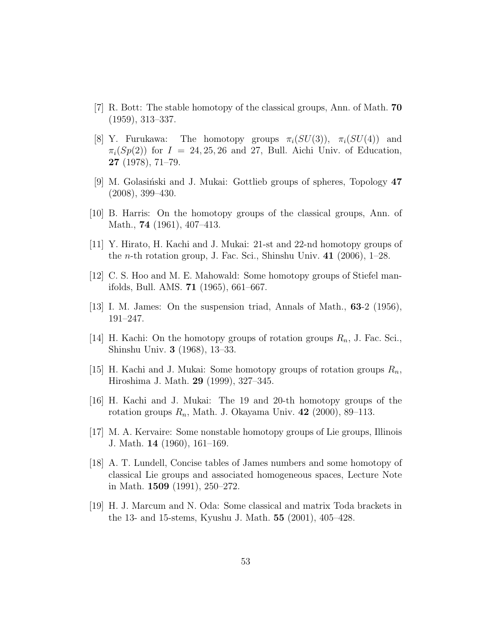- <span id="page-52-12"></span><span id="page-52-6"></span>[7] R. Bott: The stable homotopy of the classical groups, Ann. of Math. 70 (1959), 313–337.
- [8] Y. Furukawa: The homotopy groups  $\pi_i(SU(3))$ ,  $\pi_i(SU(4))$  and  $\pi_i(Sp(2))$  for  $I = 24, 25, 26$  and 27, Bull. Aichi Univ. of Education, 27 (1978), 71–79.
- <span id="page-52-11"></span><span id="page-52-9"></span> $[9]$  M. Golasiński and J. Mukai: Gottlieb groups of spheres, Topology  $47$ (2008), 399–430.
- <span id="page-52-5"></span>[10] B. Harris: On the homotopy groups of the classical groups, Ann. of Math., 74 (1961), 407–413.
- <span id="page-52-7"></span>[11] Y. Hirato, H. Kachi and J. Mukai: 21-st and 22-nd homotopy groups of the *n*-th rotation group, J. Fac. Sci., Shinshu Univ.  $41$  (2006), 1–28.
- <span id="page-52-8"></span>[12] C. S. Hoo and M. E. Mahowald: Some homotopy groups of Stiefel manifolds, Bull. AMS. 71 (1965), 661–667.
- <span id="page-52-2"></span>[13] I. M. James: On the suspension triad, Annals of Math., 63-2 (1956), 191–247.
- [14] H. Kachi: On the homotopy groups of rotation groups  $R_n$ , J. Fac. Sci., Shinshu Univ. 3 (1968), 13–33.
- <span id="page-52-4"></span><span id="page-52-3"></span>[15] H. Kachi and J. Mukai: Some homotopy groups of rotation groups  $R_n$ , Hiroshima J. Math. 29 (1999), 327–345.
- <span id="page-52-0"></span>[16] H. Kachi and J. Mukai: The 19 and 20-th homotopy groups of the rotation groups  $R_n$ , Math. J. Okayama Univ. 42 (2000), 89–113.
- [17] M. A. Kervaire: Some nonstable homotopy groups of Lie groups, Illinois J. Math. 14 (1960), 161–169.
- <span id="page-52-1"></span>[18] A. T. Lundell, Concise tables of James numbers and some homotopy of classical Lie groups and associated homogeneous spaces, Lecture Note in Math. 1509 (1991), 250–272.
- <span id="page-52-10"></span>[19] H. J. Marcum and N. Oda: Some classical and matrix Toda brackets in the 13- and 15-stems, Kyushu J. Math. 55 (2001), 405–428.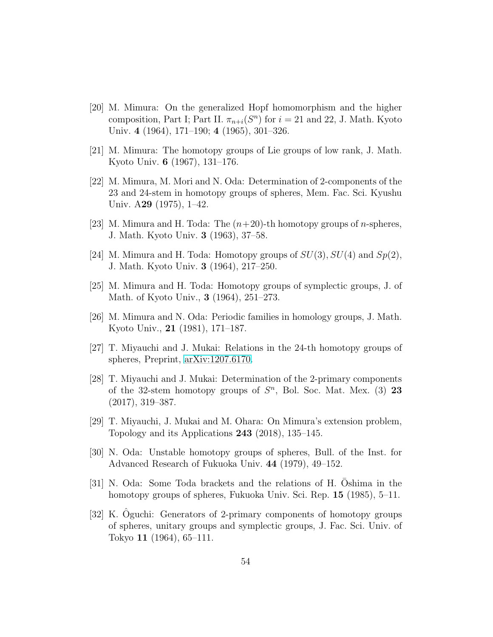- <span id="page-53-3"></span>[20] M. Mimura: On the generalized Hopf homomorphism and the higher composition, Part I; Part II.  $\pi_{n+i}(S^n)$  for  $i=21$  and 22, J. Math. Kyoto Univ. 4 (1964), 171–190; 4 (1965), 301–326.
- <span id="page-53-5"></span><span id="page-53-0"></span>[21] M. Mimura: The homotopy groups of Lie groups of low rank, J. Math. Kyoto Univ. 6 (1967), 131–176.
- [22] M. Mimura, M. Mori and N. Oda: Determination of 2-components of the 23 and 24-stem in homotopy groups of spheres, Mem. Fac. Sci. Kyushu Univ. A29 (1975), 1–42.
- <span id="page-53-2"></span><span id="page-53-1"></span>[23] M. Mimura and H. Toda: The  $(n+20)$ -th homotopy groups of *n*-spheres, J. Math. Kyoto Univ. 3 (1963), 37–58.
- <span id="page-53-12"></span>[24] M. Mimura and H. Toda: Homotopy groups of  $SU(3)$ ,  $SU(4)$  and  $Sp(2)$ , J. Math. Kyoto Univ. 3 (1964), 217–250.
- <span id="page-53-6"></span>[25] M. Mimura and H. Toda: Homotopy groups of symplectic groups, J. of Math. of Kyoto Univ., 3 (1964), 251–273.
- [26] M. Mimura and N. Oda: Periodic families in homology groups, J. Math. Kyoto Univ., 21 (1981), 171–187.
- <span id="page-53-11"></span><span id="page-53-7"></span>[27] T. Miyauchi and J. Mukai: Relations in the 24-th homotopy groups of spheres, Preprint, [arXiv:1207.6170.](http://arxiv.org/abs/1207.6170)
- [28] T. Miyauchi and J. Mukai: Determination of the 2-primary components of the 32-stem homotopy groups of  $S<sup>n</sup>$ , Bol. Soc. Mat. Mex. (3) 23 (2017), 319–387.
- <span id="page-53-10"></span><span id="page-53-4"></span>[29] T. Miyauchi, J. Mukai and M. Ohara: On Mimura's extension problem, Topology and its Applications 243 (2018), 135–145.
- [30] N. Oda: Unstable homotopy groups of spheres, Bull. of the Inst. for Advanced Research of Fukuoka Univ. 44 (1979), 49–152.
- <span id="page-53-9"></span>[31] N. Oda: Some Toda brackets and the relations of H. Oshima in the homotopy groups of spheres, Fukuoka Univ. Sci. Rep. **15** (1985), 5–11.
- <span id="page-53-8"></span> $[32]$  K. Oguchi: Generators of 2-primary components of homotopy groups of spheres, unitary groups and symplectic groups, J. Fac. Sci. Univ. of Tokyo 11 (1964), 65–111.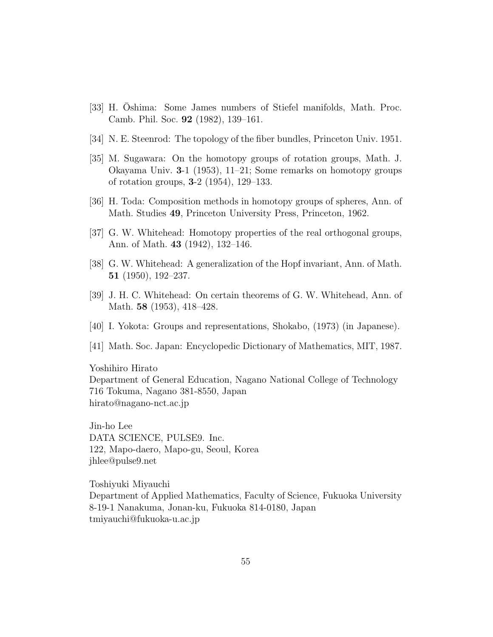- <span id="page-54-8"></span><span id="page-54-0"></span>[33] H. Oshima: Some James numbers of Stiefel manifolds, Math. Proc. Camb. Phil. Soc. 92 (1982), 139–161.
- <span id="page-54-1"></span>[34] N. E. Steenrod: The topology of the fiber bundles, Princeton Univ. 1951.
- [35] M. Sugawara: On the homotopy groups of rotation groups, Math. J. Okayama Univ. 3-1 (1953), 11–21; Some remarks on homotopy groups of rotation groups, 3-2 (1954), 129–133.
- <span id="page-54-4"></span><span id="page-54-3"></span>[36] H. Toda: Composition methods in homotopy groups of spheres, Ann. of Math. Studies 49, Princeton University Press, Princeton, 1962.
- <span id="page-54-5"></span>[37] G. W. Whitehead: Homotopy properties of the real orthogonal groups, Ann. of Math. 43 (1942), 132–146.
- <span id="page-54-6"></span>[38] G. W. Whitehead: A generalization of the Hopf invariant, Ann. of Math. 51 (1950), 192–237.
- <span id="page-54-7"></span>[39] J. H. C. Whitehead: On certain theorems of G. W. Whitehead, Ann. of Math. **58** (1953), 418–428.
- <span id="page-54-2"></span>[40] I. Yokota: Groups and representations, Shokabo, (1973) (in Japanese).
- [41] Math. Soc. Japan: Encyclopedic Dictionary of Mathematics, MIT, 1987.

Yoshihiro Hirato

Department of General Education, Nagano National College of Technology 716 Tokuma, Nagano 381-8550, Japan hirato@nagano-nct.ac.jp

Jin-ho Lee DATA SCIENCE, PULSE9. Inc. 122, Mapo-daero, Mapo-gu, Seoul, Korea jhlee@pulse9.net

Toshiyuki Miyauchi Department of Applied Mathematics, Faculty of Science, Fukuoka University 8-19-1 Nanakuma, Jonan-ku, Fukuoka 814-0180, Japan tmiyauchi@fukuoka-u.ac.jp